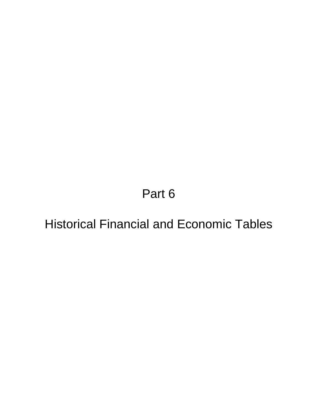Part 6

Historical Financial and Economic Tables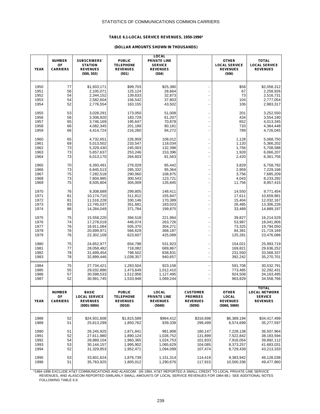### **TABLE 6.1-LOCAL SERVICE REVENUES, 1950-1996\***

#### **(DOLLAR AMOUNTS SHOWN IN THOUSANDS)**

|              | <b>NUMBER</b>         | <b>SUBSCRIBERS'</b>                  | <b>PUBLIC</b>                       | <b>LOCAL</b><br><b>PRIVATE LINE</b> |                                    | <b>OTHER</b>                            | <b>TOTAL</b>                            |
|--------------|-----------------------|--------------------------------------|-------------------------------------|-------------------------------------|------------------------------------|-----------------------------------------|-----------------------------------------|
| <b>YEAR</b>  | OF<br><b>CARRIERS</b> | <b>STATION</b><br><b>REVENUES</b>    | <b>TELEPHONE</b><br><b>REVENUES</b> | <b>SERVICE</b><br><b>REVENUES</b>   |                                    | <b>LOCAL SERVICE</b><br><b>REVENUES</b> | <b>LOCAL SERVICE</b><br><b>REVENUES</b> |
|              |                       | (500, 503)                           | (501)                               | (504)                               |                                    | (506)                                   |                                         |
| 1950         | 77                    | \$1,933,171                          | \$99,703                            | \$25,380                            |                                    | \$58                                    | \$2,058,312                             |
| 1951         | 56                    | 2,105,071                            | 125,124                             | 28,664                              |                                    | 67                                      | 2,258,926                               |
| 1952         | 54                    | 2,344,152                            | 139,633                             | 32,873                              |                                    | 73                                      | 2,516,731                               |
| 1953         | 54                    | 2,582,604                            | 156,542                             | 37,803                              |                                    | 104                                     | 2,777,054                               |
| 1954         | 52                    | 2,776,554                            | 163,155                             | 43,502                              |                                    | 106                                     | 2,983,317                               |
| 1955         | 53                    | 3,028,291                            | 173,050                             | 51,008                              |                                    | 201                                     | 3,252,550                               |
| 1956         | 56                    | 3,308,820                            | 183,729                             | 61,207                              |                                    | 434                                     | 3,554,190                               |
| 1957<br>1958 | 65<br>66              | 3,746,169<br>4,082,345               | 195,647<br>201,189                  | 70,878<br>80,181                    |                                    | 652<br>733                              | 4,013,345<br>4,364,448                  |
| 1959         | 66                    | 4,414,724                            | 216,260                             | 94,272                              |                                    | 789                                     | 4,726,045                               |
| 1960         | 65                    | 4,732,651                            | 226,959                             | 108,012                             |                                    | 1,128                                   | 5,068,750                               |
| 1961         | 69                    | 5,013,502                            | 233,547                             | 118,034                             |                                    | 1,120                                   | 5,366,202                               |
| 1962         | 73                    | 5,329,430                            | 245,003                             | 132,398                             |                                    | 1,756                                   | 5,708,588                               |
| 1963         | 73                    | 5,657,637                            | 253,246                             | 153,396                             |                                    | 1,928                                   | 6,066,207                               |
| 1964         | 73                    | 6,013,170                            | 264,603                             | 81,563                              |                                    | 2,420                                   | 6,361,756                               |
| 1965         | 70                    | 6,393,491                            | 276,029                             | 85,442                              |                                    | 3,829                                   | 6,758,792                               |
| 1966         | 73                    | 6,845,513                            | 285,332                             | 95,364                              |                                    | 2,959                                   | 7,229,168                               |
| 1967         | 75                    | 7,282,518                            | 290,060                             | 108,875                             |                                    | 3,756                                   | 7,685,209                               |
| 1968         | 73                    | 7,804,985                            | 300,543                             | 123,721                             |                                    | 4,043                                   | 8,233,292                               |
| 1969         | 75                    | 8,505,804                            | 304,009                             | 135,845                             |                                    | 11,756                                  | 8,957,415                               |
| 1970         | 76                    | 9,308,689                            | 299,805                             | 148,411                             |                                    | 14,550                                  | 9,771,454                               |
| 1971         | 81                    | 10,174,710                           | 311,812                             | 155,847                             |                                    | 17,611                                  | 10,659,981                              |
| 1972         | 81                    | 11,516,228                           | 330,146                             | 170,389                             |                                    | 15,404                                  | 12,032,167                              |
| 1973         | 83                    | 12,745,037                           | 351,681                             | 183,023                             |                                    | 26,485                                  | 13,306,226                              |
| 1974         | 86                    | 14,284,049                           | 371,784                             | 199,875                             |                                    | 33,489                                  | 14,889,197                              |
| 1975         | 75                    | 15,558,220                           | 394,518                             | 221,964                             |                                    | 39,827                                  | 16,214,529                              |
| 1976         | 74                    | 17,278,019                           | 446,074                             | 263,726                             |                                    | 53,987                                  | 18,041,806                              |
| 1977         | 76                    | 18,911,084                           | 505,370                             | 304,271                             |                                    | 73,325                                  | 19,794,050                              |
| 1978         | 76                    | 20,699,971                           | 566,629                             | 368,187                             |                                    | 84,381                                  | 21,719,169                              |
| 1979         | 76                    | 22,302,109                           | 623,607                             | 425,089                             |                                    | 125,281                                 | 23,476,086                              |
| 1980         | 75                    | 24,652,977                           | 654,798                             | 531,923                             |                                    | 154,021                                 | 25,993,719                              |
| 1981         | 77                    | 28,058,482                           | 718,082                             | 689,867                             |                                    | 169,821                                 | 29,636,252                              |
| 1982         | 78                    | 31,699,454                           | 798,502                             | 838,831                             |                                    | 231,550                                 | 33,568,337                              |
| 1983         | 78                    | 32,899,446                           | 1,038,357                           | 940,657                             | ÷,                                 | 392,242                                 | 35,270,701                              |
| 1984         | 75                    | 27,734,421                           | 1,283,504                           | 923,158                             |                                    | 591,708                                 | 30,532,791                              |
| 1985         | 55                    | 29,032,886                           | 1,473,649                           | 1,012,410                           |                                    | 773,485                                 | 32,292,431                              |
| 1986<br>1987 | 57<br>52              | 30,598,533<br>30,991,745             | 1,512,958<br>1,533,948              | 1,127,495<br>1,069,244              |                                    | 924,508<br>963,829                      | 34, 163, 495<br>34,558,766              |
|              |                       |                                      |                                     |                                     |                                    |                                         |                                         |
|              |                       |                                      |                                     |                                     |                                    |                                         | <b>TOTAL</b>                            |
|              | <b>NUMBER</b><br>OF   | <b>BASIC</b><br><b>LOCAL SERVICE</b> | <b>PUBLIC</b><br><b>TELEPHONE</b>   | LOCAL<br><b>PRIVATE LINE</b>        | <b>CUSTOMER</b><br><b>PREMISES</b> | <b>OTHER</b><br>LOCAL                   | <b>LOCAL NETWORK</b><br><b>SERVICE</b>  |
| <b>YEAR</b>  | <b>CARRIERS</b>       | <b>REVENUES</b>                      | <b>REVENUES</b>                     | <b>REVENUES</b>                     | <b>REVENUES</b>                    | <b>REVENUES</b>                         | <b>REVENUES</b>                         |
|              |                       | $(5001 - 5004)$                      | (5010)                              | (5040)                              | (5050)                             | (5060, 5069)                            |                                         |
|              |                       |                                      |                                     |                                     |                                    |                                         |                                         |
| 1988         | 52                    | \$24,931,608                         | \$1,815,589                         | \$964,412                           | \$316,698                          | \$6,389,194                             | \$34,417,499                            |
| 1989         | 51                    | 25,613,299                           | 1,850,762                           | 939,339                             | 299,499                            | 6,574,699                               | 35,277,597                              |
|              |                       |                                      |                                     |                                     |                                    |                                         |                                         |
| 1990         | 51                    | 26,245,925                           | 1,871,841                           | 981,908                             | 180,147                            | 7,228,138                               | 36,507,964                              |
| 1991         | 52<br>54              | 27,611,980                           | 1,890,124                           | 1,026,752                           | 131,899                            | 7,522,842                               | 38,183,594                              |
| 1992<br>1993 | 53                    | 28,889,104<br>30,144,157             | 1,960,365<br>1,995,902              | 1,024,753<br>1,065,629              | 101,833<br>104,085                 | 7,916,054<br>8,373,257                  | 39,892,112<br>41,683,031                |
| 1994         | 52                    | 31,329,853                           | 1,952,471                           | 1,094,099                           | 107,474                            | 8,729,439                               | 43,213,333                              |
|              |                       |                                      |                                     |                                     |                                    |                                         |                                         |
| 1995         | 53                    | 33,601,624                           | 1,876,739                           | 1,151,314                           | 114,419                            | 9,383,942                               | 46,128,038                              |
| 1996         | 51                    | 35,763,925                           | 1,805,012                           | 1,290,676                           | 117,915                            | 10,500,336                              | 49,477,860                              |
|              |                       |                                      |                                     |                                     |                                    |                                         |                                         |

 \*1984-1996 EXCLUDE AT&T COMMUNICATIONS AND ALASCOM. (IN 1984, AT&T REPORTED A SMALL CREDIT TO LOCAL PRIVATE LINE SERVICE REVENUES, AND ALASCOM REPORTED SIMILARLY SMALL AMOUNTS OF LOCAL SERVICE REVENUES FOR 1984-88.) SEE ADDITIONAL NOTES FOLLOWING TABLE 6.9.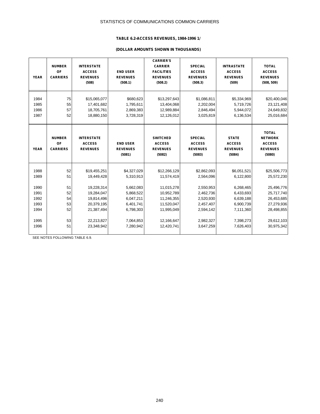### **TABLE 6.2-ACCESS REVENUES, 1984-1996 1/**

# **(DOLLAR AMOUNTS SHOWN IN THOUSANDS)**

| <b>YEAR</b> | <b>NUMBER</b><br>OF<br><b>CARRIERS</b> | <b>INTERSTATE</b><br><b>ACCESS</b><br><b>REVENUES</b><br>(508) | <b>END USER</b><br><b>REVENUES</b><br>(508.1) | <b>CARRIER'S</b><br><b>CARRIER</b><br><b>FACILITIES</b><br><b>REVENUES</b><br>(508.2) | <b>SPECIAL</b><br><b>ACCESS</b><br><b>REVENUES</b><br>(508.3) | <b>INTRASTATE</b><br><b>ACCESS</b><br><b>REVENUES</b><br>(509) | <b>TOTAL</b><br><b>ACCESS</b><br><b>REVENUES</b><br>(508, 509)               |
|-------------|----------------------------------------|----------------------------------------------------------------|-----------------------------------------------|---------------------------------------------------------------------------------------|---------------------------------------------------------------|----------------------------------------------------------------|------------------------------------------------------------------------------|
| 1984        | 75                                     | \$15,065,077                                                   | \$680,623                                     | \$13,297,643                                                                          | \$1,086,811                                                   | \$5,334,969                                                    | \$20,400,046                                                                 |
| 1985        | 55                                     | 17,401,682                                                     | 1,795,611                                     | 13,404,068                                                                            | 2,202,004                                                     | 5,719,726                                                      | 23,121,408                                                                   |
| 1986        | 57                                     | 18,705,761                                                     | 2,869,383                                     | 12,989,884                                                                            | 2,846,494                                                     | 5,944,072                                                      | 24,649,832                                                                   |
| 1987        | 52                                     | 18,880,150                                                     | 3,728,319                                     | 12,126,012                                                                            | 3,025,819                                                     | 6,136,534                                                      | 25,016,684                                                                   |
| <b>YEAR</b> | <b>NUMBER</b><br>OF<br><b>CARRIERS</b> | <b>INTERSTATE</b><br><b>ACCESS</b><br><b>REVENUES</b>          | <b>END USER</b><br><b>REVENUES</b><br>(5081)  | <b>SWITCHED</b><br><b>ACCESS</b><br><b>REVENUES</b><br>(5082)                         | <b>SPECIAL</b><br><b>ACCESS</b><br><b>REVENUES</b><br>(5083)  | <b>STATE</b><br><b>ACCESS</b><br><b>REVENUES</b><br>(5084)     | <b>TOTAL</b><br><b>NETWORK</b><br><b>ACCESS</b><br><b>REVENUES</b><br>(5080) |
| 1988        | 52                                     | \$19,455,251                                                   | \$4,327,029                                   | \$12,266,129                                                                          | \$2,862,093                                                   | \$6,051,521                                                    | \$25,506,773                                                                 |
| 1989        | 51                                     | 19,449,428                                                     | 5,310,913                                     | 11,574,419                                                                            | 2,564,096                                                     | 6,122,800                                                      | 25,572,230                                                                   |
| 1990        | 51                                     | 19,228,314                                                     | 5,662,083                                     | 11,015,278                                                                            | 2,550,953                                                     | 6,268,465                                                      | 25,496,776                                                                   |
| 1991        | 52                                     | 19,284,047                                                     | 5,868,522                                     | 10,952,789                                                                            | 2,462,736                                                     | 6,433,693                                                      | 25,717,740                                                                   |
| 1992        | 54                                     | 19,814,496                                                     | 6,047,211                                     | 11,246,355                                                                            | 2,520,930                                                     | 6,639,188                                                      | 26,453,685                                                                   |
| 1993        | 53                                     | 20,379,195                                                     | 6,401,741                                     | 11,520,047                                                                            | 2,457,407                                                     | 6,900,739                                                      | 27,279,936                                                                   |
| 1994        | 52                                     | 21,387,494                                                     | 6,798,303                                     | 11,995,049                                                                            | 2,594,142                                                     | 7,111,360                                                      | 28,498,855                                                                   |
| 1995        | 53                                     | 22,213,827                                                     | 7,064,853                                     | 12,166,647                                                                            | 2,982,327                                                     | 7,398,273                                                      | 29,612,103                                                                   |
| 1996        | 51                                     | 23,348,942                                                     | 7,280,942                                     | 12,420,741                                                                            | 3,647,259                                                     | 7,626,403                                                      | 30,975,342                                                                   |

SEE NOTES FOLLOWING TABLE 6.9.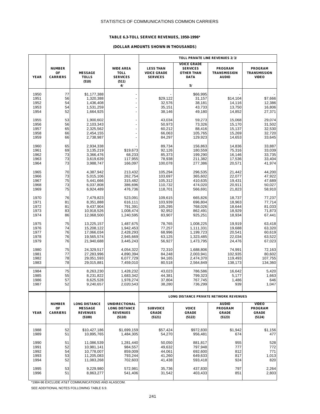### **TABLE 6.3-TOLL SERVICE REVENUES, 1950-1996\***

#### **(DOLLAR AMOUNTS SHOWN IN THOUSANDS)**

|                                      |                                        |                                                                     |                                                                            | TOLL PRIVATE LINE REVENUES 2/3/                           |                                                                           |                                                       |                                                          |  |  |
|--------------------------------------|----------------------------------------|---------------------------------------------------------------------|----------------------------------------------------------------------------|-----------------------------------------------------------|---------------------------------------------------------------------------|-------------------------------------------------------|----------------------------------------------------------|--|--|
| <b>YEAR</b>                          | <b>NUMBER</b><br>OF<br><b>CARRIERS</b> | <b>MESSAGE</b><br><b>TOLLS</b><br>(510)                             | <b>WIDE AREA</b><br><b>TOLL</b><br><b>SERVICES</b><br>(511)                | <b>LESS THAN</b><br><b>VOICE GRADE</b><br><b>SERVICES</b> | <b>VOICE GRADE</b><br><b>SERVICES</b><br><b>OTHER THAN</b><br><b>DATA</b> | <b>PROGRAM</b><br><b>TRANSMISSION</b><br><b>AUDIO</b> | <b>PROGRAM</b><br><b>TRANSMISSION</b><br><b>VIDEO</b>    |  |  |
|                                      |                                        |                                                                     | 4/                                                                         |                                                           | 5/                                                                        |                                                       |                                                          |  |  |
| 1950<br>1951<br>1952<br>1953<br>1954 | 77<br>56<br>54<br>54<br>52             | \$1,177,388<br>1,320,388<br>1,436,408<br>1,531,259<br>1,664,925     | $\overline{\phantom{a}}$<br>÷,<br>$\overline{a}$<br>÷<br>÷                 | \$29,122<br>32,576<br>35,151<br>38,146                    | \$66,995<br>31,157<br>38,181<br>43,733<br>49,180                          | \$14,104<br>14,116<br>13,750<br>14,852                | \$7,666<br>12,386<br>16,806<br>27,371                    |  |  |
| 1955                                 | 53                                     | 1,900,602                                                           | $\overline{a}$                                                             | 43,034                                                    | 59,273                                                                    | 15,068                                                | 29,074                                                   |  |  |
| 1956                                 | 56                                     | 2,103,343                                                           | ÷                                                                          | 50,973                                                    | 73,326                                                                    | 15,170                                                | 31,502                                                   |  |  |
| 1957                                 | 65                                     | 2,325,562                                                           | $\overline{\phantom{a}}$                                                   | 60,212                                                    | 88,416                                                                    | 15,137                                                | 32,530                                                   |  |  |
| 1958                                 | 66                                     | 2,454,155                                                           | ÷                                                                          | 66,063                                                    | 105,765                                                                   | 15,269                                                | 32,720                                                   |  |  |
| 1959                                 | 66                                     | 2,738,987                                                           | $\overline{a}$                                                             | 84,297                                                    | 129,923                                                                   | 14,653                                                | 33,645                                                   |  |  |
| 1960<br>1961<br>1962<br>1963<br>1964 | 65<br>69<br>73<br>73<br>73             | 2,934,338<br>3,135,219<br>3,366,476<br>3,619,639<br>3,988,747       | \$19,673<br>68,233<br>117,955<br>166,097                                   | 89,734<br>92,126<br>85,373<br>78,938<br>100,078           | 156,863<br>180,559<br>199,290<br>211,382<br>277,386                       | 14,836<br>75,316<br>16,146<br>17,536<br>20,571        | 33,887<br>33,039<br>33,735<br>33,404<br>41,974           |  |  |
| 1965                                 | 70                                     | 4,387,942                                                           | 213,432                                                                    | 105,294                                                   | 296,535                                                                   | 21,442                                                | 44,200                                                   |  |  |
| 1966                                 | 73                                     | 5,015,106                                                           | 262,754                                                                    | 103,697                                                   | 365,602                                                                   | 22,077                                                | 47,922                                                   |  |  |
| 1967                                 | 75                                     | 5,441,666                                                           | 315,482                                                                    | 105,312                                                   | 410,635                                                                   | 19,431                                                | 47,689                                                   |  |  |
| 1968                                 | 73                                     | 6,037,808                                                           | 386,696                                                                    | 110,732                                                   | 474,020                                                                   | 20,911                                                | 50,027                                                   |  |  |
| 1969                                 | 75                                     | 6,924,489                                                           | 476,736                                                                    | 118,701                                                   | 566,691                                                                   | 21,823                                                | 58,910                                                   |  |  |
| 1970                                 | 76                                     | 7,479,823                                                           | 523,091                                                                    | 109,615                                                   | 665.826                                                                   | 18.737                                                | 77,237                                                   |  |  |
| 1971                                 | 81                                     | 8,351,888                                                           | 616,111                                                                    | 103,939                                                   | 696,804                                                                   | 18,963                                                | 77,714                                                   |  |  |
| 1972                                 | 81                                     | 9,437,904                                                           | 791,391                                                                    | 105,295                                                   | 768,026                                                                   | 18,644                                                | 81,033                                                   |  |  |
| 1973                                 | 83                                     | 10,918,526                                                          | 1,008,474                                                                  | 92,952                                                    | 862,491                                                                   | 18,929                                                | 71,873                                                   |  |  |
| 1974                                 | 86                                     | 12,068,500                                                          | 1,240,595                                                                  | 83,907                                                    | 925,251                                                                   | 18,934                                                | 67,441                                                   |  |  |
| 1975                                 | 75                                     | 13,225,157                                                          | 1,487,675                                                                  | 78,765                                                    | 1,008,225                                                                 | 19,919                                                | 63,418                                                   |  |  |
| 1976                                 | 74                                     | 15,208,122                                                          | 1,942,453                                                                  | 77,257                                                    | 1,111,331                                                                 | 19,688                                                | 63,320                                                   |  |  |
| 1977                                 | 76                                     | 17,066,034                                                          | 2,428,293                                                                  | 68,996                                                    | 1,199,723                                                                 | 20,541                                                | 60,619                                                   |  |  |
| 1978                                 | 76                                     | 19,565,574                                                          | 2,945,669                                                                  | 63,125                                                    | 1,323,485                                                                 | 22,034                                                | 63,522                                                   |  |  |
| 1979                                 | 76                                     | 21,940,688                                                          | 3,445,243                                                                  | 56,927                                                    | 1,473,795                                                                 | 24,476                                                | 67,023                                                   |  |  |
| 1980                                 | 75                                     | 24,329,517                                                          | 4,054,322                                                                  | 72,310                                                    | 1,688,806                                                                 | 74,991                                                | 72,163                                                   |  |  |
| 1981                                 | 77                                     | 27,283,996                                                          | 4,890,394                                                                  | 84,248                                                    | 2,003,941                                                                 | 102,935                                               | 80,602                                                   |  |  |
| 1982                                 | 78                                     | 29,051,593                                                          | 6,077,729                                                                  | 94.165                                                    | 2,474,370                                                                 | 119,493                                               | 107,755                                                  |  |  |
| 1983                                 | 78                                     | 29,015,881                                                          | 7,459,010                                                                  | 80,518                                                    | 2,564,849                                                                 | 138,173                                               | 134,360                                                  |  |  |
| 1984                                 | 75                                     | 8,263,230                                                           | 1,428,232                                                                  | 43,023                                                    | 786,586                                                                   | 16,642                                                | 5,420                                                    |  |  |
| 1985                                 | 55                                     | 8,231,822                                                           | 1,683,342                                                                  | 44,381                                                    | 799,323                                                                   | 5,177                                                 | 1,663                                                    |  |  |
| 1986                                 | 57                                     | 8,625,528                                                           | 1,978,274                                                                  | 37,804                                                    | 767,745                                                                   | 1,486                                                 | 646                                                      |  |  |
| 1987                                 | 52                                     | 9,240,657                                                           | 2,020,543                                                                  | 38,280                                                    | 736,299                                                                   | 939                                                   | 1,047                                                    |  |  |
|                                      |                                        |                                                                     |                                                                            |                                                           | LONG DISTANCE PRIVATE NETWORK REVENUES                                    |                                                       |                                                          |  |  |
| <b>YEAR</b>                          | <b>NUMBER</b><br>OF<br><b>CARRIERS</b> | <b>LONG DISTANCE</b><br><b>MESSAGE</b><br><b>REVENUES</b><br>(5100) | <b>UNIDIRECTIONAL</b><br><b>LONG DISTANCE</b><br><b>REVENUES</b><br>(5110) | <b>SUBVOICE</b><br><b>GRADE</b><br>(5121)                 | <b>VOICE</b><br><b>GRADE</b><br>(5122)                                    | <b>AUDIO</b><br><b>PROGRAM</b><br>GRADE<br>(5123)     | <b>VIDEO</b><br><b>PROGRAM</b><br><b>GRADE</b><br>(5124) |  |  |
| 1988                                 | 52                                     | \$10,427,186                                                        | \$1,699,159                                                                | \$57,424                                                  | \$972,830                                                                 | \$1,942                                               | \$1,156                                                  |  |  |
| 1989                                 | 51                                     | 10,895,765                                                          | 1,484,305                                                                  | 54,270                                                    | 956,481                                                                   | 674                                                   | 477                                                      |  |  |
| 1990                                 | 51                                     | 11,086,539                                                          | 1,281,440                                                                  | 50,050                                                    | 881,817                                                                   | 955                                                   | 528                                                      |  |  |
| 1991                                 | 52                                     | 10,981,141                                                          | 984,557                                                                    | 49,632                                                    | 797,948                                                                   | 777                                                   | 772                                                      |  |  |
| 1992                                 | 54                                     | 10,778,007                                                          | 859,009                                                                    | 44,061                                                    | 692,600                                                                   | 812                                                   | 771                                                      |  |  |
| 1993                                 | 53                                     | 11,205,083                                                          | 793,244                                                                    | 41,260                                                    | 649,633                                                                   | 817                                                   | 1,013                                                    |  |  |
| 1994                                 | 52                                     | 11,083,268                                                          | 702,603                                                                    | 41,438                                                    | 593,418                                                                   | 924                                                   | 820                                                      |  |  |
| 1995                                 | 53                                     | 9,229,980                                                           | 572,981                                                                    | 35,736                                                    | 437,830                                                                   | 797                                                   | 2,264                                                    |  |  |
| 1996                                 | 51                                     | 8,863,277                                                           | 541,406                                                                    | 31,542                                                    | 403,433                                                                   | 851                                                   | 2,803                                                    |  |  |

\*1984-96 EXCLUDE AT&T COMMUNICATIONS AND ALASCOM.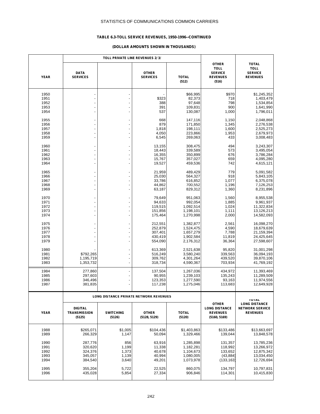### **TABLE 6.3-TOLL SERVICE REVENUES, 1950-1996--CONTINUED**

|                                      |                                                     | TOLL PRIVATE LINE REVENUES 2/3/         |                                                     |                                                               |                                                                           |                                                                    |
|--------------------------------------|-----------------------------------------------------|-----------------------------------------|-----------------------------------------------------|---------------------------------------------------------------|---------------------------------------------------------------------------|--------------------------------------------------------------------|
| <b>YEAR</b>                          | <b>DATA</b><br><b>SERVICES</b>                      |                                         | <b>OTHER</b><br><b>SERVICES</b>                     | <b>TOTAL</b><br>(512)                                         | <b>OTHER</b><br><b>TOLL</b><br><b>SERVICE</b><br><b>REVENUES</b><br>(516) | <b>TOTAL</b><br><b>TOLL</b><br><b>SERVICE</b><br><b>REVENUES</b>   |
| 1950<br>1951<br>1952<br>1953<br>1954 |                                                     |                                         | \$323<br>388<br>391<br>537                          | \$66,995<br>82,373<br>97,648<br>109,831<br>130,087            | \$970<br>718<br>798<br>900<br>1,000                                       | \$1,245,352<br>1,403,479<br>1,534,854<br>1,641,990<br>1,796,011    |
| 1955<br>1956<br>1957<br>1958<br>1959 |                                                     |                                         | 668<br>879<br>1,818<br>4,050<br>6,545               | 147,116<br>171,850<br>198,111<br>223,866<br>269,063           | 1,150<br>1,345<br>1,600<br>1,953<br>433                                   | 2,048,868<br>2,276,538<br>2,525,273<br>2,679,973<br>3,008,483      |
| 1960<br>1961<br>1962<br>1963<br>1964 |                                                     |                                         | 13,155<br>18,443<br>16,355<br>15,767<br>19,527      | 308,475<br>339,589<br>350,899<br>357,027<br>459,536           | 494<br>573<br>676<br>659<br>742                                           | 3,243,307<br>3,495,054<br>3,786,284<br>4,095,280<br>4,615,121      |
| 1965<br>1966<br>1967<br>1968<br>1969 |                                                     |                                         | 21,959<br>25,030<br>33,786<br>44,862<br>63,187      | 489,429<br>564,327<br>616,852<br>700,552<br>829,312           | 779<br>918<br>1,077<br>1,196<br>1,360                                     | 5,091,582<br>5,843,105<br>6,375,078<br>7,126,253<br>8,231,896      |
| 1970<br>1971<br>1972<br>1973<br>1974 |                                                     | $\overline{a}$                          | 79,649<br>94,633<br>119,515<br>151,856<br>175,464   | 951,063<br>992,054<br>1,092,514<br>1,198,101<br>1,270,998     | 1,560<br>1,885<br>1,024<br>1,111<br>2,000                                 | 8,955,538<br>9,961,937<br>11,322,834<br>13,126,213<br>14,582,093   |
| 1975<br>1976<br>1977<br>1978<br>1979 |                                                     |                                         | 212,551<br>252,879<br>307,401<br>430,419<br>554,090 | 1,382,877<br>1,524,475<br>1,657,279<br>1,902,584<br>2,176,312 | 2,561<br>4,590<br>7,788<br>11,819<br>36,364                               | 16,098,270<br>18,679,639<br>21,159,394<br>24,425,645<br>27,598,607 |
| 1980<br>1981<br>1982<br>1983         | \$792,265<br>1,195,719<br>1,353,732                 | ÷,                                      | 613,369<br>516,249<br>309,762<br>318,734            | 2,521,638<br>3,580,240<br>4,301,264<br>4,590,367              | 95,820<br>339,563<br>439,520<br>703,934                                   | 31,001,298<br>36,094,193<br>39,870,106<br>41,769,192               |
| 1984<br>1985<br>1986<br>1987         | 277,860<br>297,603<br>346,496<br>381,835            |                                         | 137,504<br>90,955<br>123,353<br>117,238             | 1,267,036<br>1,239,103<br>1,277,590<br>1,275,046              | 434,972<br>135.243<br>93,163<br>113,683                                   | 11,393,469<br>11,289,509<br>11,974,556<br>12,649,928               |
|                                      |                                                     |                                         | LONG DISTANCE PRIVATE NETWORK REVENUES              |                                                               |                                                                           | <b>IUIAL</b>                                                       |
| YFAR                                 | <b>DIGITAL</b><br><b>TRANSMISSION</b><br>(5125)     | <b>SWITCHING</b><br>(5126)              | <b>OTHER</b><br>(5128, 5129)                        | <b>TOTAL</b><br>(5120)                                        | <b>OTHER</b><br><b>LONG DISTANCE</b><br><b>REVENUES</b><br>(5160, 5169)   | <b>LONG DISTANCE</b><br><b>NETWORK SERVICE</b><br><b>REVENUES</b>  |
| 1988<br>1989                         | \$265.071<br>266,329                                | \$1,005<br>1,147                        | \$104,436<br>50,094                                 | \$1,403,863<br>1,329,466                                      | \$133,486<br>139,044                                                      | \$13,663,697<br>13,848,578                                         |
| 1990<br>1991<br>1992<br>1993<br>1994 | 287,776<br>320.620<br>324,376<br>345,057<br>384,540 | 856<br>1,199<br>1,373<br>1,139<br>3,640 | 63,916<br>11,338<br>40,678<br>40,994<br>49,201      | 1,285,898<br>1,182,281<br>1,104,673<br>1,080,005<br>1,073,978 | 131,357<br>118,992<br>133,652<br>(43, 884)<br>(133, 163)                  | 13,785,236<br>13,266,972<br>12,875,342<br>13,034,450<br>12,726,694 |
| 1995<br>1996                         | 355,204<br>435,028                                  | 5,722<br>5,854                          | 22,525<br>27,334                                    | 860,075<br>906,846                                            | 134,797<br>114,301                                                        | 10,797,831<br>10,415,830                                           |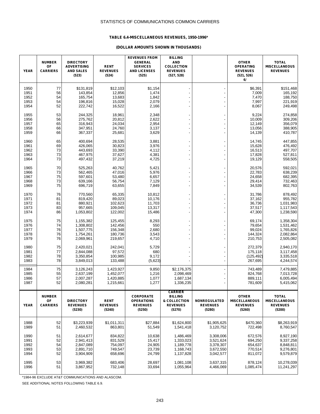### **TABLE 6.4-MISCELLANEOUS REVENUES, 1950-1996\***

#### **(DOLLAR AMOUNTS SHOWN IN THOUSANDS)**

| <b>YEAR</b>                          | <b>NUMBER</b><br>OF<br><b>CARRIERS</b> | <b>DIRECTORY</b><br><b>ADVERTISING</b><br><b>AND SALES</b><br>(523) | <b>RENT</b><br><b>REVENUES</b><br>(524)             | <b>REVENUES FROM</b><br><b>GENERAL</b><br><b>SERVICES</b><br><b>AND LICENSES</b><br>(525) | <b>BILLING</b><br><b>AND</b><br><b>COLLECTION</b><br><b>REVENUES</b><br>(527, 528) |                                                               | <b>OTHER</b><br><b>OPERATING</b><br><b>REVENUES</b><br>(521, 526)<br>6/ | <b>TOTAL</b><br><b>MISCELLANEOUS</b><br><b>REVENUES</b>           |
|--------------------------------------|----------------------------------------|---------------------------------------------------------------------|-----------------------------------------------------|-------------------------------------------------------------------------------------------|------------------------------------------------------------------------------------|---------------------------------------------------------------|-------------------------------------------------------------------------|-------------------------------------------------------------------|
| 1950<br>1951<br>1952<br>1953<br>1954 | 77<br>56<br>54<br>54<br>52             | \$131,819<br>143,854<br>165,754<br>196,816<br>222,742               | \$12,103<br>12,856<br>13,683<br>15,028<br>16,522    | \$1,154<br>1,474<br>1,842<br>2,079<br>2,166                                               |                                                                                    |                                                               | \$6,391<br>7,009<br>7,470<br>7,997<br>8,067                             | \$151,468<br>165,192<br>188,750<br>221,919<br>249,498             |
| 1955<br>1956<br>1957<br>1958<br>1959 | 53<br>56<br>65<br>66<br>66             | 244,325<br>275,762<br>316,943<br>347,951<br>367,337                 | 18,961<br>20,812<br>24,034<br>24,760<br>25,681      | 2,348<br>2,622<br>2,954<br>3,137<br>3,629                                                 |                                                                                    |                                                               | 9,224<br>10,009<br>12,149<br>13,056<br>14,139                           | 274,858<br>309,206<br>356,079<br>388,905<br>410,787               |
| 1960<br>1961<br>1962<br>1963<br>1964 | 65<br>69<br>73<br>73<br>73             | 400,694<br>426,065<br>443,693<br>467,975<br>497,432                 | 28,535<br>30,823<br>33,390<br>37,627<br>37,219      | 3,881<br>3,976<br>4,112<br>4,381<br>4,725                                                 |                                                                                    |                                                               | 14,745<br>15,628<br>16,513<br>17,828<br>19,129                          | 447,855<br>476,492<br>497,707<br>527,811<br>558,505               |
| 1965<br>1966<br>1967<br>1968<br>1969 | 70<br>73<br>75<br>73<br>75             | 525,263<br>562,465<br>597,601<br>639,166<br>696,719                 | 40,762<br>47,016<br>53,480<br>56,754<br>63,655      | 5,421<br>5,976<br>6,657<br>7,129<br>7,849                                                 | ۰                                                                                  |                                                               | 20,576<br>22,783<br>24,658<br>29,414<br>34,539                          | 592,021<br>638,239<br>682,395<br>732,463<br>802,763               |
| 1970<br>1971<br>1972<br>1973<br>1974 | 76<br>81<br>81<br>83<br>86             | 770,560<br>819,420<br>880,921<br>957,665<br>1,053,802               | 65.335<br>89,023<br>102,623<br>109,045<br>122,002   | 10,812<br>10,176<br>11,703<br>13,317<br>15,486                                            |                                                                                    |                                                               | 31.786<br>37,162<br>36,736<br>37,517<br>47,300                          | 878,492<br>955,782<br>1,031,983<br>1,117,543<br>1,238,590         |
| 1975<br>1976<br>1977<br>1978<br>1979 | 75<br>74<br>76<br>76<br>76             | 1,155,382<br>1,308,802<br>1,507,775<br>1,754,261<br>2,069,961       | 125,455<br>142,456<br>156,348<br>180,736<br>219,657 | 8,293<br>550<br>2,680<br>3,543<br>4,710                                                   |                                                                                    |                                                               | 69,174<br>79,654<br>99,024<br>144,324<br>210,753                        | 1,358,304<br>1,531,462<br>1,765,826<br>2,082,864<br>2,505,082     |
| 1980<br>1981<br>1982<br>1983         | 75<br>77<br>78<br>78                   | 2,420,021<br>2,844,088<br>3,350,854<br>3,849,013                    | 242,041<br>97,572<br>100,985<br>133,488             | 5,729<br>680<br>9,172<br>(5,623)                                                          |                                                                                    |                                                               | 272,379<br>175,118<br>(125, 492)<br>267,695                             | 2,940,170<br>3,117,458<br>3,335,518<br>4,244,574                  |
| 1984<br>1985<br>1986<br>1987         | 75<br>55<br>57<br>52                   | 3,126,243<br>2,637,199<br>2,007,287<br>2,080,281                    | 1,423,927<br>1,452,077<br>1,420,885<br>1,215,661    | 9,850<br>1,216<br>1,077<br>1,277                                                          | \$2,176,375<br>2,098,469<br>1,687,134<br>1,336,235                                 |                                                               | 743,489<br>824,768<br>889,111<br>781,609                                | 7,479,885<br>7,013,728<br>6,005,494<br>5,415,062                  |
| <b>YEAR</b>                          | <b>NUMBER</b><br>OF<br><b>CARRIERS</b> | <b>DIRECTORY</b><br><b>REVENUES</b><br>(5230)                       | <b>RENT</b><br><b>REVENUES</b><br>(5240)            | <b>CORPORATE</b><br><b>OPERATIONS</b><br><b>REVENUES</b><br>(5250)                        | <b>CARRIER</b><br><b>BILLING</b><br>& COLLECTION<br><b>REVENUES</b><br>(5270)      | <b>NONREGULATED</b><br><b>REVENUES</b><br>(5280)              | <b>OTHER</b><br><b>MISCELLANEOUS</b><br><b>REVENUES</b><br>(5260)       | <b>TOTAL</b><br><b>MISCELLANEOUS</b><br><b>REVENUES</b><br>(5200) |
| 1988<br>1989                         | 52<br>51                               | \$3,223,939<br>2,460,532                                            | \$1,011,311<br>863,801                              | \$27,884<br>51,549                                                                        | \$1,624,800<br>1,541,418                                                           | \$1,905,625<br>3,120,752                                      | \$470,360<br>722,498                                                    | \$8,263,919<br>8,760,547                                          |
| 1990<br>1991<br>1992<br>1993<br>1994 | 51<br>52<br>54<br>53<br>52             | 2,614,677<br>2,941,413<br>2,847,089<br>2,891,710<br>3,904,909       | 834,822<br>831,529<br>754,097<br>749,547<br>658,696 | 10,638<br>15,417<br>24,905<br>23,739<br>24,799                                            | 1,486,469<br>1.333.023<br>1,189,778<br>1,168,743<br>1,137,828                      | 3,308,006<br>3,521,624<br>3,378,307<br>3,672,550<br>3,042,577 | 672,576<br>694,250<br>654,637<br>770,514<br>811,072                     | 8,927,190<br>9,337,258<br>8,848,811<br>9,276,801<br>9,579,879     |
| 1995<br>1996                         | 53<br>51                               | 3,969,382<br>3,867,952                                              | 683,406<br>732,148                                  | 28,697<br>33,694                                                                          | 1,081,108<br>1,055,964                                                             | 3,637,315<br>4,466,069                                        | 878,124<br>1,085,474                                                    | 10,278,039<br>11,241,297                                          |

\*1984-96 EXCLUDE AT&T COMMUNICATIONS AND ALASCOM.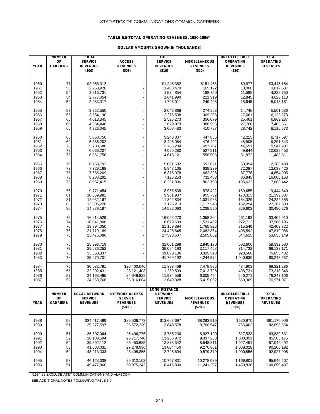### **TABLE 6.5-TOTAL OPERATING REVENUES, 1950-1996\***

### **(DOLLAR AMOUNTS SHOWN IN THOUSANDS)**

| <b>YEAR</b>  | <b>NUMBER</b><br>OF<br><b>CARRIERS</b> | <b>LOCAL</b><br><b>SERVICE</b><br><b>REVENUES</b> | <b>ACCESS</b><br><b>REVENUES</b>        | <b>TOLL</b><br><b>SERVICE</b><br><b>REVENUES</b> | <b>MISCELLANEOUS</b><br><b>REVENUES</b> | <b>UNCOLLECTIBLE</b><br><b>OPERATING</b><br><b>REVENUES</b> | <b>TOTAL</b><br><b>OPERATING</b><br><b>REVENUES</b> |
|--------------|----------------------------------------|---------------------------------------------------|-----------------------------------------|--------------------------------------------------|-----------------------------------------|-------------------------------------------------------------|-----------------------------------------------------|
|              |                                        | (500)                                             | (508)                                   | (510)                                            | (520)                                   | (530)                                                       |                                                     |
| 1950         | 77                                     | \$2,058,312                                       |                                         | \$1.245.352                                      | \$151,468                               | \$9,977                                                     | \$3,445,154                                         |
| 1951         | 56                                     | 2,258,926                                         |                                         | 1,403,479                                        | 165,192                                 | 10,060                                                      | 3,817,537                                           |
| 1952         | 54                                     | 2,516,731                                         |                                         | 1,534,854                                        | 188,750                                 | 11,585                                                      | 4,228,750                                           |
| 1953         | 54                                     | 2,777,054                                         |                                         | 1,641,990                                        | 221,919                                 | 12,845                                                      | 4,628,118                                           |
| 1954         | 52                                     | 2,983,317                                         |                                         | 1,796,011                                        | 249,498                                 | 15,645                                                      | 5,013,181                                           |
| 1955         | 53                                     | 3,252,550                                         |                                         | 2,048,868                                        | 274,858                                 | 14,746                                                      | 5,561,530                                           |
| 1956         | 56                                     | 3,554,190                                         |                                         | 2,276,538                                        | 309,206                                 | 17,661                                                      | 6,122,273                                           |
| 1957         | 65                                     | 4,013,345                                         |                                         | 2,525,273                                        | 356,079                                 | 25,461                                                      | 6,869,237                                           |
| 1958         | 66                                     | 4,364,448                                         |                                         | 2,679,973                                        | 388,905                                 | 27,766                                                      | 7,405,561                                           |
| 1959         | 66                                     | 4,726,045                                         |                                         | 3,008,483                                        | 410,787                                 | 28,742                                                      | 8,116,573                                           |
| 1960         | 65                                     | 5,068,750                                         |                                         | 3,243,307                                        | 447,855                                 | 42,215                                                      | 8,717,697                                           |
| 1961         | 69                                     | 5,366,202                                         |                                         | 3,495,054                                        | 476,492                                 | 45,905                                                      | 9,291,843                                           |
| 1962         | 73                                     | 5,708,588                                         |                                         | 3,786,284                                        | 497,707                                 | 44,591                                                      | 9,947,987                                           |
| 1963<br>1964 | 73<br>73                               | 6,066,207<br>6,361,756                            |                                         | 4,095,280<br>4,615,121                           | 527,811<br>558,505                      | 49,844<br>51,872                                            | 10,639,453<br>11,483,511                            |
|              |                                        |                                                   |                                         |                                                  |                                         |                                                             |                                                     |
| 1965         | 70                                     | 6,758,792                                         |                                         | 5,091,582                                        | 592,021                                 | 58,994                                                      | 12,383,400                                          |
| 1966         | 73<br>75                               | 7,229,168                                         |                                         | 5,843,105<br>6,375,078                           | 638,239<br>682,395                      | 72,087                                                      | 13,638,426<br>14,654,905                            |
| 1967<br>1968 | 73                                     | 7,685,209<br>8,233,292                            |                                         | 7,126,253                                        | 732,463                                 | 87,776<br>86,845                                            | 16,005,163                                          |
| 1969         | 75                                     | 8,957,415                                         |                                         | 8,231,896                                        | 802,763                                 | 108,632                                                     | 17,883,442                                          |
|              |                                        |                                                   |                                         |                                                  |                                         |                                                             |                                                     |
| 1970<br>1971 | 76<br>81                               | 9,771,454<br>10.659.981                           |                                         | 8,955,538                                        | 878,492<br>955,782                      | 160,655<br>178,313                                          | 19,444,840                                          |
| 1972         | 81                                     | 12,032,167                                        |                                         | 9,961,937<br>11,322,834                          | 1,031,983                               | 164,329                                                     | 21,399,387<br>24,222,655                            |
| 1973         | 83                                     | 13,306,226                                        |                                         | 13,126,213                                       | 1,117,543                               | 182,294                                                     | 27,367,688                                          |
| 1974         | 86                                     | 14,889,197                                        |                                         | 14,582,093                                       | 1,238,590                               | 229,603                                                     | 30,480,276                                          |
| 1975         | 75                                     | 16,214,529                                        |                                         | 16,098,270                                       | 1,358,304                               | 261,193                                                     | 33,409,910                                          |
| 1976         | 74                                     | 18,041,806                                        |                                         | 18,679,639                                       | 1,531,462                               | 272,712                                                     | 37,980,196                                          |
| 1977         | 76                                     | 19,794,050                                        |                                         | 21,159,394                                       | 1,765,826                               | 315,549                                                     | 42,403,722                                          |
| 1978         | 76                                     | 21,719,169                                        |                                         | 24,425,645                                       | 2,082,864                               | 408,592                                                     | 47,819,086                                          |
| 1979         | 76                                     | 23,476,086                                        |                                         | 27,598,607                                       | 2,505,082                               | 544,625                                                     | 53,035,149                                          |
| 1980         | 75                                     | 25,993,719                                        |                                         | 31,001,298                                       | 2,940,170                               | 602,606                                                     | 59,332,580                                          |
| 1981         | 77                                     | 29,636,252                                        |                                         | 36,094,193                                       | 3,117,458                               | 714,732                                                     | 68,133,171                                          |
| 1982         | 78                                     | 33,568,337                                        |                                         | 39,870,106                                       | 3,335,518                               | 920,560                                                     | 75,853,402                                          |
| 1983         | 78                                     | 35,270,701                                        |                                         | 41,769,192                                       | 4,244,574                               | 1,040,830                                                   | 80,243,637                                          |
| 1984         | 75                                     | 30,532,791                                        | \$20,400,046                            | 11,393,469                                       | 7,479,885                               | 484,903                                                     | 69,321,286                                          |
| 1985<br>1986 | 55<br>57                               | 32,292,431<br>34, 163, 495                        | 23,121,408<br>24,649,832                | 11,289,509<br>11,974,556                         | 7,013,728<br>6,005,494                  | 498,731<br>546,271                                          | 73,218,346<br>76,247,106                            |
| 1987         | 52                                     | 34,558,766                                        | 25,016,684                              | 12,649,928                                       | 5,415,062                               | 669,369                                                     | 76,971,071                                          |
|              |                                        |                                                   |                                         |                                                  |                                         |                                                             |                                                     |
|              |                                        |                                                   |                                         | <b>LONG DISTANCE</b>                             |                                         |                                                             | <b>TOTAL</b>                                        |
|              | <b>NUMBER</b><br>OF                    | <b>LOCAL NETWORK</b><br><b>SERVICE</b>            | <b>NETWORK ACCESS</b><br><b>SERVICE</b> | <b>NETWORK</b><br><b>SERVICE</b>                 | <b>MISCELLANEOUS</b>                    | <b>UNCOLLECTIBLE</b><br><b>OPERATING</b>                    | <b>OPERATING</b>                                    |
| <b>YEAR</b>  | <b>CARRIERS</b>                        | <b>REVENUES</b>                                   | <b>REVENUES</b>                         | <b>REVENUES</b>                                  | <b>REVENUES</b>                         | <b>REVENUES</b>                                             | <b>REVENUES</b>                                     |
|              |                                        |                                                   | (5080)                                  |                                                  | (5200)                                  | (5300)                                                      |                                                     |
| 1988         | 52                                     | \$34,417,499                                      | \$25,506,773                            | \$13,663,697                                     | \$8,263,919                             | \$680,970                                                   | \$81,170,906                                        |
| 1989         | 51                                     | 35,277,597                                        | 25,572,230                              | 13,848,578                                       | 8,760,547                               | 765,402                                                     | 82,693,554                                          |
|              |                                        |                                                   |                                         |                                                  |                                         |                                                             |                                                     |
| 1990         | 51                                     | 36,507,964                                        | 25,496,776                              | 13,785,236                                       | 8,927,190                               | 827,533                                                     | 83,889,631                                          |
| 1991         | 52                                     | 38,183,594                                        | 25,717,740                              | 13,266,972                                       | 9,337,258                               | 1,000,391                                                   | 85,505,175                                          |
| 1992         | 54                                     | 39,892,112                                        | 26,453,685                              | 12,875,342                                       | 8,848,811                               | 1,027,451                                                   | 87,042,492                                          |
| 1993<br>1994 | 53<br>52                               | 41,683,031<br>43,213,333                          | 27,279,936<br>28,498,855                | 13,034,450<br>12,726,694                         | 9,276,801<br>9,579,879                  | 1,068,028<br>1,090,856                                      | 90,206,192<br>92,927,905                            |
|              |                                        |                                                   |                                         |                                                  |                                         |                                                             |                                                     |
| 1995         | 53                                     | 46,128,038                                        | 29,612,103                              | 10,797,831                                       | 10,278,039                              | 1,169,801                                                   | 95,646,207                                          |
| 1996         | 51                                     | 49,477,860                                        | 30,975,342                              | 10,415,830                                       | 11,241,297                              | 1,459,836                                                   | 100,650,497                                         |

\*1984-96 EXCLUDE AT&T COMMUNICATIONS AND ALASCOM.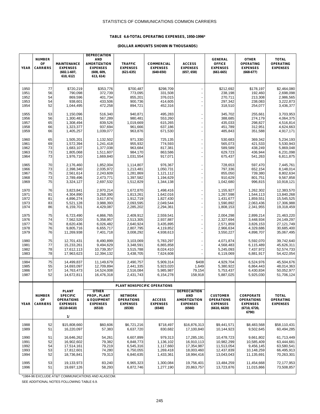### **TABLE 6.6-TOTAL OPERATING EXPENSES, 1950-1996\***

# **(DOLLAR AMOUNTS SHOWN IN THOUSANDS)**

| <b>YEAR</b>          | <b>NUMBER</b><br>OF<br><b>CARRIERS</b> | <b>MAINTENANCE</b><br><b>EXPENSES</b><br>$(602.1 - 607,$<br>610, 612)    | <b>DEPRECIATION</b><br><b>AND</b><br><b>AMORTIZATION</b><br><b>EXPENSES</b><br>(608, 609,<br>613, 614) | <b>TRAFFIC</b><br><b>EXPENSES</b><br>$(621-635)$                 | <b>COMMERCIAL</b><br><b>EXPENSES</b><br>$(640 - 650)$ | <b>ACCESS</b><br><b>EXPENSES</b><br>(657, 658)                 | <b>GENERAL</b><br><b>OFFICE</b><br><b>EXPENSES</b><br>$(661 - 665)$     | <b>OTHER</b><br><b>OPERATING</b><br><b>EXPENSES</b><br>$(668-677)$                | <b>TOTAL</b><br><b>OPERATING</b><br><b>EXPENSES</b> |
|----------------------|----------------------------------------|--------------------------------------------------------------------------|--------------------------------------------------------------------------------------------------------|------------------------------------------------------------------|-------------------------------------------------------|----------------------------------------------------------------|-------------------------------------------------------------------------|-----------------------------------------------------------------------------------|-----------------------------------------------------|
| 1950                 | 77                                     | \$720,219                                                                | \$353,776                                                                                              | \$700,487                                                        | \$298,709                                             | ÷.                                                             | \$212,692                                                               | \$178,197                                                                         | \$2,464,080                                         |
| 1951                 | 56                                     | 790,098                                                                  | 372,739                                                                                                | 773,095                                                          | 331,508                                               |                                                                | 238,198                                                                 | 192,460                                                                           | 2,698,098                                           |
| 1952                 | 54                                     | 869,596                                                                  | 401,734                                                                                                | 855,201                                                          | 376,015                                               |                                                                | 270,711                                                                 | 213,308                                                                           | 2,986,565                                           |
| 1953                 | 54                                     | 938,601                                                                  | 433,506                                                                                                | 900,736                                                          | 414,605                                               |                                                                | 297,342                                                                 | 238,083                                                                           | 3,222,873                                           |
| 1954                 | 52                                     | 1,044,495                                                                | 472,258                                                                                                | 894,721                                                          | 452,316                                               |                                                                | 318,510                                                                 | 254,077                                                                           | 3,436,377                                           |
| 1955                 | 53                                     | 1,150,096                                                                | 516,340                                                                                                | 940,871                                                          | 495,283                                               | ÷,                                                             | 345,702                                                                 | 255,661                                                                           | 3,703,953                                           |
| 1956                 | 56                                     | 1,300,481                                                                | 567,289                                                                                                | 980.481                                                          | 553,260                                               |                                                                | 388,685                                                                 | 274,179                                                                           | 4,064,375                                           |
| 1957                 | 65                                     | 1,308,494                                                                | 839,526                                                                                                | 1,019,669                                                        | 615,265                                               |                                                                | 435,033                                                                 | 298,827                                                                           | 4,516,814                                           |
| 1958                 | 66                                     | 1,323,377                                                                | 937,694                                                                                                | 961,666                                                          | 637,186                                               | $\overline{\phantom{a}}$                                       | 451,789                                                                 | 312,951                                                                           | 4,624,663                                           |
| 1959                 | 66                                     | 1,405,257                                                                | 1,039,077                                                                                              | 963,876                                                          | 671,530                                               |                                                                | 485,843                                                                 | 351,588                                                                           | 4,917,171                                           |
| 1960                 | 65                                     | 1,505,201                                                                | 1,132,502                                                                                              | 971,330                                                          | 725,135                                               |                                                                | 530,683                                                                 | 369,342                                                                           | 5,234,193                                           |
| 1961                 | 69                                     | 1,572,394                                                                | 1,241,418                                                                                              | 955,932                                                          | 774,593                                               |                                                                | 565,073                                                                 | 421,533                                                                           | 5,530,943                                           |
| 1962                 | 73                                     | 1,683,107                                                                | 1,377,038                                                                                              | 963,684                                                          | 817,381                                               | ÷,                                                             | 589,589                                                                 | 438,249                                                                           | 5,869,048                                           |
| 1963                 | 73                                     | 1,805,068                                                                | 1,511,607                                                                                              | 984,170                                                          | 863,586                                               |                                                                | 629,723                                                                 | 436,944                                                                           | 6,231,098                                           |
| 1964                 | 73                                     | 1,976,710                                                                | 1,669,840                                                                                              | 1,031,554                                                        | 917,071                                               |                                                                | 675,437                                                                 | 541,263                                                                           | 6,811,875                                           |
| 1965                 | 70                                     | 2,176,460                                                                | 1,852,004                                                                                              | 1.114.807                                                        | 976,367                                               |                                                                | 728,653                                                                 | 597,470                                                                           | 7,445,761                                           |
| 1966                 | 73                                     | 2,398,340                                                                | 2,035,972                                                                                              | 1,213,481                                                        | 1,050,731                                             |                                                                | 797,336                                                                 | 652,154                                                                           | 8,148,014                                           |
| 1967<br>1968<br>1969 | 75<br>73<br>75                         | 2.561.614<br>2,789,496<br>3,324,127                                      | 2,243,609<br>2,473,771<br>2,697,532                                                                    | 1,281,869<br>1,397,582<br>1,512,829                              | 1,121,112<br>1,194,629<br>1,344,138                   | ÷,<br>÷,                                                       | 855,050<br>910,629<br>1,042,680                                         | 739,380<br>801,751<br>996,815                                                     | 8,802,634<br>9.567.858<br>10,918,121                |
| 1970                 | 76                                     | 3.823.841                                                                | 2,970,214                                                                                              | 1,672,870                                                        | 1,498,416                                             | ä,                                                             | 1,155,927                                                               | 1,262,302                                                                         | 12,383,570                                          |
| 1971                 | 81                                     | 4,304,890                                                                | 3,268,390                                                                                              | 1,813,261                                                        | 1,642,016                                             |                                                                | 1,267,598                                                               | 1,544,113                                                                         | 13,840,268                                          |
| 1972                 | 81                                     | 4,896,274                                                                | 3,617,874                                                                                              | 1,912,719                                                        | 1,827,430                                             | ÷,                                                             | 1,431,677                                                               | 1.859.551                                                                         | 15,545,525                                          |
| 1973                 | 83                                     | 5,521,128                                                                | 3,988,393                                                                                              | 2,093,595                                                        | 2,049,544                                             | ÷,                                                             | 1,590,892                                                               | 2,063,436                                                                         | 17,306,988                                          |
| 1974                 | 86                                     | 6,159,701                                                                | 4,429,087                                                                                              | 2,285,202                                                        | 2,294,361                                             | ä,                                                             | 1,808,153                                                               | 2,341,955                                                                         | 19,318,459                                          |
| 1975                 | 75                                     | 6,723,490                                                                | 4,866,765                                                                                              | 2,409,912                                                        | 2,559,541                                             |                                                                | 2,004,298                                                               | 2,899,214                                                                         | 21,463,220                                          |
| 1976                 | 74                                     | 7,562,520                                                                | 5,358,957                                                                                              | 2,513,305                                                        | 2,937,887                                             |                                                                | 2,327,694                                                               | 3,448,934                                                                         | 24,149,297                                          |
| 1977                 | 76                                     | 8,620,436                                                                | 6,026,482                                                                                              | 2,640,924                                                        | 3,435,895                                             |                                                                | 2,571,859                                                               | 3,826,153                                                                         | 27,121,749                                          |
| 1978                 | 76                                     | 9,805,716                                                                | 6,655,717                                                                                              | 2,807,795                                                        | 4,119,852                                             | ÷,                                                             | 2,966,634                                                               | 4,329,686                                                                         | 30,685,400                                          |
| 1979                 | 76                                     | 11,269,938                                                               | 7,401,718                                                                                              | 3,008,292                                                        | 4,938,613                                             | ÷,                                                             | 3,550,227                                                               | 4,898,707                                                                         | 35,067,495                                          |
| 1980<br>1981<br>1982 | 75<br>77<br>78                         | 12,701,431<br>15,233,261<br>17,612,113                                   | 8,490,899<br>9,494,629<br>10,739,357                                                                   | 3,103,069<br>3,348,591<br>3,515,788                              | 5,783,297<br>6,865,858<br>8,024,410                   | ÷,<br>Ĭ.                                                       | 4,071,874<br>4,568,483<br>5,245,093                                     | 5,592,070<br>6,115,489<br>7,437,972                                               | 39,742,640<br>45,626,311<br>52,574,733              |
| 1983                 | 78                                     | 17,963,623                                                               | 12,394,132                                                                                             | 3,438,705                                                        | 7,624,608                                             | ÷,                                                             | 6,119,069                                                               | 6,881,917                                                                         | 54,422,054                                          |
| 1984                 | 75                                     | 14,499,837                                                               | 11,149,679                                                                                             | 2,490,757                                                        | 5,909,314                                             | \$408                                                          | 4,929,704                                                               | 6,524,976                                                                         | 45,504,676                                          |
| 1985                 | 55                                     | 14,693,097                                                               | 12,709,894                                                                                             | 2,441,335                                                        | 5,923,020                                             | 1,649                                                          | 5,380,922                                                               | 6,864,443                                                                         | 48,014,363                                          |
| 1986                 | 57                                     | 14,763,473                                                               | 14,524,008                                                                                             | 2,516,084                                                        | 5,985,987                                             | 79,154                                                         | 5,753,437                                                               | 6,430,834                                                                         | 50,052,977                                          |
| 1987                 | 52                                     | 14,672,811                                                               | 16,476,318                                                                                             | 2,431,743                                                        | 6,154,278                                             | 158,918                                                        | 5,887,025                                                               | 5,925,030                                                                         | 51,706,124                                          |
|                      |                                        | <b>PLANT</b>                                                             | <b>OTHER</b>                                                                                           |                                                                  | PLANT NONSPECIFIC OPERATIONS                          | <b>DEPRECIATION</b>                                            |                                                                         |                                                                                   |                                                     |
| <b>YEAR</b>          | <b>NUMBER</b><br>OF<br><b>CARRIERS</b> | <b>SPECIFIC</b><br><b>OPERATIONS</b><br><b>EXPENSES</b><br>$(6110-6410)$ | PROP., PLANT<br><b>&amp; EQUIPMENT</b><br><b>EXPENSES</b><br>(6510)                                    | <b>NETWORK</b><br><b>OPERATIONS</b><br><b>EXPENSES</b><br>(6530) | <b>ACCESS</b><br><b>EXPENSES</b><br>(6540)            | <b>AND</b><br><b>AMORTIZATION</b><br><b>EXPENSES</b><br>(6560) | <b>CUSTOMER</b><br><b>OPERATIONS</b><br><b>EXPENSES</b><br>(6610, 6620) | <b>CORPORATE</b><br><b>OPERATIONS</b><br><b>EXPENSES</b><br>(6710, 6720,<br>6790) | <b>TOTAL</b><br><b>OPERATING</b><br><b>EXPENSES</b> |
|                      |                                        | 11                                                                       |                                                                                                        |                                                                  |                                                       |                                                                |                                                                         |                                                                                   |                                                     |
| 1988                 | 52                                     | \$15,808,660                                                             | \$60,606                                                                                               | \$6,721,216                                                      | \$718,497                                             | \$16,876,313                                                   | \$9,441,571                                                             | \$8,483,568                                                                       | \$58,110,431                                        |
| 1989                 | 51                                     | 16,220,097                                                               | 57,383                                                                                                 | 6,637,720                                                        | 830,682                                               | 17,100,840                                                     | 10,144,923                                                              | 9,502,645                                                                         | 60,494,285                                          |
| 1990                 | 51                                     | 16,646,262                                                               | 54,261                                                                                                 | 6,607,899                                                        | 979,313                                               | 17,285,191                                                     | 10,478,723                                                              | 9,661,802                                                                         | 61,713,449                                          |
| 1991                 | 52                                     | 16,902,602                                                               | 79,382                                                                                                 | 6,848,773                                                        | 1,136,102                                             | 16,910,113                                                     | 10,982,299                                                              | 10,585,409                                                                        | 63,444,681                                          |
| 1992                 | 54                                     | 17,514,161                                                               | 79,219                                                                                                 | 6,545,316                                                        | 1.117.660                                             | 17,354,987                                                     | 11,513,054                                                              | 9,456,145                                                                         | 63,580,541                                          |
| 1993                 | 53                                     | 17,812,601                                                               | 74,280                                                                                                 | 6,750,055                                                        | 1,269,418                                             | 18,003,460                                                     | 12,437,839                                                              | 10,148,259                                                                        | 66,495,913                                          |
| 1994                 | 52                                     | 18,736,841                                                               | 79,313                                                                                                 | 6,840,635                                                        | 1,433,361                                             | 18,994,416                                                     | 13,043,043                                                              | 11,135,691                                                                        | 70,263,301                                          |
| 1995                 | 53                                     | 19,133,973                                                               | 83,240                                                                                                 | 6,965,323                                                        | 1,300,084                                             | 19,756,401                                                     | 13,484,259                                                              | 11,454,668                                                                        | 72,177,953                                          |
| 1996                 | 51                                     | 19,697,126                                                               | 58,293                                                                                                 | 6,872,746                                                        | 1,277,190                                             | 20,863,757                                                     | 13,723,876                                                              | 11,015,866                                                                        | 73,508,857                                          |

\*1984-96 EXCLUDE AT&T COMMUNICATIONS AND ALASCOM.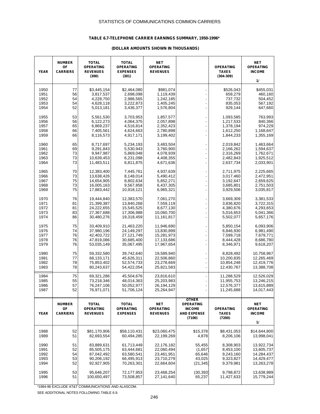### **TABLE 6.7-TELEPHONE CARRIER EARNINGS SUMMARY, 1950-1996\***

#### **(DOLLAR AMOUNTS SHOWN IN THOUSANDS)**

| <b>YEAR</b>  | <b>NUMBER</b><br>OF<br><b>CARRIERS</b> | <b>TOTAL</b><br><b>OPERATING</b><br><b>REVENUES</b><br>(300) | <b>TOTAL</b><br><b>OPERATING</b><br><b>EXPENSES</b><br>(301) | <b>NET</b><br><b>OPERATING</b><br><b>REVENUES</b> |                                   | <b>OPERATING</b><br><b>TAXES</b><br>$(304 - 309)$ | <b>NET</b><br><b>OPERATING</b><br><b>INCOME</b><br>11 |
|--------------|----------------------------------------|--------------------------------------------------------------|--------------------------------------------------------------|---------------------------------------------------|-----------------------------------|---------------------------------------------------|-------------------------------------------------------|
|              |                                        |                                                              |                                                              |                                                   |                                   |                                                   |                                                       |
| 1950         | 77                                     | \$3,445,154                                                  | \$2,464,080                                                  | \$981,074                                         |                                   | \$526,043                                         | \$455,031                                             |
| 1951<br>1952 | 56<br>54                               | 3,817,537<br>4,228,750                                       | 2,698,098<br>2,986,565                                       | 1,119,439<br>1,242,185                            |                                   | 659,279<br>737,732                                | 460,160<br>504,452                                    |
| 1953         | 54                                     | 4,628,118                                                    | 3,222,873                                                    | 1,405,245                                         |                                   | 835,053                                           | 567,192                                               |
| 1954         | 52                                     | 5,013,181                                                    | 3,436,377                                                    | 1,576,804                                         |                                   | 929,144                                           | 647,660                                               |
| 1955         | 53                                     | 5,561,530                                                    | 3,703,953                                                    | 1,857,577                                         |                                   | 1,093,585                                         | 763,993                                               |
| 1956         | 56                                     | 6,122,273                                                    | 4,064,375                                                    | 2,057,898                                         |                                   | 1,217,533                                         | 840,366                                               |
| 1957         | 65                                     | 6,869,237                                                    | 4,516,814                                                    | 2,352,423                                         |                                   | 1,378,194                                         | 974,229                                               |
| 1958         | 66                                     | 7,405,561                                                    | 4,624,663                                                    | 2,780,898                                         |                                   | 1,612,250                                         | 1,168,647                                             |
| 1959         | 66                                     | 8,116,573                                                    | 4,917,171                                                    | 3,199,402                                         |                                   | 1,844,233                                         | 1,355,169                                             |
| 1960         | 65                                     | 8,717,697                                                    | 5,234,193                                                    | 3,483,504                                         |                                   | 2,019,842                                         | 1,463,664                                             |
| 1961         | 69                                     | 9,291,843                                                    | 5,530,943                                                    | 3,760,900                                         |                                   | 2,166,262                                         | 1,594,637                                             |
| 1962<br>1963 | 73<br>73                               | 9,947,987<br>10,639,453                                      | 5,869,048<br>6,231,098                                       | 4,078,939<br>4,408,355                            |                                   | 2,316,269                                         | 1,762,671<br>1,925,512                                |
| 1964         | 73                                     | 11,483,511                                                   | 6,811,875                                                    | 4,671,636                                         |                                   | 2,482,843<br>2,637,734                            | 2,033,901                                             |
|              |                                        |                                                              |                                                              |                                                   |                                   |                                                   |                                                       |
| 1965         | 70                                     | 12,383,400                                                   | 7,445,761                                                    | 4,937,639                                         |                                   | 2,711,975                                         | 2,225,665                                             |
| 1966<br>1967 | 73<br>75                               | 13,638,426                                                   | 8,148,014                                                    | 5,490,412                                         |                                   | 3,017,460                                         | 2,472,951<br>2,659,625                                |
| 1968         | 73                                     | 14,654,905<br>16,005,163                                     | 8,802,634<br>9,567,858                                       | 5,852,271<br>6,437,305                            |                                   | 3,192,647<br>3,685,801                            | 2,751,503                                             |
| 1969         | 75                                     | 17,883,442                                                   | 10,918,121                                                   | 6,965,321                                         | Ĭ.                                | 3,929,506                                         | 3,035,817                                             |
|              |                                        |                                                              |                                                              |                                                   |                                   |                                                   |                                                       |
| 1970<br>1971 | 76<br>81                               | 19,444,840<br>21,399,387                                     | 12,383,570<br>13,840,268                                     | 7,061,270<br>7,559,119                            |                                   | 3,669,309<br>3,836,820                            | 3,381,533<br>3,722,315                                |
| 1972         | 81                                     | 24,222,655                                                   | 15,545,525                                                   | 8,677,130                                         |                                   | 4,380,676                                         | 4,293,653                                             |
| 1973         | 83                                     | 27,367,688                                                   | 17,306,988                                                   | 10,060,700                                        |                                   | 5,016,653                                         | 5,041,366                                             |
| 1974         | 86                                     | 30,480,276                                                   | 19,318,459                                                   | 11,161,817                                        |                                   | 5,502,077                                         | 5,657,176                                             |
| 1975         | 75                                     | 33,409,910                                                   | 21,463,220                                                   | 11,946,690                                        |                                   | 5,850,154                                         | 6,093,906                                             |
| 1976         | 74                                     | 37,980,196                                                   | 24,149,297                                                   | 13,830,899                                        |                                   | 6,846,930                                         | 6,981,490                                             |
| 1977         | 76                                     | 42,403,722                                                   | 27,121,749                                                   | 15,281,973                                        |                                   | 7,599,718                                         | 7,679,771                                             |
| 1978         | 76                                     | 47,819,086                                                   | 30,685,400                                                   | 17,133,686                                        |                                   | 8,444,428                                         | 8,686,780                                             |
| 1979         | 76                                     | 53,035,149                                                   | 35,067,495                                                   | 17,967,654                                        |                                   | 8,346,971                                         | 9,618,207                                             |
| 1980         | 75                                     | 59,332,580                                                   | 39,742,640                                                   | 19,589,940                                        |                                   | 8,828,492                                         | 10,758,967                                            |
| 1981         | 77                                     | 68,133,171                                                   | 45,626,311                                                   | 22,506,860                                        |                                   | 10,200,835                                        | 12,265,469                                            |
| 1982         | 78                                     | 75,853,402                                                   | 52,574,733                                                   | 23,278,669                                        |                                   | 10,854,248                                        | 12,419,776                                            |
| 1983         | 78                                     | 80,243,637                                                   | 54,422,054                                                   | 25,821,583                                        | $\overline{a}$                    | 12,430,767                                        | 13,388,708                                            |
| 1984         | 75                                     | 69,321,286                                                   | 45,504,676                                                   | 23,816,610                                        |                                   | 11,288,529                                        | 12,526,029                                            |
| 1985         | 55                                     | 73,218,346                                                   | 48,014,363                                                   | 25,203,983                                        |                                   | 11,955,753                                        | 13,246,215                                            |
| 1986<br>1987 | 57<br>52                               | 76,247,106                                                   | 50,052,977<br>51,706,124                                     | 26,194,129<br>25,264,947                          |                                   | 12,576,377<br>11,245,688                          | 13,615,889<br>14,017,443                              |
|              |                                        | 76,971,071                                                   |                                                              |                                                   |                                   |                                                   |                                                       |
|              |                                        |                                                              |                                                              |                                                   | <b>OTHER</b>                      |                                                   |                                                       |
|              | <b>NUMBER</b><br>OF                    | <b>TOTAL</b><br><b>OPERATING</b>                             | <b>TOTAL</b><br><b>OPERATING</b>                             | <b>NET</b><br><b>OPERATING</b>                    | <b>OPERATING</b><br><b>INCOME</b> | <b>OPERATING</b>                                  | NET<br><b>OPERATING</b>                               |
| <b>YEAR</b>  | <b>CARRIERS</b>                        | <b>REVENUES</b>                                              | <b>EXPENSES</b>                                              | <b>REVENUES</b>                                   | <b>AND EXPENSE</b>                | <b>TAXES</b>                                      | <b>INCOME</b>                                         |
|              |                                        |                                                              |                                                              |                                                   | (7100)                            | (7200)                                            |                                                       |
|              |                                        |                                                              |                                                              |                                                   |                                   |                                                   | 11                                                    |
| 1988         | 52                                     | \$81,170,906                                                 | \$58,110,431                                                 | \$23,060,475                                      | \$15,378                          | \$8,431,053                                       | \$14,644,800                                          |
| 1989         | 51                                     | 82,693,554                                                   | 60,494,285                                                   | 22,199,269                                        | 4,878                             | 8,206,106                                         | 13,998,041                                            |
|              |                                        |                                                              |                                                              |                                                   |                                   |                                                   |                                                       |
| 1990         | 51                                     | 83,889,631                                                   | 61,713,449                                                   | 22,176,182                                        | 55,455                            | 8,308,903                                         | 13,922,734                                            |
| 1991         | 52                                     | 85,505,175                                                   | 63,444,681                                                   | 22,060,494                                        | (1,657)                           | 8,453,100                                         | 13,605,737                                            |
| 1992<br>1993 | 54<br>53                               | 87,042,492<br>90,206,192                                     | 63,580,541<br>66,495,913                                     | 23,461,951<br>23,710,279                          | 65,646<br>43,025                  | 9,243,160<br>9,323,827                            | 14,284,437<br>14,429,477                              |
| 1994         | 52                                     | 92,927,905                                                   | 70,263,301                                                   | 22,664,604                                        | (21, 345)                         | 9,379,981                                         | 13,263,278                                            |
|              |                                        |                                                              |                                                              |                                                   |                                   |                                                   |                                                       |
| 1995         | 53                                     | 95,646,207                                                   | 72,177,953                                                   | 23,468,254                                        | (30, 393)                         | 9,798,872                                         | 13,638,989                                            |
| 1996         | 51                                     | 100,650,497                                                  | 73,508,857                                                   | 27,141,640                                        | 65,237                            | 11,427,633                                        | 15,779,244                                            |
|              |                                        |                                                              |                                                              |                                                   |                                   |                                                   |                                                       |

\*1984-96 EXCLUDE AT&T COMMUNICATIONS AND ALASCOM.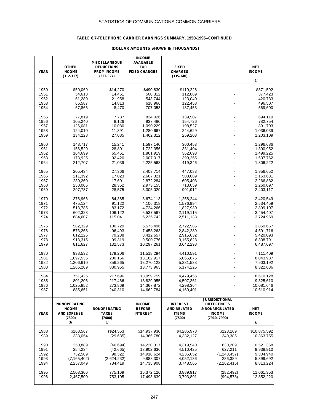# **TABLE 6.7-TELEPHONE CARRIER EARNINGS SUMMARY, 1950-1996--CONTINUED**

|              |                                      | <b>MISCELLANEOUS</b>                    | <b>INCOME</b><br><b>AVAILABLE</b>  |                                       |                                      |                             |
|--------------|--------------------------------------|-----------------------------------------|------------------------------------|---------------------------------------|--------------------------------------|-----------------------------|
| <b>YEAR</b>  | <b>OTHER</b><br><b>INCOME</b>        | <b>DEDUCTIONS</b><br><b>FROM INCOME</b> | <b>FOR</b><br><b>FIXED CHARGES</b> | <b>FIXED</b><br><b>CHARGES</b>        |                                      | <b>NET</b><br><b>INCOME</b> |
|              | $(312 - 317)$                        | $(323 - 327)$                           |                                    | $(335-340)$                           |                                      | 21                          |
| 1950         | \$50,069                             | \$14,270                                | \$490,830                          | \$119,228                             |                                      | \$371,592                   |
| 1951         | 54,613                               | 14,461                                  | 500,312                            | 112,889                               |                                      | 377,423                     |
| 1952         | 61,280                               | 21,958                                  | 543,744                            | 123,040                               |                                      | 420,733                     |
| 1953<br>1954 | 66,587<br>67,863                     | 14,813<br>8,470                         | 618,966<br>707,053                 | 122,458<br>137,453                    | $\frac{1}{2}$                        | 496,507<br>569,600          |
|              |                                      |                                         |                                    |                                       |                                      |                             |
| 1955         | 77,819                               | 7,787                                   | 834,026                            | 139,907                               |                                      | 694,119                     |
| 1956<br>1957 | 105,240<br>126,081                   | 8,126<br>10,080                         | 937,480<br>1,090,229               | 154,726<br>198,527                    | $\overline{a}$                       | 782,754<br>891,703          |
| 1958         | 124,010                              | 11,891                                  | 1,280,667                          | 244,629                               |                                      | 1,036,039                   |
| 1959         | 134,228                              | 27,085                                  | 1,462,312                          | 259,203                               | $\overline{\phantom{0}}$             | 1,203,109                   |
| 1960         | 148,717                              | 15,241                                  | 1,597,140                          | 300,453                               |                                      | 1,296,686                   |
| 1961         | 156,520                              | 28,801                                  | 1,722,356                          | 331,404                               | $\overline{a}$                       | 1,390,952                   |
| 1962         | 164,699                              | 65,451                                  | 1,861,919                          | 362,693                               | $\overline{a}$                       | 1,499,225                   |
| 1963<br>1964 | 173,925                              | 92,420                                  | 2,007,017<br>2,225,568             | 399,255<br>419,346                    | $\overline{a}$                       | 1,607,762                   |
|              | 212,707                              | 21,039                                  |                                    |                                       |                                      | 1,806,222                   |
| 1965         | 205,434                              | 27,366                                  | 2,403,714                          | 447,083                               | $\overline{\phantom{a}}$             | 1,956,652                   |
| 1966<br>1967 | 211,392                              | 17,023<br>17,601                        | 2,667,321                          | 503,689<br>605,403                    | ÷,                                   | 2,163,631                   |
| 1968         | 230,260<br>250,005                   | 28,352                                  | 2,872,284<br>2,973,155             | 713,059                               | $\overline{\phantom{0}}$             | 2,266,882<br>2,260,097      |
| 1969         | 297,787                              | 28,575                                  | 3,305,029                          | 901,912                               |                                      | 2,403,117                   |
| 1970         | 376,966                              | 84,385                                  | 3,674,113                          | 1,258,244                             |                                      | 2,420,549                   |
| 1971         | 475,124                              | 91,122                                  | 4,106,318                          | 1,576,994                             |                                      | 2,534,459                   |
| 1972         | 513,785                              | 83,172                                  | 4,724,266                          | 1,827,930                             | L,                                   | 2,899,107                   |
| 1973         | 602,323                              | 106,122                                 | 5,537,567                          | 2,119,115                             |                                      | 3,454,407                   |
| 1974         | 684,607                              | 115,041                                 | 6,226,742                          | 2,511,138                             | L                                    | 3,724,969                   |
| 1975         | 582,329                              | 100,729                                 | 6,575,496                          | 2,722,985                             |                                      | 3,859,667                   |
| 1976         | 573,268                              | 96,493                                  | 7,458,263                          | 2,842,289                             |                                      | 4,591,716                   |
| 1977<br>1978 | 812,125<br>913,315                   | 79,238<br>99,319                        | 8,412,657<br>9,500,776             | 2,915,632<br>3,155,828                | Ĭ.                                   | 5,420,093<br>6,338,791      |
| 1979         | 811,627                              | 132,573                                 | 10,297,261                         | 3,642,298                             | ÷,                                   | 6,487,697                   |
| 1980         | 938,532                              | 179,206                                 | 11,518,294                         | 4,410,591                             |                                      | 7,111,409                   |
| 1981         | 1,097,535                            | 200,156                                 | 13,162,917                         | 5,065,876                             | ÷,                                   | 8,043,987                   |
| 1982         | 1,206,610                            | 356,265                                 | 13,270,122                         | 5,281,533                             |                                      | 7,903,192                   |
| 1983         | 1,266,209                            | 880,955                                 | 13,773,963                         | 5,174,225                             | $\overline{\phantom{a}}$             | 8,322,636                   |
| 1984         | 751,426                              | 217,696                                 | 13,059,759                         | 4,479,456                             |                                      | 8,610,128                   |
| 1985         | 801,206                              | 217,466                                 | 13,829,955                         | 4,507,361                             |                                      | 9,325,610                   |
| 1986<br>1987 | 1,025,852<br>885,651                 | 273,869<br>240,310                      | 14,367,872<br>14,662,784           | 4,298,364<br>4,160,401                | $\overline{\phantom{a}}$             | 10,081,646<br>10,510,914    |
|              |                                      |                                         |                                    |                                       |                                      |                             |
|              |                                      |                                         |                                    |                                       | <b>JURISDICTIONAL</b>                |                             |
|              | <b>NONOPERATING</b><br><b>INCOME</b> | <b>NONOPERATING</b>                     | <b>INCOME</b><br><b>BEFORE</b>     | <b>INTEREST</b><br><b>AND RELATED</b> | <b>DIFFERENCES</b><br>& NONREGULATED | <b>NET</b>                  |
| <b>YEAR</b>  | <b>AND EXPENSE</b>                   | <b>TAXES</b>                            | <b>INTEREST</b>                    | <b>ITEMS</b>                          | <b>INCOME</b>                        | <b>INCOME</b>               |
|              | (7300)                               | (7400)                                  |                                    | (7500)                                | (7910, 7990)                         |                             |
|              | 31                                   | 31                                      |                                    |                                       |                                      | 21                          |
| 1988         | \$268,567                            | (\$24,563)                              | \$14,937,930                       | \$4,286,978                           | \$228,169                            | \$10,875,592                |
| 1989         | 338,054                              | (29, 685)                               | 14,365,780                         | 4,332,127                             | 340,385                              | 10,363,755                  |
| 1990         | 250,889                              | (46, 694)                               | 14,220,317                         | 4,319,540                             | 630,209                              | 10,521,368                  |
| 1991         | 254,234                              | (42, 665)                               | 13,902,636                         | 4,510,425                             | 627,211                              | 9,938,910                   |
| 1992<br>1993 | 732,509<br>(7, 165, 402)             | 98,322<br>(2,624,232)                   | 14,918,624<br>9,888,307            | 4,235,052<br>4,052,136                | (1, 243, 457)<br>286,389             | 9,304,940<br>5,399,692      |
| 1994         | 2,257,049                            | 784,419                                 | 14,735,908                         | 3,748,565                             | (2, 162, 416)                        | 8,813,224                   |
|              |                                      |                                         |                                    |                                       |                                      |                             |
| 1995<br>1996 | 2,508,306<br>2,467,500               | 775,169<br>753,105                      | 15,372,126<br>17,493,639           | 3,889,917<br>3,793,891                | (282, 492)<br>(994, 578)             | 11,061,353<br>12,852,220    |
|              |                                      |                                         |                                    |                                       |                                      |                             |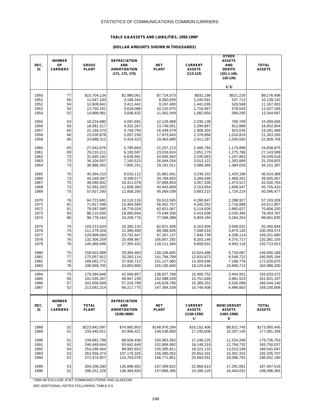### **TABLE 6.8-ASSETS AND LIABILITIES, 1950-1996\***

#### **(DOLLAR AMOUNTS SHOWN IN THOUSANDS)**

| DEC.<br>31 | <b>NUMBER</b><br>OF<br><b>CARRIERS</b> | <b>GROSS</b><br><b>PLANT</b> | <b>DEPRECIATION</b><br><b>AND</b><br><b>AMORTIZATION</b><br>(171, 172, 175) | <b>NET</b><br><b>PLANT</b> | <b>CURRENT</b><br><b>ASSETS</b><br>$(113-123)$           | <b>OTHER</b><br><b>ASSETS</b><br><b>AND</b><br><b>DEBITS</b><br>$(101.1 - 106,$<br>126-139) | <b>TOTAL</b><br><b>ASSETS</b> |
|------------|----------------------------------------|------------------------------|-----------------------------------------------------------------------------|----------------------------|----------------------------------------------------------|---------------------------------------------------------------------------------------------|-------------------------------|
|            |                                        |                              |                                                                             |                            |                                                          | 1/2/                                                                                        |                               |
| 1950       | 77                                     | \$10,704,134                 | \$2,980,061                                                                 | \$7,724,073                | \$931,198                                                | \$521,226                                                                                   | \$9,176,498                   |
| 1951       | 56                                     | 11,547,183                   | 3,186,344                                                                   | 8,360,839                  | 1,240,591                                                | 537,712                                                                                     | 10,139,142                    |
| 1952       | 54                                     | 12,608,841                   | 3,411,441                                                                   | 9,197,400                  | 1,441,035                                                | 528,568                                                                                     | 11,167,003                    |
| 1953       | 54                                     | 13,750,161                   | 3,618,086                                                                   | 10,132,075                 | 1,716,567                                                | 578,543                                                                                     | 12,427,185                    |
| 1954       | 52                                     | 14,898,981                   | 3,836,432                                                                   | 11,062,549                 | 1,682,854                                                | 599,295                                                                                     | 13,344,697                    |
| 1955       | 53                                     | 16,224,680                   | 4,097,691                                                                   | 12,126,988                 | 2,236,139                                                | 706,709                                                                                     | 15,069,836                    |
| 1956       | 56                                     | 18,081,317                   | 4,332,267                                                                   | 13,749,051                 | 2,290,867                                                | 812,886                                                                                     | 16,852,804                    |
| 1957       | 65                                     | 21,194,373                   | 4,744,794                                                                   | 16,449,579                 | 1,908,355                                                | 923,535                                                                                     | 19,281,469                    |
| 1958       | 66                                     | 23,030,878                   | 5,057,236                                                                   | 17,973,643                 | 2,378,868                                                | 1,010,819                                                                                   | 21,363,330                    |
| 1959       | 66                                     | 24,888,312                   | 5,424,423                                                                   | 19,463,890                 | 2,411,267                                                | 1,034,550                                                                                   | 22,909,706                    |
| 1960       | 65                                     | 27,042,876                   | 5,785,664                                                                   | 21,257,213                 | 2,406,764                                                | 1,174,898                                                                                   | 24,838,875                    |
| 1961       | 69                                     | 29,210,211                   | 6,193,587                                                                   | 23,016,624                 | 2,851,179                                                | 1,275,786                                                                                   | 27,143,589                    |
| 1962       | 73                                     | 31,585,182                   | 6,628,591                                                                   | 24,956,592                 | 3,245,063                                                | 1,247,863                                                                                   | 29,449,518                    |
| 1963       | 73                                     | 34,104,557                   | 7,160,523                                                                   | 26,944,034                 | 3,013,122                                                | 1,302,669                                                                                   | 31,259,825                    |
| 1964       | 73                                     | 36,986,262                   | 7,805,251                                                                   | 29,181,011                 | 3,586,360                                                | 1,384,026                                                                                   | 34, 151, 397                  |
| 1965       | 70                                     | 40,394,153                   | 8,533,112                                                                   | 31,861,041                 | 3,238,152                                                | 1,425,196                                                                                   | 36,524,389                    |
| 1966       | 73                                     | 44,169,397                   | 9,399,577                                                                   | 34,769,820                 | 3,266,046                                                | 1,469,201                                                                                   | 39,505,067                    |
| 1967       | 75                                     | 48,080,932                   | 10,411,079                                                                  | 37,669,853                 | 3,357,330                                                | 1,473,517                                                                                   | 42,500,700                    |
| 1968       | 73                                     | 52,582,202                   | 11,638,393                                                                  | 40,943,809                 | 3,153,054                                                | 1,658,547                                                                                   | 45,755,410                    |
| 1969       | 75                                     | 57,927,293                   | 12,858,256                                                                  | 45,069,038                 | 3,603,215                                                | 1,724,224                                                                                   | 50,396,477                    |
| 1970       | 76                                     | 64,723,681                   | 14,110,116                                                                  | 50,613,565                 | 4,280,847                                                | 2,298,927                                                                                   | 57,193,339                    |
| 1971       | 81                                     | 71,917,346                   | 15,464,589                                                                  | 56,452,757                 | 4,342,252                                                | 2,716,898                                                                                   | 63,511,907                    |
| 1972       | 81                                     | 79,597,085                   | 16,776,018                                                                  | 62,821,067                 | 5,119,626                                                | 2,865,627                                                                                   | 70,806,320                    |
| 1973       | 83                                     | 88,110,050                   | 18,060,694                                                                  | 70,049,356                 | 5,414,036                                                | 3,030,395                                                                                   | 78,493,787                    |
| 1974       | 86                                     | 96,778,164                   | 19,209,776                                                                  | 77,568,388                 | 5,809,194                                                | 3,284,254                                                                                   | 86,661,835                    |
| 1975       | 75                                     | 103,213,534                  | 20,392,125                                                                  | 82,821,409                 | 6,163,404                                                | 3,508,031                                                                                   | 92,492,844                    |
| 1976       | 74                                     | 111,379,326                  | 21,990,400                                                                  | 89,388,926                 | 7,096,518                                                | 3,874,130                                                                                   | 100,359,574                   |
| 1977       | 76                                     | 120,999,584                  | 23,732,447                                                                  | 97,267,137                 | 7,846,739                                                | 4,208,114                                                                                   | 109,321,990                   |
| 1978       | 76                                     | 132,306,259                  | 25,498,967                                                                  | 106,807,292                | 9,203,146                                                | 4,370,717                                                                                   | 120,381,155                   |
| 1979       | 76                                     | 145,466,696                  | 27,355,432                                                                  | 118,111,264                | 9,609,531                                                | 4,993,118                                                                                   | 132,713,913                   |
| 1980       | 75                                     | 159,501,088                  | 29,394,483                                                                  | 130,106,605                | 10,824,496                                               | 5,719,087                                                                                   | 146,650,189                   |
| 1981       | 77                                     | 175,057,912                  | 33,263,114                                                                  | 141,794,799                | 12,610,673                                               | 6,549,722                                                                                   | 160,955,194                   |
| 1982       | 78                                     | 189,062,772                  | 37,935,712                                                                  | 151,127,060                | 14,304,838                                               | 7,188,776                                                                                   | 172,620,675                   |
| 1983       | 78                                     | 198,999,705                  | 43,803,865                                                                  | 155,195,840                | 18,125,646                                               | 10,666,713                                                                                  | 183,988,200                   |
| 1984       | 75                                     | 179,394,646                  | 42,566,857                                                                  | 136,827,789                | 15,400,752                                               | 3,404,931                                                                                   | 155,633,472                   |
| 1985       | 55                                     | 191,035,267                  | 48,947,239                                                                  | 142,088,028                | 15,751,646                                               | 3,981,523                                                                                   | 161,821,197                   |
| 1986       | 57                                     | 202,858,589                  | 57,229,799                                                                  | 145,628,790                | 15,389,252                                               | 5,526,098                                                                                   | 166,544,140                   |
| 1987       | 52                                     | 213,582,314                  | 66,217,775                                                                  | 147,364,539                | 14,749,408                                               | 6,986,663                                                                                   | 169,100,608                   |
| DEC.<br>31 | <b>NUMBER</b><br>OF<br><b>CARRIERS</b> | <b>TOTAL</b><br><b>PLANT</b> | <b>DEPRECIATION</b><br><b>AND</b><br><b>AMORTIZATION</b><br>$(3100 - 3600)$ | <b>NET</b><br><b>PLANT</b> | <b>CURRENT</b><br><b>ASSETS</b><br>$(1130 - 1350)$<br>1/ | <b>NONCURRENT</b><br><b>ASSETS</b><br>$(1401 - 1500)$<br>31                                 | <b>TOTAL</b><br><b>ASSETS</b> |
| 1988       | 52                                     | \$223,842,097                | \$74,865,803                                                                | \$148,976,294              | \$16,152,406                                             | \$8,821,745                                                                                 | \$173,950,445                 |
| 1989       | 51                                     | 233,445,021                  | 83,906,421                                                                  | 149,538,600                | 17,245,608                                               | 10,297,140                                                                                  | 177,081,349                   |
| 1990       | 51                                     | 239,891,799                  | 88,928,436                                                                  | 150.963.363                | 17,248,125                                               | 11,524,266                                                                                  | 179,735,753                   |
| 1991       | 52                                     | 246,449,644                  | 93,642,648                                                                  | 152,806,992                | 18,148,319                                               | 12,794,732                                                                                  | 183,750,037                   |
| 1992       | 54                                     | 254,298,464                  | 98,992,653                                                                  | 155,305,811                | 18,222,133                                               | 13,013,106                                                                                  | 186,541,047                   |
| 1993       | 53                                     | 263,556,374                  | 107,176,325                                                                 | 156,380,052                | 20,654,331                                               | 15,301,331                                                                                  | 192,335,707                   |
| 1994       | 52                                     | 272,474,927                  | 115,703,078                                                                 | 156,771,851                | 20,693,551                                               | 18,586,791                                                                                  | 196,052,190                   |
| 1995       | 53                                     | 284,208,280                  | 126,898,462                                                                 | 157,309,822                | 22,866,613                                               | 17,291,081                                                                                  | 197,467,516                   |
| 1996       | 51                                     | 296,251,229                  | 138,384,920                                                                 | 157,866,305                | 24,186,129                                               | 16,444,031                                                                                  | 198,496,465                   |

\*1984-96 EXCLUDE AT&T COMMUNICATIONS AND ALASCOM.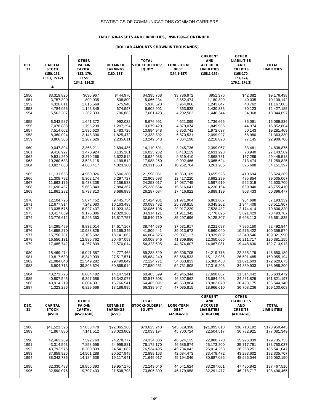### **TABLE 6.8-ASSETS AND LIABILITIES, 1950-1996--CONTINUED**

| DEC.<br>31 | <b>CAPITAL</b><br><b>STOCK</b><br>(150, 151,<br>153.1, 153.2)<br>4/ | <b>OTHER</b><br><b>PAID-IN</b><br>CAPITAL<br>(152, 179,<br><b>LESS</b><br>134.1, 134.2) | <b>RETAINED</b><br><b>EARNINGS</b><br>(180, 181) | <b>TOTAL</b><br><b>STOCKHOLDERS'</b><br><b>EQUITY</b> | <b>LONG-TERM</b><br><b>DEBT</b><br>$(154.1 - 157)$ | <b>CURRENT</b><br><b>AND</b><br><b>ACCRUED</b><br><b>LIABILITIES</b><br>$(158.1 - 167)$ | <b>OTHER</b><br><b>LIABILITIES</b><br><b>AND</b><br><b>CREDITS</b><br>(168-170,<br>173, 174,<br>176.1, 176.2) | <b>TOTAL</b><br><b>LIABILITIES</b> |
|------------|---------------------------------------------------------------------|-----------------------------------------------------------------------------------------|--------------------------------------------------|-------------------------------------------------------|----------------------------------------------------|-----------------------------------------------------------------------------------------|---------------------------------------------------------------------------------------------------------------|------------------------------------|
| 1950       | \$3,319,825                                                         | \$630,967                                                                               | \$444,976                                        | \$4,395,768                                           | \$3,786,972                                        | \$951,376                                                                               | \$42,382                                                                                                      | \$9,176,498                        |
| 1951       | 3,757,390                                                           | 800,035                                                                                 | 508,809                                          | 5,066,234                                             | 3,852,474                                          | 1,180,399                                                                               | 40,035                                                                                                        | 10,139,142                         |
| 1952       | 4,326,011                                                           | 1,016,569                                                                               | 575,948                                          | 5,918,528                                             | 3,964,066                                          | 1,243,647                                                                               | 40,762                                                                                                        | 11,167,003                         |
| 1953       | 4,784,055                                                           | 1,143,849                                                                               | 674,997                                          | 6,602,901                                             | 4,363,828                                          | 1,430,333                                                                               | 30,123                                                                                                        | 12,427,185                         |
| 1954       | 5,502,207                                                           | 1,362,333                                                                               | 796,883                                          | 7,661,423                                             | 4,202,562                                          | 1,446,344                                                                               | 34,368                                                                                                        | 13,344,697                         |
| 1955       | 6,043,587                                                           | 1,641,372                                                                               | 992,032                                          | 8,676,991                                             | 4,621,099                                          | 1,736,665                                                                               | 35,081                                                                                                        | 15,069,836                         |
| 1956       | 7,076,888                                                           | 1,795,238                                                                               | 1,207,294                                        | 10,079,420                                            | 4,879,074                                          | 1,849,936                                                                               | 44,374                                                                                                        | 16,852,804                         |
| 1957       | 7,514,602                                                           | 1,896,620                                                                               | 1,483,726                                        | 10,894,948                                            | 6,353,741                                          | 1,972,637                                                                               | 60,143                                                                                                        | 19,281,469                         |
| 1958       | 8,360,024                                                           | 2,148,396                                                                               | 1,825,472                                        | 12,333,892                                            | 6,870,531                                          | 2,099,927                                                                               | 58,980                                                                                                        | 21,363,330                         |
| 1959       | 8,806,306                                                           | 2,207,626                                                                               | 2,235,611                                        | 13,249,543                                            | 7,364,198                                          | 2,218,820                                                                               | 77,145                                                                                                        | 22,909,706                         |
| 1960       | 9,047,894                                                           | 2,368,211                                                                               | 2,694,486                                        | 14,110,591                                            | 8,245,736                                          | 2,399,067                                                                               | 83,481                                                                                                        | 24,838,875                         |
| 1961       | 9,416,927                                                           | 3,470,924                                                                               | 3,135,381                                        | 16,023,232                                            | 8,410,119                                          | 2,631,298                                                                               | 78,940                                                                                                        | 27,143,589                         |
| 1962       | 9,931,260                                                           | 3,370,266                                                                               | 3,622,512                                        | 16,924,038                                            | 9.519.410                                          | 2,868,781                                                                               | 137,289                                                                                                       | 29.449.518                         |
| 1963       | 10,260,633                                                          | 3,528,115                                                                               | 4,199,512                                        | 17,988,260                                            | 9,992,466                                          | 3,065,624                                                                               | 213,474                                                                                                       | 31,259,825                         |
| 1964       | 10,827,863                                                          | 4,660,417                                                                               | 4,823,380                                        | 20,311,660                                            | 10,252,764                                         | 3,261,285                                                                               | 325,688                                                                                                       | 34, 151, 397                       |
| 1965       | 11,131,655                                                          | 4,960,026                                                                               | 5,506,380                                        | 21,598,061                                            | 10,860,109                                         | 3,655,525                                                                               | 410,694                                                                                                       | 36,524,389                         |
| 1966       | 11,309,792                                                          | 5,302,174                                                                               | 6,297,727                                        | 22,909,693                                            | 12,417,220                                         | 3,692,299                                                                               | 485,854                                                                                                       | 39,505,067                         |
| 1967       | 11,663,176                                                          | 5,433,308                                                                               | 7,156,533                                        | 24,253,017                                            | 14,087,745                                         | 3,597,919                                                                               | 562,019                                                                                                       | 42,500,700                         |
| 1968       | 11,690,457                                                          | 5,663,840                                                                               | 7,884,367                                        | 25,238,664                                            | 15,616,641                                         | 4,230,164                                                                               | 669,940                                                                                                       | 45,755,410                         |
| 1969       | 11,861,282                                                          | 5,738,813                                                                               | 8,686,989                                        | 26,287,084                                            | 17,416,822                                         | 5,889,139                                                                               | 803,433                                                                                                       | 50,396,477                         |
| 1970       | 12,104,725                                                          | 5,874,452                                                                               | 9,445,754                                        | 27,424,931                                            | 21,971,904                                         | 6,861,807                                                                               | 934,698                                                                                                       | 57,193,339                         |
| 1971       | 12,677,914                                                          | 7,242,080                                                                               | 10,163,488                                       | 30,083,482                                            | 25,738,815                                         | 6,345,202                                                                               | 1,344,408                                                                                                     | 63,511,907                         |
| 1972       | 13,035,575                                                          | 8,027,437                                                                               | 11,023,184                                       | 32,086,196                                            | 29,017,229                                         | 7,528,482                                                                               | 2,174,414                                                                                                     | 70,806,320                         |
| 1973       | 13,417,869                                                          | 9,176,086                                                                               | 12,320,166                                       | 34,914,121                                            | 31,911,342                                         | 7,776,895                                                                               | 3,891,429                                                                                                     | 78,493,787                         |
| 1974       | 13,776,612                                                          | 9,246,350                                                                               | 13,517,757                                       | 36,540,719                                            | 35,297,696                                         | 9,125,307                                                                               | 5,698,113                                                                                                     | 86,661,835                         |
| 1975       | 14,295,499                                                          | 9,832,014                                                                               | 14,617,167                                       | 38,744,680                                            | 37,531,917                                         | 8,221,097                                                                               | 7,995,150                                                                                                     | 92,492,844                         |
| 1976       | 14,655,270                                                          | 10,988,826                                                                              | 16, 165, 345                                     | 41,809,441                                            | 39,013,672                                         | 8,960,040                                                                               | 10,576,422                                                                                                    | 100,359,574                        |
| 1977       | 15,756,781                                                          | 12,106,682                                                                              | 18,141,062                                       | 46,004,525                                            | 39,037,117                                         | 10,939,802                                                                              | 13,340,546                                                                                                    | 109,321,990                        |
| 1978       | 16,556,131                                                          | 12,985,762                                                                              | 20,467,053                                       | 50,008,946                                            | 41,809,886                                         | 12,350,606                                                                              | 16,211,717                                                                                                    | 120,381,155                        |
| 1979       | 17,485,742                                                          | 14,267,839                                                                              | 22,570,014                                       | 54,323,595                                            | 44,874,607                                         | 14,067,081                                                                              | 19,448,630                                                                                                    | 132,713,913                        |
| 1980       | 18,469,474                                                          | 16,041,587                                                                              | 24,777,468                                       | 59,288,529                                            | 50,306,705                                         | 14,219,776                                                                              | 22,835,179                                                                                                    | 146,650,189                        |
| 1981       | 19,817,630                                                          | 18,349,039                                                                              | 27,517,571                                       | 65,684,240                                            | 53,656,533                                         | 15,112,936                                                                              | 26,501,485                                                                                                    | 160,955,194                        |
| 1982       | 21,084,640                                                          | 21,549,282                                                                              | 29,490,849                                       | 72,124,771                                            | 54,063,833                                         | 15,360,468                                                                              | 31,071,603                                                                                                    | 172,620,675                        |
| 1983       | 6,904,713                                                           | 39,806,624                                                                              | 30,868,914                                       | 77,580,251                                            | 54,731,808                                         | 17,316,208                                                                              | 34,359,933                                                                                                    | 183,988,200                        |
| 1984       | 40,271,776                                                          | 6,064,482                                                                               | 14, 147, 341                                     | 60,483,599                                            | 45,945,344                                         | 17,690,087                                                                              | 31,514,442                                                                                                    | 155,633,472                        |
| 1985       | 40,807,545                                                          | 6,397,686                                                                               | 15,342,077                                       | 62,547,308                                            | 46,307,562                                         | 18,684,498                                                                              | 34,281,829                                                                                                    | 161,821,197                        |
| 1986       | 40,914,219                                                          | 6,804,331                                                                               | 16,766,541                                       | 64,485,091                                            | 46,663,804                                         | 18,902,070                                                                              | 36,493,175                                                                                                    | 166,544,140                        |
| 1987       | 41,323,286                                                          | 6,829,666                                                                               | 18,186,995                                       | 66,339,947                                            | 47,085,815                                         | 18,966,610                                                                              | 36,708,236                                                                                                    | 169,100,608                        |
| DEC.<br>31 | <b>CAPITAL</b><br><b>STOCK</b><br>(4510)                            | <b>OTHER</b><br><b>PAID-IN</b><br>CAPITAL<br>(4520-4540)                                | <b>RETAINED</b><br><b>EARNINGS</b><br>(4550)     | <b>TOTAL</b><br><b>STOCKHOLDERS'</b><br><b>EQUITY</b> | <b>LONG-TERM</b><br><b>DEBT</b><br>(4210-4270)     | <b>CURRENT</b><br><b>AND</b><br><b>ACCRUED</b><br><b>LIABILITIES</b><br>$(4010 - 4130)$ | <b>OTHER</b><br><b>LIABILITIES</b><br><b>AND</b><br><b>CREDITS</b><br>$(4310 - 4370)$                         | <b>TOTAL</b><br><b>LIABILITIES</b> |
| 1988       | \$41,521,396                                                        | \$7,038,478                                                                             | \$22,065,366                                     | \$70,625,240                                          | \$45,519,398                                       | \$21,095,618                                                                            | \$36,710,192                                                                                                  | \$173,950,445                      |
| 1989       | 41,867,880                                                          | 7,141,512                                                                               | 23,023,802                                       | 72,033,194                                            | 45,760,724                                         | 22,504,517                                                                              | 36,782,921                                                                                                    | 177,081,349                        |
| 1990       | 42,463,269                                                          | 7,592,760                                                                               | 24,278,777                                       | 74,334,806                                            | 46,524,135                                         | 22,880,770                                                                              | 35,996,039                                                                                                    | 179,735,753                        |
| 1991       | 43,314,593                                                          | 7,858,696                                                                               | 24,998,881                                       | 76,172,170                                            | 46,686,874                                         | 25,173,200                                                                              | 35,717,781                                                                                                    | 183,750,037                        |
| 1992       | 43,792,576                                                          | 8,200,839                                                                               | 24,541,082                                       | 76,534,495                                            | 45,734,042                                         | 26,014,263                                                                              | 38,258,251                                                                                                    | 186,541,047                        |
| 1993       | 37,859,925                                                          | 14,501,288                                                                              | 20,527,948                                       | 72,889,163                                            | 42,684,473                                         | 33,478,472                                                                              | 43,283,602                                                                                                    | 192,335,707                        |
| 1994       | 38, 342, 736                                                        | 14,184,638                                                                              | 19,117,641                                       | 71,645,017                                            | 45,194,046                                         | 30,687,086                                                                              | 48,526,044                                                                                                    | 196,052,190                        |
| 1995       | 32,330,483                                                          | 19,855,393                                                                              | 19,957,170                                       | 72,143,046                                            | 44,541,624                                         | 33,297,001                                                                              | 47,485,842                                                                                                    | 197,467,516                        |
| 1996       | 32,590,076                                                          | 19,707,433                                                                              | 21,508,798                                       | 73,806,309                                            | 46,179,958                                         | 32,291,477                                                                              | 46,218,717                                                                                                    | 198,496,465                        |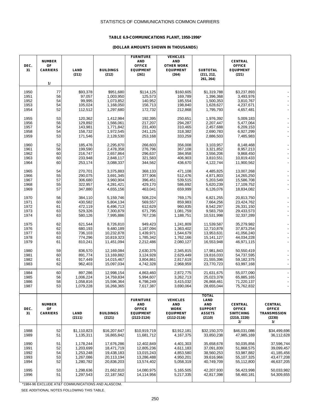### **TABLE 6.9-COMMUNICATIONS PLANT, 1950-1996\***

#### **(DOLLAR AMOUNTS SHOWN IN THOUSANDS)**

| DEC.<br>31   | <b>NUMBER</b><br>OF<br><b>CARRIERS</b><br>11 | LAND<br>(211)            | <b>BUILDINGS</b><br>(212)  | <b>FURNITURE</b><br><b>AND</b><br><b>OFFICE</b><br><b>EQUIPMENT</b><br>(261) | <b>VEHICLES</b><br>AND<br><b>OTHER WORK</b><br><b>EQUIPMENT</b><br>(264) | <b>SUBTOTAL</b><br>(211, 212,<br>261, 264) | <b>CENTRAL</b><br><b>OFFICE</b><br><b>EQUIPMENT</b><br>(221) |                               |
|--------------|----------------------------------------------|--------------------------|----------------------------|------------------------------------------------------------------------------|--------------------------------------------------------------------------|--------------------------------------------|--------------------------------------------------------------|-------------------------------|
| 1950         | 77                                           | \$93,378                 | \$951,680                  | \$114,125                                                                    | \$160,605                                                                | \$1,319,788                                | \$3,237,893                                                  |                               |
| 1951         | 56                                           | 97,057                   | 1,003,950                  | 125,573                                                                      | 169,789                                                                  | 1,396,368                                  | 3,493,976                                                    |                               |
| 1952         | 54                                           | 99,995                   | 1,073,852                  | 140,952                                                                      | 185,554                                                                  | 1,500,353                                  | 3,810,767                                                    |                               |
| 1953         | 54                                           | 105,024                  | 1,168,050                  | 156,713                                                                      | 198,840                                                                  | 1,628,627                                  | 4,237,671                                                    |                               |
| 1954         | 52                                           | 112,512                  | 1,297,680                  | 172,732                                                                      | 212,868                                                                  | 1,795,793                                  | 4,657,481                                                    |                               |
| 1955         | 53                                           | 120,362                  | 1,412,984                  | 192,395                                                                      | 250,651                                                                  | 1,976,392                                  | 5,009,183                                                    |                               |
| 1956         | 56                                           | 129,892                  | 1,566,061                  | 217,207                                                                      | 294,287                                                                  | 2,207,447                                  | 5,477,064                                                    |                               |
| 1957         | 54                                           | 143,981                  | 1,771,842                  | 231,400                                                                      | 310,465                                                                  | 2,457,688                                  | 6,209,153                                                    |                               |
| 1958         | 54                                           | 158,732                  | 1,972,545                  | 241,125                                                                      | 318,382                                                                  | 2,690,783                                  | 6,927,299                                                    |                               |
| 1959         | 53                                           | 171,546                  | 2,128,530                  | 253,168                                                                      | 333,259                                                                  | 2,886,503                                  | 7,485,983                                                    |                               |
| 1960         | 52                                           | 185,476                  | 2,295,870                  | 266,603                                                                      | 356,008                                                                  | 3,103,957                                  | 8,148,468                                                    |                               |
| 1961         | 56                                           | 199,590                  | 2,478,358                  | 276,796                                                                      | 367,108                                                                  | 3,321,852                                  | 8,957,213                                                    |                               |
| 1962         | 60                                           | 216,747                  | 2,657,864                  | 296,637                                                                      | 384,958                                                                  | 3,556,206                                  | 9,868,450                                                    |                               |
| 1963         | 60                                           | 233,948                  | 2,848,117                  | 321,583                                                                      | 406,903                                                                  | 3,810,551                                  | 10,819,433                                                   |                               |
| 1964         | 60                                           | 253,174                  | 3,088,337                  | 344,562                                                                      | 436,670                                                                  | 4,122,744                                  | 11,900,562                                                   |                               |
|              |                                              |                          |                            |                                                                              |                                                                          |                                            |                                                              |                               |
| 1965<br>1966 | 54<br>55                                     | 270.701<br>290,075       | 3,375,883<br>3,691,345     | 368,133<br>377,906                                                           | 471,108<br>512,476                                                       | 4,485,825<br>4,871,803                     | 13,007,268<br>14,265,250                                     |                               |
| 1967         | 57                                           | 306,680                  | 3,960,904                  | 396,451                                                                      | 539,515                                                                  | 5,203,549                                  | 15,586,708                                                   |                               |
| 1968         | 55                                           | 322,957                  | 4,281,421                  | 429,170                                                                      | 586,692                                                                  | 5,620,239                                  | 17,109,752                                                   |                               |
| 1969         | 57                                           | 347,880                  | 4,655,156                  | 463,041                                                                      | 659,999                                                                  | 6,126,076                                  | 18,834,082                                                   |                               |
|              |                                              |                          |                            |                                                                              |                                                                          |                                            |                                                              |                               |
| 1970         | 56                                           | 384,110                  | 5,159,746                  | 508,224                                                                      | 769,175                                                                  | 6,821,255                                  | 20,813,750                                                   |                               |
| 1971<br>1972 | 60<br>61                                     | 430,582<br>472,119       | 5,804,134<br>6,496,713     | 569,557<br>612,629                                                           | 859,983                                                                  | 7,664,256                                  | 23,424,762<br>26,331,150                                     |                               |
| 1973         | 63                                           | 529,326                  | 7,300,879                  | 671,795                                                                      | 960,835<br>1,081,759                                                     | 8,542,297<br>9,583,759                     | 29,433,573                                                   |                               |
| 1974         | 63                                           | 580,126                  | 7,995,886                  | 767,236                                                                      | 1,188,751                                                                | 10,531,998                                 | 32,337,289                                                   |                               |
|              |                                              |                          |                            |                                                                              |                                                                          |                                            |                                                              |                               |
| 1975         | 62                                           | 621,544                  | 8,726,810                  | 949,423                                                                      | 1,241,809                                                                | 11,539,587                                 | 35,279,982                                                   |                               |
| 1976         | 62<br>63                                     | 680,193                  | 9,480,189                  | 1,187,094                                                                    | 1,363,402<br>1,544,679                                                   | 12,710,878                                 | 37,873,254                                                   |                               |
| 1977<br>1978 | 63                                           | 736,103<br>774,296       | 10,232,878<br>10,819,323   | 1,439,971<br>1,785,342                                                       | 1,762,166                                                                | 13,953,631<br>15, 141, 127                 | 41,056,240<br>44,034,228                                     |                               |
| 1979         | 61                                           | 810,241                  | 11,451,094                 | 2,212,486                                                                    | 2,080,127                                                                | 16,553,948                                 | 46,971,115                                                   |                               |
|              |                                              |                          |                            |                                                                              |                                                                          |                                            |                                                              |                               |
| 1980         | 59                                           | 836,570                  | 12,169,084                 | 2,630,375                                                                    | 2,345,815                                                                | 17,981,843                                 | 50,550,419                                                   |                               |
| 1981         | 60                                           | 891,774                  | 13,169,882                 | 3,124,928                                                                    | 2,629,449                                                                | 19,816,033                                 | 54,737,595                                                   |                               |
| 1982<br>1983 | 61<br>62                                     | 917,449<br>962,403       | 14,015,467<br>15,097,034   | 3,804,861<br>4,742,328                                                       | 2,817,619<br>2,968,959                                                   | 21,555,396<br>23,770,723                   | 59,182,375<br>63,997,168                                     |                               |
|              |                                              |                          |                            |                                                                              |                                                                          |                                            |                                                              |                               |
| 1984         | 60                                           | 897,286                  | 12,998,154                 | 4,863,460                                                                    | 2,872,775                                                                | 21,631,675                                 | 55,077,090                                                   |                               |
| 1985         | 56                                           | 1,006,224                | 14,759,834                 | 5,994,607                                                                    | 3,262,713                                                                | 25,023,378                                 | 65,885,165                                                   |                               |
| 1986         | 58                                           | 1,058,816                | 15,596,364                 | 6,798,249                                                                    | 3,415,032                                                                | 26,868,461                                 | 71,220,137                                                   | $\frac{1}{2}$                 |
| 1987         | 53                                           | 1,079,228                | 16,268,365                 | 7,617,387                                                                    | 3,690,064                                                                | 28,655,044                                 | 75,762,832                                                   |                               |
|              |                                              |                          |                            |                                                                              |                                                                          | <b>TOTAL</b>                               |                                                              |                               |
|              |                                              |                          |                            | <b>FURNITURE</b>                                                             | <b>VEHICLES</b>                                                          | LAND                                       |                                                              |                               |
|              | <b>NUMBER</b>                                |                          |                            | <b>AND</b>                                                                   | AND                                                                      | <b>AND</b>                                 | <b>CENTRAL</b>                                               | <b>CENTRAL</b>                |
| DEC.         | OF                                           |                          |                            | <b>OFFICE</b>                                                                | <b>WORK</b>                                                              | <b>SUPPORT</b><br><b>ASSETS</b>            | <b>OFFICE</b>                                                | <b>OFFICE</b>                 |
| 31           | <b>CARRIERS</b>                              | LAND<br>(2111)           | <b>BUILDINGS</b><br>(2121) | <b>EQUIPMENT</b><br>(2122-2124)                                              | <b>EQUIPMENT</b><br>$(2112 - 2116)$                                      | (2110)                                     | <b>SWITCHING</b><br>(2210, 2220)                             | <b>TRANSMISSION</b><br>(2230) |
|              |                                              |                          |                            |                                                                              |                                                                          |                                            | 21                                                           | 3/                            |
|              |                                              |                          |                            |                                                                              |                                                                          |                                            |                                                              |                               |
| 1988<br>1989 | 52<br>51                                     | \$1,110,823<br>1,135,311 | \$16,207,647<br>16,865,842 | \$10,919,719<br>11,681,712                                                   | \$3,912,181<br>4,167,375                                                 | \$32,150,370<br>33,850,238                 | \$46,031,086<br>47,985,169                                   | \$34,499,696<br>36,112,628    |
|              |                                              |                          |                            |                                                                              |                                                                          |                                            |                                                              |                               |
| 1990         | 51                                           | 1,178,244                | 17,676,286                 | 12,402,849                                                                   | 4,401,303                                                                | 35,658,678                                 | 50,035,856                                                   | 37,596,744                    |
| 1991         | 52                                           | 1,203,699                | 18,471,719                 | 12,805,236                                                                   | 4,611,183                                                                | 37,091,839                                 | 51,868,575                                                   | 39,099,457                    |
| 1992         | 54                                           | 1,253,248                | 19,438,183                 | 13,015,243                                                                   | 4,853,580                                                                | 38,560,253                                 | 53,987,882                                                   | 41,185,456                    |
| 1993         | 53                                           | 1,267,086                | 20,113,194                 | 13,286,488                                                                   | 4,950,201                                                                | 39,616,966                                 | 55,107,325                                                   | 43,477,208                    |
| 1994         | 52                                           | 1,280,782                | 20,836,203                 | 13,574,402                                                                   | 5,058,319                                                                | 40,749,709                                 | 55,112,800                                                   | 46,637,205                    |
| 1995         | 53                                           | 1,298,636                | 21,662,810                 | 14,080,975                                                                   | 5,165,505                                                                | 42,207,930                                 | 56,423,998                                                   | 50,033,982                    |
| 1996         | 51                                           | 1,297,543                | 22,187,562                 | 14,114,956                                                                   | 5,217,335                                                                | 42,817,398                                 | 58,460,181                                                   | 54,309,655                    |
|              |                                              |                          |                            |                                                                              |                                                                          |                                            |                                                              |                               |

\*1984-96 EXCLUDE AT&T COMMUNICATIONS AND ALASCOM.

SEE ADDITIONAL NOTES FOLLOWING THIS TABLE.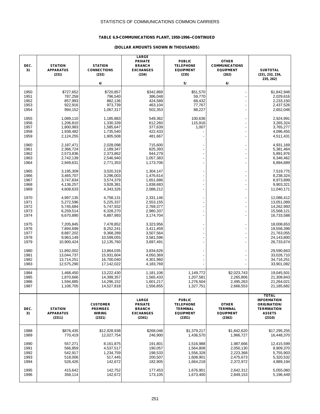### **TABLE 6.9-COMMUNICATIONS PLANT, 1950-1996--CONTINUED**

| DEC.<br>31   | <b>STATION</b><br><b>APPARATUS</b><br>(231) | <b>STATION</b><br><b>CONNECTIONS</b><br>(232)<br>4/ | <b>LARGE</b><br><b>PRIVATE</b><br><b>BRANCH</b><br><b>EXCHANGES</b><br>(234) | <b>PUBLIC</b><br><b>TELEPHONE</b><br><b>EQUIPMENT</b><br>(235)<br>5/ | <b>OTHER</b><br><b>COMMUNICATIONS</b><br><b>EQUIPMENT</b><br>(262)<br>6/ | <b>SUBTOTAL</b><br>(231, 232, 234,<br>235, 262) |
|--------------|---------------------------------------------|-----------------------------------------------------|------------------------------------------------------------------------------|----------------------------------------------------------------------|--------------------------------------------------------------------------|-------------------------------------------------|
|              |                                             |                                                     |                                                                              |                                                                      |                                                                          |                                                 |
| 1950         | \$727,652                                   | \$720,857                                           | \$342,869                                                                    | \$51,570                                                             |                                                                          | \$1,842,948                                     |
| 1951         | 787,258                                     | 796,540                                             | 386,048                                                                      | 59,770                                                               |                                                                          | 2,029,616                                       |
| 1952         | 857,993                                     | 882,136                                             | 424,589                                                                      | 68,432                                                               |                                                                          | 2,233,150                                       |
| 1953         | 922,916                                     | 973,739                                             | 463,104                                                                      | 77,767                                                               |                                                                          | 2,437,526                                       |
| 1954         | 994,152                                     | 1,067,317                                           | 502,353                                                                      | 88,227                                                               |                                                                          | 2,652,048                                       |
| 1955         | 1,089,110                                   | 1,185,883                                           |                                                                              | 100,636                                                              |                                                                          | 2,924,991                                       |
| 1956         | 1,206,810                                   | 1,330,339                                           | 549,362<br>612,260                                                           | 115,916                                                              |                                                                          | 3,265,324                                       |
| 1957         | 1,800,983                                   | 1,585,647                                           | 377,639                                                                      | 1,007                                                                |                                                                          | 3,765,277                                       |
| 1958         | 1,938,482                                   | 1,735,540                                           | 422,433                                                                      |                                                                      |                                                                          | 4,096,455                                       |
| 1959         | 2,124,255                                   | 1,905,508                                           | 481,667                                                                      |                                                                      |                                                                          | 4,511,431                                       |
|              |                                             |                                                     |                                                                              |                                                                      |                                                                          |                                                 |
| 1960         | 2,187,471                                   | 2,028,098                                           | 715,600                                                                      |                                                                      |                                                                          | 4,931,169                                       |
| 1961         | 2,366,724                                   | 2,189,347                                           | 825,393                                                                      |                                                                      |                                                                          | 5,381,464                                       |
| 1962         | 2,573,836                                   | 2,373,862                                           | 944,279                                                                      |                                                                      |                                                                          | 5,891,976                                       |
| 1963         | 2,742,139                                   | 2,546,940                                           | 1,057,383                                                                    |                                                                      |                                                                          | 6,346,462                                       |
| 1964         | 2,949,631                                   | 2,771,353                                           | 1,173,706                                                                    |                                                                      |                                                                          | 6,894,689                                       |
| 1965         | 3,195,309                                   | 3,020,319                                           | 1,304,147                                                                    |                                                                      |                                                                          | 7,519,775                                       |
| 1966         | 3,465,707                                   | 3,296,003                                           | 1,476,614                                                                    |                                                                      |                                                                          | 8,238,324                                       |
| 1967         | 3,747,834                                   | 3,574,379                                           | 1,651,686                                                                    |                                                                      |                                                                          | 8,973,899                                       |
| 1968         | 4,136,257                                   | 3,928,381                                           | 1,838,683                                                                    |                                                                      |                                                                          | 9,903,321                                       |
| 1969         | 4,608,633                                   | 4,343,326                                           | 2,088,212                                                                    |                                                                      |                                                                          | 11,040,171                                      |
|              |                                             |                                                     |                                                                              |                                                                      |                                                                          |                                                 |
| 1970         | 4,997,135                                   | 4,758,131                                           | 2,331,146                                                                    |                                                                      |                                                                          | 12,086,412                                      |
| 1971<br>1972 | 5,272,596<br>5,745,684                      | 5,225,337<br>5,747,932                              | 2,553,155<br>2,769,377                                                       |                                                                      |                                                                          | 13,051,089<br>14,262,993                        |
| 1973         | 6,259,514                                   | 6,328,270                                           | 2,980,337                                                                    |                                                                      |                                                                          | 15,568,121                                      |
| 1974         | 6,670,890                                   | 6,887,993                                           | 3,174,704                                                                    |                                                                      |                                                                          | 16,733,588                                      |
|              |                                             |                                                     |                                                                              |                                                                      |                                                                          |                                                 |
| 1975         | 7,205,845                                   | 7,478,852                                           | 3,323,956                                                                    |                                                                      |                                                                          | 18,008,653                                      |
| 1976         | 7,894,699                                   | 8,252,241                                           | 3,411,459                                                                    |                                                                      |                                                                          | 19,558,399                                      |
| 1977         | 8,887,202                                   | 9,368,289                                           | 3,507,564                                                                    |                                                                      |                                                                          | 21,763,055                                      |
| 1978<br>1979 | 9,963,149<br>10,900,424                     | 10,599,055<br>12,135,760                            | 3,581,596                                                                    |                                                                      |                                                                          | 24,143,800                                      |
|              |                                             |                                                     | 3,697,491                                                                    |                                                                      |                                                                          | 26,733,674                                      |
| 1980         | 11,892,002                                  | 13,864,035                                          | 3,834,626                                                                    |                                                                      |                                                                          | 29,590,663                                      |
| 1981         | 13,044,737                                  | 15,931,604                                          | 4,050,369                                                                    |                                                                      |                                                                          | 33,026,710                                      |
| 1982         | 13,714,251                                  | 16,700,040                                          | 4,301,960                                                                    |                                                                      |                                                                          | 34,716,251                                      |
| 1983         | 12,575,290                                  | 17,142,022                                          | 4,183,769                                                                    |                                                                      |                                                                          | 33,901,082                                      |
|              |                                             |                                                     |                                                                              |                                                                      |                                                                          |                                                 |
| 1984         | 1,468,450                                   | 13,222,430                                          | 1,181,106                                                                    | 1,149,772                                                            | \$2,023,743                                                              | 19,045,501                                      |
| 1985<br>1986 | 1,870,666                                   | 14,399,357                                          | 1,565,433<br>1.601.217                                                       | 1,207,581                                                            | 2,265,806<br>2,495,263                                                   | 21,308,843<br>21,264,021                        |
| 1987         | 1,594,885<br>1,106,705                      | 14,296,152<br>14,527,818                            | 1,556,855                                                                    | 1,276,504<br>1,327,751                                               | 2,666,553                                                                | 21,185,682                                      |
|              |                                             |                                                     |                                                                              |                                                                      |                                                                          |                                                 |
|              |                                             |                                                     |                                                                              |                                                                      |                                                                          | <b>TOTAL</b>                                    |
|              |                                             |                                                     | LARGE                                                                        | <b>PUBLIC</b>                                                        |                                                                          | <b>INFORMATION</b>                              |
|              |                                             | <b>CUSTOMER</b>                                     | <b>PRIVATE</b>                                                               | <b>TELEPHONE</b>                                                     | <b>OTHER</b>                                                             | <b>ORIGINATION/</b>                             |
| DEC.         | <b>STATION</b>                              | <b>PREMISES</b>                                     | <b>BRANCH</b>                                                                | <b>TERMINAL</b>                                                      | <b>TERMINAL</b>                                                          | <b>TERMINATION</b>                              |
| 31           | <b>APPARATUS</b><br>(2311)                  | <b>WIRING</b><br>(2321)                             | <b>EXCHANGES</b><br>(2341)                                                   | <b>EQUIPMENT</b><br>(2351)                                           | <b>EQUIPMENT</b><br>(2362)                                               | <b>ASSETS</b><br>(2310)                         |
|              |                                             |                                                     |                                                                              |                                                                      |                                                                          |                                                 |
|              |                                             |                                                     |                                                                              |                                                                      |                                                                          |                                                 |
| 1988<br>1989 | \$876,435<br>770,419                        | \$12,928,938                                        | \$268,046<br>246,900                                                         | \$1,379,217<br>1,436,570                                             | \$1,842,620<br>1,966,727                                                 | \$17,295,255                                    |
|              |                                             | 12,027,754                                          |                                                                              |                                                                      |                                                                          | 16,448,370                                      |
| 1990         | 557,271                                     | 8,161,875                                           | 191,801                                                                      | 1,516,988                                                            | 1,987,666                                                                | 12,415,599                                      |
| 1991         | 566,859                                     | 4,537,517                                           | 190,057                                                                      | 1,564,808                                                            | 2,050,130                                                                | 8,909,370                                       |
| 1992         | 542,917                                     | 1,234,759                                           | 198,533                                                                      | 1,556,328                                                            | 2,223,368                                                                | 5,755,903                                       |
| 1993         | 518,006                                     | 517,445                                             | 200,507                                                                      | 1,608,901                                                            | 2,475,673                                                                | 5,320,532                                       |
| 1994         | 526,426                                     | 142,672                                             | 182,905                                                                      | 1,664,218                                                            | 2,372,972                                                                | 4,889,194                                       |
|              |                                             |                                                     |                                                                              |                                                                      |                                                                          |                                                 |
| 1995         | 415,642                                     | 142,752                                             | 177,453                                                                      | 1,676,901                                                            | 2,642,312                                                                | 5,055,060                                       |
| 1996         | 358,114                                     | 142,672                                             | 173,105                                                                      | 1,673,400                                                            | 2,849,153                                                                | 5,196,449                                       |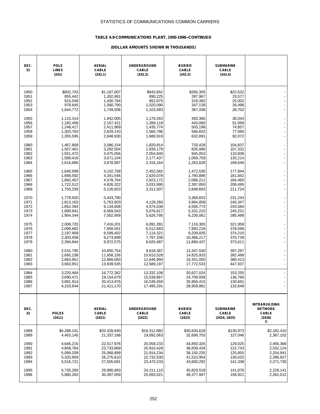### **TABLE 6.9-COMMUNICATIONS PLANT, 1950-1996--CONTINUED**

| DEC.<br>31                           | <b>POLE</b><br><b>LINES</b><br>(241)                          | <b>AERIAL</b><br><b>CABLE</b><br>(242.1)                      | <b>UNDERGROUND</b><br><b>CABLE</b><br>(242.2)    | <b>BURIED</b><br><b>CABLE</b><br>(242.3)                      | <b>SUBMARINE</b><br><b>CABLE</b><br>(242.4)         |                                                                        |
|--------------------------------------|---------------------------------------------------------------|---------------------------------------------------------------|--------------------------------------------------|---------------------------------------------------------------|-----------------------------------------------------|------------------------------------------------------------------------|
| 1950                                 | \$802,743                                                     | \$1,187,007                                                   | \$843,652                                        | \$265,305                                                     | \$22,532                                            |                                                                        |
| 1951                                 | 855,442                                                       | 1,302,681                                                     | 890,225                                          | 287,967                                                       | 23,577                                              |                                                                        |
| 1952                                 | 915,548                                                       | 1,430,784                                                     | 952,875                                          | 319,392                                                       | 25,002                                              |                                                                        |
| 1953                                 | 978,645                                                       | 1,580,790                                                     | 1,020,090                                        | 347,139                                                       | 26,496                                              |                                                                        |
| 1954                                 | 1,044,772                                                     | 1,749,506                                                     | 1,103,483                                        | 367,338                                                       | 28,702                                              |                                                                        |
| 1955                                 | 1,115,314                                                     | 1,942,005                                                     | 1,178,263                                        | 393,385                                                       | 30,043                                              |                                                                        |
| 1956                                 | 1,182,406                                                     | 2,167,421                                                     | 1,289,118                                        | 443.060                                                       | 51,099                                              |                                                                        |
| 1957                                 | 1,248,417                                                     | 2,411,969                                                     | 1,435,774                                        | 503,198                                                       | 74,857                                              |                                                                        |
| 1958                                 | 1,303,763                                                     | 2,629,143                                                     | 1,566,786                                        | 566,832                                                       | 77,685                                              |                                                                        |
| 1959                                 | 1,355,595                                                     | 2,848,930                                                     | 1,680,919                                        | 632,891                                                       | 92,072                                              |                                                                        |
| 1960                                 | 1,467,858                                                     | 3,086,154                                                     | 1,820,814                                        | 733,428                                                       | 104,837                                             |                                                                        |
| 1961                                 | 1,507,461                                                     | 3,282,504                                                     | 1,939,179                                        | 826,990                                                       | 107,332                                             |                                                                        |
| 1962                                 | 1,551,472                                                     | 3,475,056                                                     | 2,054,840                                        | 945,053                                                       | 110,836                                             |                                                                        |
| 1963                                 | 1,589,416                                                     | 3,671,104                                                     | 2,177,437                                        | 1,069,759                                                     | 135,214                                             |                                                                        |
| 1964                                 | 1,616,685                                                     | 3,878,997                                                     | 2,316,164                                        | 1,263,628                                                     | 169,649                                             |                                                                        |
| 1965                                 | 1,640,999                                                     | 4,102,758                                                     | 2,452,582                                        | 1,472,530                                                     | 177,844                                             |                                                                        |
| 1966                                 | 1,668,592                                                     | 4,341,546                                                     | 2,620,078                                        | 1,760,896                                                     | 181,842                                             |                                                                        |
| 1967                                 | 1,692,457                                                     | 4,578,764                                                     | 2,823,172                                        | 2,086,211                                                     | 184,460                                             |                                                                        |
| 1968                                 | 1,722,512                                                     | 4,826,322                                                     | 3,033,990                                        | 2,397,850                                                     | 208,495                                             |                                                                        |
| 1969                                 | 1,755,259                                                     | 5,126,653                                                     | 3,311,507                                        | 2,848,693                                                     | 211,724                                             |                                                                        |
| 1970<br>1971<br>1972<br>1973<br>1974 | 1,778,920<br>1,813,163<br>1,852,394<br>1,899,941<br>1,954,344 | 5,443,790<br>5,763,603<br>6,134,608<br>6,569,043<br>7,002,958 | 4,128,260<br>4,574,038<br>5,076,617<br>5,626,795 | 3,368,653<br>3,984,858<br>4,595,773<br>5,331,210<br>6,230,061 | 231,243<br>240,347<br>243,584<br>245,231<br>285,498 |                                                                        |
| 1975                                 | 2,008,725                                                     | 7,416,201                                                     | 6,091,391                                        | 7,116,305                                                     | 321,959                                             |                                                                        |
| 1976                                 | 2,099,682                                                     | 7,958,561                                                     | 6,512,683                                        | 7,993,218                                                     | 378,598                                             |                                                                        |
| 1977                                 | 2,197,909                                                     | 8,599,402                                                     | 7,114,321                                        | 9,209,835                                                     | 374,210                                             |                                                                        |
| 1978                                 | 2,303,458                                                     | 9,273,899                                                     | 7,797,206                                        | 10,486,217                                                    | 370,739                                             |                                                                        |
| 1979                                 | 2,394,844                                                     | 9,972,575                                                     | 8,620,487                                        | 11,880,437                                                    | 373,611                                             |                                                                        |
| 1980                                 | 2,531,795                                                     | 10,850,754                                                    | 9,618,387                                        | 13,347,530                                                    | 397,297                                             | $\overline{\phantom{0}}$                                               |
| 1981                                 | 2,695,238                                                     | 11,858,156                                                    | 10,610,528                                       | 14,825,933                                                    | 392,499                                             |                                                                        |
| 1982                                 | 2,863,951                                                     | 12,868,083                                                    | 11,646,994                                       | 16,351,050                                                    | 380,413                                             |                                                                        |
| 1983                                 | 3,063,951                                                     | 13,939,535                                                    | 12,589,197                                       | 17,772,533                                                    | 447,937                                             |                                                                        |
| 1984                                 | 3,220,464                                                     | 16,772,362                                                    | 13,332,108                                       | 20,627,024                                                    | 153,255                                             | $\overline{\phantom{a}}$                                               |
| 1985                                 | 3,690,471                                                     | 19,154,679                                                    | 15,539,867                                       | 24,709,939                                                    | 136,766                                             |                                                                        |
| 1986                                 | 3,891,914                                                     | 20,413,976                                                    | 16,539,450                                       | 26,956,415                                                    | 130,691                                             |                                                                        |
| 1987                                 | 4,103,644                                                     | 21,411,170                                                    | 17,495,291                                       | 28,959,881                                                    | 132,648                                             |                                                                        |
| DEC.<br>31                           | <b>POLES</b><br>(2411)                                        | <b>AERIAL</b><br><b>CABLE</b><br>(2421)                       | <b>UNDERGROUND</b><br><b>CABLE</b><br>(2422)     | <b>BURIED</b><br><b>CABLE</b><br>(2423)                       | <b>SUBMARINE</b><br><b>CABLE</b><br>(2424, 2425)    | <b>INTRABUILDING</b><br><b>NETWORK</b><br><b>CABLE</b><br>(2426)<br>71 |
| 1988                                 | \$4,288,101                                                   | \$20,328,840                                                  | \$18,312,882                                     | \$30,834,618                                                  | \$130,973                                           | \$2,182,410                                                            |
| 1989                                 | 4,463,145                                                     | 21,337,188                                                    | 19,092,063                                       | 32,699,703                                                    | 127,046                                             | 2,367,102                                                              |
| 1990                                 | 4,646,215                                                     | 22,517,976                                                    | 20,058,233                                       | 34,850,325                                                    | 129,025                                             | 2,456,366                                                              |
| 1991                                 | 4,858,764                                                     | 23,733,869                                                    | 20,910,428                                       | 36,839,434                                                    | 122,743                                             | 2,532,124                                                              |
| 1992                                 | 5,099,209                                                     | 25,068,899                                                    | 21,914,234                                       | 39,150,235                                                    | 125,855                                             | 2,254,941                                                              |
| 1993                                 | 5,320,859                                                     | 26,275,610                                                    | 22,732,530                                       | 41,522,954                                                    | 130,025                                             | 2,286,927                                                              |
| 1994                                 | 5,516,721                                                     | 27,505,691                                                    | 23,470,233                                       | 43,600,292                                                    | 141,338                                             | 2,271,730                                                              |
| 1995                                 | 5,735,260                                                     | 28,980,893                                                    | 24,211,110                                       | 45,829,518                                                    | 141,876                                             | 2,229,141                                                              |
| 1996                                 | 5,880,283                                                     | 30,397,059                                                    | 25,093,021                                       | 48,377,947                                                    | 158,921                                             | 2,262,012                                                              |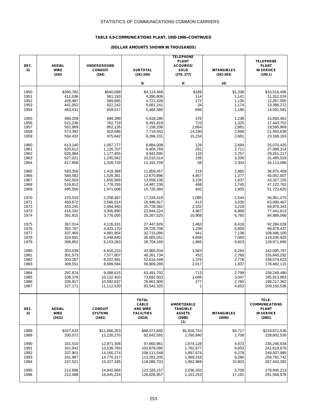### **TABLE 6.9-COMMUNICATIONS PLANT, 1950-1996--CONTINUED**

| DEC.<br>31 | <b>AERIAL</b><br><b>WIRE</b><br>(243)  | <b>UNDERGROUND</b><br><b>CONDUIT</b><br>(244) | <b>SUBTOTAL</b><br>$(241 - 244)$                                               | <b>TELEPHONE</b><br><b>PLANT</b><br><b>ACQUIRED/</b><br>SOLD<br>(276, 277) | <b>INTANGIBLES</b><br>$(201 - 203)$ | <b>TELEPHONE</b><br><b>PLANT</b><br><b>IN SERVICE</b><br>(100.1)              |
|------------|----------------------------------------|-----------------------------------------------|--------------------------------------------------------------------------------|----------------------------------------------------------------------------|-------------------------------------|-------------------------------------------------------------------------------|
|            |                                        |                                               | 8/                                                                             | 9/                                                                         | 10/                                 |                                                                               |
| 1950       | \$395,782                              | \$540,698                                     | \$4,114,468                                                                    | \$189                                                                      | \$1,208                             | \$10,516,495                                                                  |
| 1951       | 411,036                                | 561,193                                       | 4,390,808                                                                      | 114                                                                        | 1,141                               | 11,312,024                                                                    |
| 1952       | 426,487                                | 589,685                                       | 4,721,428                                                                      | 172                                                                        | 1,135                               | 12,267,005                                                                    |
| 1953       | 441,052                                | 622,242                                       | 5,081,241                                                                      | 34                                                                         | 1,174                               | 13,386,272                                                                    |
| 1954       | 463,431                                | 659,517                                       | 5,484,380                                                                      | 694                                                                        | 1,186                               | 14,591,581                                                                    |
| 1955       | 489,209                                | 699,399                                       | 5,918,280                                                                      | 376                                                                        | 1,238                               | 15,830,461                                                                    |
| 1956       | 521,236                                | 762,719                                       | 6,491,819                                                                      | 723                                                                        | 1,325                               | 17,443,702                                                                    |
| 1957       | 552,869                                | 852,126                                       | 7,158,206                                                                      | 2,664                                                                      | 2,881                               | 19,595,869                                                                    |
| 1958       | 573,392                                | 918,686                                       | 7,719,443                                                                      | 14,190                                                                     | 2,668                               | 21,450,838                                                                    |
| 1959       | 594,432                                | 975,642                                       | 8,266,331                                                                      | 15,234                                                                     | 2,681                               | 23,168,163                                                                    |
| 1960       | 613,140                                | 1,057,777                                     | 8,884,008                                                                      | 129                                                                        | 2,694                               | 25,070,425                                                                    |
| 1961       | 620,612                                | 1,120,707                                     | 9,404,784                                                                      | 291                                                                        | 2,711                               | 27,068,314                                                                    |
| 1962       | 626,984                                | 1,177,455                                     | 9,941,695                                                                      | 133                                                                        | 2,757                               | 29,261,217                                                                    |
| 1963       | 627,021                                | 1,245,562                                     | 10,515,514                                                                     | 236                                                                        | 3,336                               | 31,495,533                                                                    |
| 1964       | 617,858                                | 1,328,729                                     | 11,191,709                                                                     | 58                                                                         | 3,304                               | 34,113,066                                                                    |
| 1965       | 593,356                                | 1,419,388                                     | 11,859,457                                                                     | 218                                                                        | 2,865                               | 36,875,409                                                                    |
| 1966       | 569,582                                | 1,528,361                                     | 12,670,896                                                                     | 4,857                                                                      | 1,377                               | 40,052,507                                                                    |
| 1967       | 542,503                                | 1,650,569                                     | 13,558,136                                                                     | 3,226                                                                      | 1,637                               | 43,327,155                                                                    |
| 1968       | 519,812                                | 1,778,255                                     | 14,487,236                                                                     | 468                                                                        | 1,745                               | 47,122,762                                                                    |
| 1969       | 495,550                                | 1,971,008                                     | 15,720,394                                                                     | 492                                                                        | 2,405                               | 51,723,620                                                                    |
| 1970       | 470,519                                | 2,258,487                                     | 17,226,419                                                                     | 1,095                                                                      | 2,544                               | 56,951,475                                                                    |
| 1971       | 450,672                                | 2,566,014                                     | 18,946,917                                                                     | 413                                                                        | 3,030                               | 63,090,467                                                                    |
| 1972       | 433,245                                | 2,894,940                                     | 20,728,582                                                                     | 2,102                                                                      | 3,219                               | 69,870,343                                                                    |
| 1973       | 416,192                                | 3,305,990                                     | 22,844,224                                                                     | 4,967                                                                      | 6,968                               | 77,441,613                                                                    |
| 1974       | 391,815                                | 3,776,055                                     | 25,267,525                                                                     | 10,908                                                                     | 6,760                               | 84,888,068                                                                    |
| 1975       | 367,014                                | 4,126,331                                     | 27,447,926                                                                     | 1,463                                                                      | 6,418                               | 92,284,028                                                                    |
| 1976       | 352,797                                | 4,433,170                                     | 29,728,708                                                                     | 1,239                                                                      | 6,959                               | 99,879,437                                                                    |
| 1977       | 337,465                                | 4,881,954                                     | 32,715,095                                                                     | 941                                                                        | 7,138                               | 109,496,100                                                                   |
| 1978       | 324,691                                | 5,448,840                                     | 36,005,051                                                                     | 4,658                                                                      | 7,060                               | 119,335,925                                                                   |
| 1979       | 308,852                                | 6,153,363                                     | 39,704,169                                                                     | 1,965                                                                      | 6,823                               | 129,971,695                                                                   |
| 1980       | 303,039                                | 6,916,233                                     | 43,965,034                                                                     | 1,563                                                                      | 6,264                               | 142,095,787                                                                   |
| 1981       | 301,573                                | 7,577,807                                     | 48,261,734                                                                     | 452                                                                        | 2,768                               | 155,845,292                                                                   |
| 1982       | 303,267                                | 8,202,691                                     | 52,616,448                                                                     | 1,376                                                                      | 2,776                               | 168,074,623                                                                   |
| 1983       | 306,551                                | 8,689,584                                     | 56,809,289                                                                     | 2,017                                                                      | 1,837                               | 178,482,115                                                                   |
| 1984       | 297,874                                | 9,088,615                                     | 63,491,702                                                                     | 713                                                                        | 2,799                               | 159.249.480                                                                   |
| 1985       | 338,378                                | 10,122,403                                    | 73,692,503                                                                     | 1,046                                                                      | 3,047                               | 185,913,983                                                                   |
| 1986       | 336,817                                | 10,592,637                                    | 78,861,900                                                                     | 277                                                                        | 2,760                               | 198,217,362                                                                   |
| 1987       | 327,171                                | 11,112,520                                    | 83,542,325                                                                     | 1                                                                          | 4,653                               | 209,150,536                                                                   |
| DEC.<br>31 | <b>AERIAL</b><br><b>WIRE</b><br>(2431) | <b>CONDUIT</b><br><b>SYSTEMS</b><br>(2441)    | <b>TOTAL</b><br><b>CABLE</b><br><b>AND WIRE</b><br><b>FACILITIES</b><br>(2410) | <b>AMORTIZABLE</b><br><b>TANGIBLE</b><br><b>ASSETS</b><br>(2680)<br>11/    | <b>INTANGIBLES</b><br>(2690)        | TELE-<br><b>COMMUNICATIONS</b><br><b>PLANT</b><br><b>IN SERVICE</b><br>(2001) |
| 1988       | \$327.633                              | \$11,666,203                                  | \$88.071.660                                                                   | \$1.818.753                                                                | \$4,717                             | \$219,871,536                                                                 |
| 1989       | 330,072                                | 12,226,270                                    | 92,642,591                                                                     | 1,760,840                                                                  | 2,708                               | 228,802,536                                                                   |
| 1990       | 331,510                                | 12,871,308                                    | 97,860,961                                                                     | 1,674,128                                                                  | 4,973                               | 235,246,934                                                                   |
| 1991       | 341,942                                | 13,538,783                                    | 102,878,090                                                                    | 1,762,677                                                                  | 9,653                               | 241,619,670                                                                   |
| 1992       | 337,901                                | 14,160,274                                    | 108.111.548                                                                    | 1,897,674                                                                  | 9,279                               | 249,507,995                                                                   |
| 1993       | 241,987                                | 14,770,317                                    | 113,281,205                                                                    | 1,969,216                                                                  | 9,286                               | 258,781,742                                                                   |
| 1994       | 247,521                                | 15,327,185                                    | 118,080,703                                                                    | 1,962,969                                                                  | 10,803                              | 267,443,392                                                                   |
| 1995       | 212,666                                | 14,842,684                                    | 123,183,157                                                                    | 2,036,332                                                                  | 5,758                               | 278,946,213                                                                   |
| 1996       | 212,488                                | 16,445,224                                    | 128,826,957                                                                    | 1,151,253                                                                  | 17,191                              | 291,568,976                                                                   |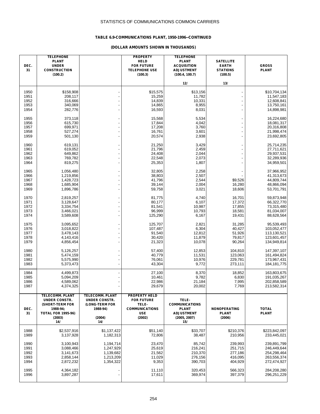### **TABLE 6.9-COMMUNICATIONS PLANT, 1950-1996--CONTINUED**

| DEC.<br>31                           | <b>TELEPHONE</b><br><b>PLANT</b><br><b>UNDER</b><br><b>CONSTRUCTION</b><br>(100.2)                                          |                                                                                               | <b>PROPERTY</b><br><b>HELD</b><br><b>FOR FUTURE</b><br><b>TELEPHONE USE</b><br>(100.3)              | <b>TELEPHONE</b><br><b>PLANT</b><br><b>ACQUISITION</b><br><b>ADJUSTMENT</b><br>(100.4, 100.7) | <b>SATELLITE</b><br><b>EARTH</b><br><b>STATIONS</b><br>(100.5) | <b>GROSS</b><br><b>PLANT</b>                                            |
|--------------------------------------|-----------------------------------------------------------------------------------------------------------------------------|-----------------------------------------------------------------------------------------------|-----------------------------------------------------------------------------------------------------|-----------------------------------------------------------------------------------------------|----------------------------------------------------------------|-------------------------------------------------------------------------|
|                                      |                                                                                                                             |                                                                                               |                                                                                                     | 12/                                                                                           | 13/                                                            |                                                                         |
| 1950<br>1951<br>1952<br>1953<br>1954 | \$158,908<br>208,117<br>316,666<br>340,069<br>282,776                                                                       | ÷,<br>÷,                                                                                      | \$15,575<br>15,259<br>14,839<br>14,865<br>16,593                                                    | \$13,156<br>11,782<br>10,331<br>8,955<br>8,031                                                | $\overline{a}$<br>÷,                                           | \$10,704,134<br>11,547,183<br>12,608,841<br>13,750,161<br>14,898,981    |
| 1955<br>1956<br>1957<br>1958<br>1959 | 373,118<br>615,730<br>699,971<br>527,274<br>501,130                                                                         | $\overline{a}$<br>$\overline{a}$                                                              | 15,568<br>17,844<br>17,208<br>16,761<br>20,574                                                      | 5,534<br>4,042<br>3,760<br>3,601<br>2,938                                                     | $\overline{a}$<br>$\overline{a}$<br>$\overline{a}$             | 16,224,680<br>18,081,317<br>20,316,808<br>21,998,474<br>23,692,805      |
| 1960<br>1961<br>1962<br>1963<br>1964 | 619,131<br>619,052<br>649,862<br>769,782<br>819,275                                                                         | $\overline{a}$<br>$\blacksquare$                                                              | 21,250<br>21,796<br>24,408<br>22,548<br>25,353                                                      | 3,429<br>2,459<br>2,044<br>2,073<br>1,807                                                     | -<br>$\overline{a}$<br>$\overline{a}$<br>$\overline{a}$        | 25,714,235<br>27,711,621<br>29,937,531<br>32,289,936<br>34,959,501      |
| 1965<br>1966<br>1967<br>1968<br>1969 | 1,056,480<br>1,219,856<br>1,428,723<br>1,685,904<br>1,896,786                                                               | $\overline{a}$<br>$\overline{a}$                                                              | 32,805<br>38,803<br>41,796<br>39,144<br>59,758                                                      | 2,258<br>2,507<br>2,544<br>2,004<br>3,021                                                     | \$9,526<br>16,280<br>18,606                                    | 37,966,952<br>41,313,673<br>44,809,744<br>48,866,094<br>53,701,791      |
| 1970<br>1971<br>1972<br>1973<br>1974 | 2,819,257<br>3,128,647<br>3,334,754<br>3,466,021<br>3,589,608                                                               | ÷,<br>$\overline{\phantom{a}}$<br>$\overline{a}$                                              | 81,775<br>80,177<br>81,541<br>96,999<br>125,290                                                     | 4,740<br>6,107<br>10,987<br>10,793<br>6,167                                                   | 16,701<br>17,372<br>17,855<br>18,581<br>19,431                 | 59,873,948<br>66,322,770<br>73,315,480<br>81,034,007<br>88,628,564      |
| 1975<br>1976<br>1977<br>1978<br>1979 | 3,095,652<br>3,018,822<br>3,478,143<br>4,143,416<br>4,856,454                                                               | $\overline{a}$<br>÷,<br>$\overline{a}$                                                        | 125,707<br>107,487<br>91,540<br>30,420<br>21,323                                                    | 2,821<br>6,304<br>12,812<br>11,879<br>10,078                                                  | 31,285<br>40,427<br>51,926<br>79,817<br>90,264                 | 95,539,493<br>103,052,477<br>113,130,521<br>123,601,457<br>134,949,814  |
| 1980<br>1981<br>1982<br>1983         | 5,126,257<br>5,474,159<br>5,575,990<br>5,373,473                                                                            | $\overline{\phantom{0}}$<br>$\overline{a}$                                                    | 57,400<br>40,779<br>76,061<br>43,304                                                                | 12,853<br>11,531<br>10,976<br>9,772                                                           | 104,810<br>123,063<br>229,781<br>273,111                       | 147,397,107<br>161,494,824<br>173,967,431<br>184, 181, 775              |
| 1984<br>1985<br>1986<br>1987         | 4,499,873<br>5,094,209<br>4,589,062<br>4,374,325                                                                            | $\overline{\phantom{0}}$                                                                      | 27,100<br>10,461<br>22,986<br>29,679                                                                | 8,370<br>9,782<br>21,184<br>20,002                                                            | 18,852<br>6,830<br>7,995<br>7,769                              | 163,803,675<br>191,035,267<br>202,858,589<br>213,582,314                |
| DEC.<br>31                           | <b>TELECOMM. PLANT</b><br><b>UNDER CONSTR.</b><br>(SHORT-TERM FOR<br>1988-94;<br><b>TOTAL FOR 1995-96)</b><br>(2003)<br>14/ | <b>TELECOMM. PLANT</b><br><b>UNDER CONSTR.</b><br>(LONG-TERM FOR<br>1988-94)<br>(2004)<br>14/ | <b>PROPERTY HELD</b><br><b>FOR FUTURE</b><br>TELE-<br><b>COMMUNICATIONS</b><br><b>USE</b><br>(2002) | TELE-<br><b>COMMUNICATIONS</b><br><b>PLANT</b><br><b>ADJUSTMENT</b><br>(2005, 2007)<br>15/    | <b>NONOPERATING</b><br><b>PLANT</b><br>(2006)                  | <b>TOTAL</b><br><b>PLANT</b>                                            |
| 1988<br>1989                         | \$2,537,916<br>3,137,928                                                                                                    | \$1,137,422<br>1,182,313                                                                      | \$51,140<br>72,806                                                                                  | \$33,707<br>38,487                                                                            | \$210,376<br>210,956                                           | \$223.842.097<br>233,445,021                                            |
| 1990<br>1991<br>1992<br>1993<br>1994 | 3,100,943<br>3,088,466<br>3,141,673<br>2,858,144<br>2,872,232                                                               | 1,194,714<br>1,247,929<br>1,139,682<br>1,213,209<br>1,354,322                                 | 23,470<br>25,619<br>21,562<br>11,029<br>9,353                                                       | 85,742<br>216,241<br>210,370<br>276,156<br>390,703                                            | 239,993<br>251,715<br>277,186<br>416,095<br>404,929            | 239,891,799<br>246,449,644<br>254,298,464<br>263,556,374<br>272,474,927 |
| 1995<br>1996                         | 4,364,182<br>3,897,287                                                                                                      |                                                                                               | 11,110<br>17,611                                                                                    | 320,453<br>369,974                                                                            | 566,323<br>397,379                                             | 284,208,280<br>296,251,229                                              |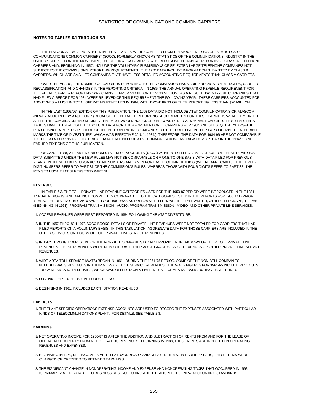#### **NOTES TO TABLES 6.1 THROUGH 6.9**

 THE HISTORICAL DATA PRESENTED IN THESE TABLES WERE COMPILED FROM PREVIOUS EDITIONS OF "STATISTICS OF COMMUNICATIONS COMMON CARRIERS" (SOCC), FORMERLY KNOWN AS "STATISTICS OF THE COMMUNICATIONS INDUSTRY IN THE UNITED STATES." FOR THE MOST PART, THE ORIGINAL DATA WERE GATHERED FROM THE ANNUAL REPORTS OF CLASS A TELEPHONE CARRIERS AND, BEGINNING IN 1957, INCLUDE THE VOLUNTARY SUBMISSIONS OF SELECTED LARGE TELEPHONE COMPANIES NOT SUBJECT TO THE COMMISSION'S REPORTING REQUIREMENTS. THE 1950 DATA INCLUDE INFORMATION SUBMITTED BY CLASS B CARRIERS, WHICH ARE SMALLER COMPANIES THAT HAVE LESS DETAILED ACCOUNTING REQUIREMENTS THAN CLASS A CARRIERS.

 OVER THE YEARS, THE NUMBER OF CARRIERS REPORTING TO THE COMMISSION HAS VARIED BECAUSE OF MERGERS, CARRIER RECLASSIFICATION, AND CHANGES IN THE REPORTING CRITERIA. IN 1985, THE ANNUAL OPERATING REVENUE REQUIREMENT FOR TELEPHONE CARRIER REPORTING WAS CHANGED FROM \$1 MILLION TO \$100 MILLION. AS A RESULT, TWENTY-ONE COMPANIES THAT HAD FILED A REPORT FOR 1984 WERE RELIEVED OF THIS REQUIREMENT THE FOLLOWING YEAR. THESE CARRIERS ACCOUNTED FOR ABOUT \$440 MILLION IN TOTAL OPERATING REVENUES IN 1984, WITH TWO-THIRDS OF THEM REPORTING LESS THAN \$20 MILLION.

 IN THE LAST (1995/96) EDITION OF THIS PUBLICATION, THE 1995 DATA DID NOT INCLUDE AT&T COMMUNICATIONS OR ALASCOM (NEWLY ACQUIRED BY AT&T CORP.) BECAUSE THE DETAILED REPORTING REQUIREMENTS FOR THESE CARRIERS WERE ELIMINATED AFTER THE COMMISSION HAD DECIDED THAT AT&T WOULD NO LONGER BE CONSIDERED A DOMINANT CARRIER. THIS YEAR, THESE TABLES HAVE BEEN REVISED TO EXCLUDE DATA FOR THE AFOREMENTIONED CARRIERS FOR 1984 AND SUBSEQUENT YEARS--THE PERIOD SINCE AT&T'S DIVESTITURE OF THE BELL OPERATING COMPANIES. (THE DOUBLE LINE IN THE YEAR COLUMN OF EACH TABLE MARKS THE TIME OF DIVESTITURE, WHICH WAS EFFECTIVE JAN. 1, 1984.) THEREFORE, THE DATA FOR 1984-96 ARE NOT COMPARABLE TO THE DATA FOR 1950-83. HISTORICAL DATA THAT INCLUDE AT&T COMMUNICATIONS AND ALASCOM APPEAR IN THE 1994/95 AND EARLIER EDITIONS OF THIS PUBLICATION.

 ON JAN. 1, 1988, A REVISED UNIFORM SYSTEM OF ACCOUNTS (USOA) WENT INTO EFFECT. AS A RESULT OF THESE REVISIONS, DATA SUBMITTED UNDER THE NEW RULES MAY NOT BE COMPARABLE ON A ONE-TO-ONE BASIS WITH DATA FILED FOR PREVIOUS YEARS. IN THESE TABLES, USOA ACCOUNT NUMBERS ARE GIVEN FOR EACH COLUMN HEADING (WHERE APPLICABLE). THE THREE-DIGIT NUMBERS REFER TO PART 31 OF THE COMMISSION'S RULES, WHEREAS THOSE WITH FOUR DIGITS REFER TO PART 32--THE REVISED USOA THAT SUPERSEDED PART 31.

#### **REVENUES**

 IN TABLE 6.3, THE TOLL PRIVATE LINE REVENUE CATEGORIES USED FOR THE 1950-87 PERIOD WERE INTRODUCED IN THE 1981 ANNUAL REPORTS, AND ARE NOT COMPLETELY COMPARABLE TO THE CATEGORIES LISTED IN THE REPORTS FOR 1980 AND PRIOR YEARS. THE REVENUE BREAKDOWN BEFORE 1981 WAS AS FOLLOWS: TELEPHONE, TELETYPEWRITER, OTHER TELEGRAPH, TELPAK (BEGINNING IN 1961), PROGRAM TRANSMISSION - AUDIO, PROGRAM TRANSMISSION - VIDEO, AND OTHER PRIVATE LINE SERVICES.

- 1/ ACCESS REVENUES WERE FIRST REPORTED IN 1984 FOLLOWING THE AT&T DIVESTITURE.
- 2/ IN THE 1957 THROUGH 1973 SOCC BOOKS, DETAILS OF PRIVATE LINE REVENUES WERE NOT TOTALED FOR CARRIERS THAT HAD FILED REPORTS ON A VOLUNTARY BASIS. IN THIS TABULATION, AGGREGATE DATA FOR THOSE CARRIERS ARE INCLUDED IN THE OTHER SERVICES CATEGORY OF TOLL PRIVATE LINE SERVICE REVENUES.
- 3/ IN 1982 THROUGH 1987, SOME OF THE NON-BELL COMPANIES DID NOT PROVIDE A BREAKDOWN OF THEIR TOLL PRIVATE LINE REVENUES. THESE REVENUES WERE REPORTED AS EITHER VOICE GRADE SERVICE REVENUES OR OTHER PRIVATE LINE SERVICE **REVENUES**
- 4/ WIDE AREA TOLL SERVICE (WATS) BEGAN IN 1961. DURING THE 1961-75 PERIOD, SOME OF THE NON-BELL COMPANIES INCLUDED WATS REVENUES IN THEIR MESSAGE TOLL SERVICE REVENUES. THE WATS FIGURES FOR 1961-65 INCLUDE REVENUES FOR WIDE AREA DATA SERVICE, WHICH WAS OFFERED ON A LIMITED DEVELOPMENTAL BASIS DURING THAT PERIOD.
- 5/ FOR 1961 THROUGH 1980, INCLUDES TELPAK.

6/ BEGINNING IN 1961, INCLUDES EARTH STATION REVENUES.

#### **EXPENSES**

 1/ THE PLANT SPECIFIC OPERATIONS EXPENSE ACCOUNTS ARE USED TO RECORD THE EXPENSES ASSOCIATED WITH PARTICULAR KINDS OF TELECOMMUNICATIONS PLANT. FOR DETAILS, SEE TABLE 2.8.

#### **EARNINGS**

- 1/ NET OPERATING INCOME FOR 1950-87 IS AFTER THE ADDITION AND SUBTRACTION OF RENTS FROM AND FOR THE LEASE OF OPERATING PROPERTY FROM NET OPERATING REVENUES. BEGINNING IN 1988, THESE RENTS ARE INCLUDED IN OPERATING REVENUES AND EXPENSES.
- 2/ BEGINNING IN 1970, NET INCOME IS AFTER EXTRAORDINARY AND DELAYED ITEMS. IN EARLIER YEARS, THESE ITEMS WERE CHARGED OR CREDITED TO RETAINED EARNINGS.
- 3/ THE SIGNIFICANT CHANGE IN NONOPERATING INCOME AND EXPENSE AND NONOPERATING TAXES THAT OCCURRED IN 1993 IS PRIMARILY ATTRIBUTABLE TO BUSINESS RESTRUCTURING AND THE ADOPTION OF NEW ACCOUNTING STANDARDS.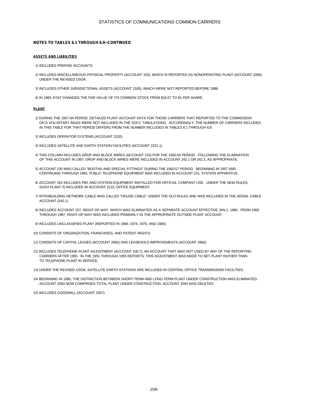#### **NOTES TO TABLES 6.1 THROUGH 6.9--CONTINUED**

#### **ASSETS AND LIABILITIES**

1/ INCLUDES PREPAID ACCOUNTS.

- 2/ INCLUDES MISCELLANEOUS PHYSICAL PROPERTY (ACCOUNT 103), WHICH IS REPORTED AS NONOPERATING PLANT (ACCOUNT 2006) UNDER THE REVISED USOA.
- 3/ INCLUDES OTHER JURISDICTIONAL ASSETS (ACCOUNT 1500), WHICH WERE NOT REPORTED BEFORE 1988.
- 4/ IN 1983, AT&T CHANGED THE PAR VALUE OF ITS COMMON STOCK FROM \$16.67 TO \$1 PER SHARE.

#### **PLANT**

- 1/ DURING THE 1957-84 PERIOD, DETAILED PLANT ACCOUNT DATA FOR THOSE CARRIERS THAT REPORTED TO THE COMMISSION ON A VOLUNTARY BASIS WERE NOT INCLUDED IN THE SOCC TABULATIONS. ACCORDINGLY, THE NUMBER OF CARRIERS INCLUDED IN THIS TABLE FOR THAT PERIOD DIFFERS FROM THE NUMBER INCLUDED IN TABLES 6.1 THROUGH 6.8.
- 2/ INCLUDES OPERATOR SYSTEMS (ACCOUNT 2220).
- 3/ INCLUDES SATELLITE AND EARTH STATION FACILITIES (ACCOUNT 2231.1).
- 4/ THIS COLUMN INCLUDES DROP AND BLOCK WIRES (ACCOUNT 233) FOR THE 1950-56 PERIOD. FOLLOWING THE ELIMINATION OF THIS ACCOUNT IN 1957, DROP AND BLOCK WIRES WERE INCLUDED IN ACCOUNT 242.1 OR 242.3, AS APPROPRIATE.
- 5/ ACCOUNT 235 WAS CALLED "BOOTHS AND SPECIAL FITTINGS" DURING THE 1950-57 PERIOD. BEGINNING IN 1957 AND CONTINUING THROUGH 1983, PUBLIC TELEPHONE EQUIPMENT WAS INCLUDED IN ACCOUNT 231, STATION APPARATUS.
- 6/ ACCOUNT 262 INCLUDES PBX AND STATION EQUIPMENT INSTALLED FOR OFFICIAL COMPANY USE. UNDER THE NEW RULES, SUCH PLANT IS INCLUDED IN ACCOUNT 2123, OFFICE EQUIPMENT.
- 7/ INTRABUILDING NETWORK CABLE WAS CALLED "HOUSE CABLE" UNDER THE OLD RULES AND WAS INCLUDED IN THE AERIAL CABLE ACCOUNT (242.1).
- 8/ INCLUDES ACCOUNT 207, RIGHT-OF-WAY, WHICH WAS ELIMINATED AS A SEPARATE ACCOUNT EFFECTIVE JAN.1, 1960. FROM 1960 THROUGH 1987, RIGHT-OF-WAY WAS INCLUDED PRIMARILY IN THE APPROPRIATE OUTSIDE PLANT ACCOUNT.
- 9/ INCLUDES UNCLASSIFIED PLANT (REPORTED IN 1969, 1974, 1975, AND 1984).
- 10/ CONSISTS OF ORGANIZATION, FRANCHISES, AND PATENT RIGHTS.
- 11/ CONSISTS OF CAPITAL LEASES (ACCOUNT 2681) AND LEASEHOLD IMPROVEMENTS (ACCOUNT 2682).
- 12/ INCLUDES TELEPHONE PLANT ADJUSTMENT (ACCOUNT 100.7), AN ACCOUNT THAT WAS NOT USED BY ANY OF THE REPORTING CARRIERS AFTER 1955. IN THE 1951 THROUGH 1955 REPORTS, THIS ADJUSTMENT WAS MADE TO NET PLANT RATHER THAN TO TELEPHONE PLANT IN SERVICE.
- 13/ UNDER THE REVISED USOA, SATELLITE EARTH STATIONS ARE INCLUDED IN CENTRAL OFFICE TRANSMISSION FACILITIES.
- 14/ BEGINNING IN 1995, THE DISTINCTION BETWEEN SHORT-TERM AND LONG-TERM PLANT UNDER CONSTRUCTION WAS ELIMINATED. ACCOUNT 2003 NOW COMPRISES TOTAL PLANT UNDER CONSTRUCTION; ACCOUNT 2004 WAS DELETED.

15/ INCLUDES GOODWILL (ACCOUNT 2007).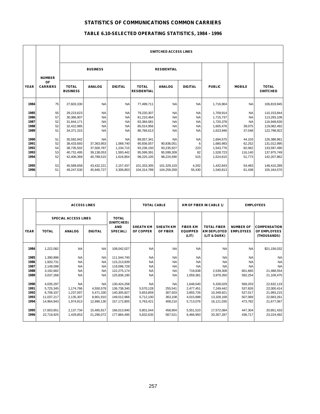# **TABLE 6.10-SELECTED OPERATING STATISTICS, 1984 - 1996**

|              |                              |                                 | <b>SWITCHED ACCESS LINES</b> |                |                                    |                    |                |                        |                  |                                 |  |  |
|--------------|------------------------------|---------------------------------|------------------------------|----------------|------------------------------------|--------------------|----------------|------------------------|------------------|---------------------------------|--|--|
|              | <b>NUMBER</b>                |                                 | <b>BUSINESS</b>              |                |                                    | <b>RESIDENTIAL</b> |                |                        |                  |                                 |  |  |
| <b>YEAR</b>  | <b>OF</b><br><b>CARRIERS</b> | <b>TOTAL</b><br><b>BUSINESS</b> | <b>ANALOG</b>                | <b>DIGITAL</b> | <b>TOTAL</b><br><b>RESIDENTIAL</b> | <b>ANALOG</b>      | <b>DIGITAL</b> | <b>PUBLIC</b>          | <b>MOBILE</b>    | <b>TOTAL</b><br><b>SWITCHED</b> |  |  |
| 1984         | 75                           | 27,603,330                      | <b>NA</b>                    | <b>NA</b>      | 77,499,711                         | <b>NA</b>          | <b>NA</b>      | 1,716,904              | <b>NA</b>        | 106,819,945                     |  |  |
| 1985         | 55                           | 29,223,623                      | <b>NA</b>                    | <b>NA</b>      | 79,220,307                         | <b>NA</b>          | NA             | 1,709,914              | <b>NA</b>        | 110,153,844                     |  |  |
| 1986         | 57                           | 30,366,907                      | <b>NA</b>                    | <b>NA</b>      | 81,210,464                         | <b>NA</b>          | <b>NA</b>      | 1,715,737              | <b>NA</b>        | 113,293,108                     |  |  |
| 1987         | 52                           | 31,844,171                      | <b>NA</b>                    | <b>NA</b>      | 83,384,081                         | <b>NA</b>          | NA             | 1,720,378              | <b>NA</b>        | 116,948,630                     |  |  |
| 1988         | 52                           | 32,422,985                      | <b>NA</b>                    | <b>NA</b>      | 85,014,956                         | <b>NA</b>          | <b>NA</b>      | 1,605,476              | 39,075           | 119,082,492                     |  |  |
| 1989         | 51                           | 34.371.315                      | <b>NA</b>                    | <b>NA</b>      | 86,766,613                         | <b>NA</b>          | <b>NA</b>      | 1,623,946              | 37,048           | 122,798,922                     |  |  |
|              |                              |                                 |                              | <b>NA</b>      |                                    | <b>NA</b>          |                |                        |                  |                                 |  |  |
| 1990<br>1991 | 51<br>52                     | 35,592,942<br>38,433,693        | <b>NA</b><br>37,363,953      | 1,069,740      | 89,057,341<br>90,836,057           | 90,836,051         | <b>NA</b><br>6 | 1,694,575<br>1,680,993 | 44,103<br>62,252 | 126,388,961<br>131,012,995      |  |  |
| 1992         | 54                           | 38,735,502                      | 37,500,787                   | 1,234,715      | 93,236,150                         | 93,235,927         | 223            | 1,543,776              | 82,062           | 133,597,490                     |  |  |
| 1993         | 53                           | 40,731,495                      | 39,138,053                   | 1,593,442      | 95,599,391                         | 95,599,309         | 82             | 1,528,723              | 116,140          | 137,975,749                     |  |  |
| 1994         | 52                           | 42,406,369                      | 40,789,515                   | 1,616,854      | 98,225,105                         | 98,224,590         | 515            | 1,524,615              | 51,773           | 142,207,862                     |  |  |
|              |                              |                                 |                              |                |                                    |                    |                |                        |                  |                                 |  |  |
| 1995         | 53                           | 45,589,658                      | 43,432,221                   | 2,157,437      | 101,333,305                        | 101,329,103        | 4,202          | 1,432,843              | 54,483           | 148,410,289                     |  |  |
| 1996         | 51                           | 49,247,530                      | 45,940,727                   | 3,306,803      | 104,314,789                        | 104,259,359        | 55,430         | 1,540,813              | 61,438           | 155, 164, 570                   |  |  |
|              |                              |                                 |                              |                |                                    |                    |                |                        |                  |                                 |  |  |

|             | <b>ACCESS LINES</b>         |               |                |                            |                               | <b>TOTAL CABLE</b>           |                                             | <b>KM OF FIBER IN CABLE 1/</b><br><b>EMPLOYEES</b>       |                                      |                                                    |
|-------------|-----------------------------|---------------|----------------|----------------------------|-------------------------------|------------------------------|---------------------------------------------|----------------------------------------------------------|--------------------------------------|----------------------------------------------------|
|             | <b>SPECIAL ACCESS LINES</b> |               |                | <b>TOTAL</b><br>(SWITCHED) |                               |                              |                                             |                                                          |                                      |                                                    |
| <b>YEAR</b> | <b>TOTAL</b>                | <b>ANALOG</b> | <b>DIGITAL</b> | <b>AND</b><br>SPECIAL)     | <b>SHEATH KM</b><br>OF COPPER | <b>SHEATH KM</b><br>OF FIBER | <b>FIBER KM</b><br><b>EQUIPPED</b><br>(LIT) | <b>TOTAL FIBER</b><br><b>KM DEPLOYED</b><br>(LIT & DARK) | <b>NUMBER OF</b><br><b>EMPLOYEES</b> | <b>COMPENSATION</b><br>OF EMPLOYEES<br>(THOUSANDS) |
| 1984        | 1,222,082                   | <b>NA</b>     | <b>NA</b>      | 108,042,027                | <b>NA</b>                     | <b>NA</b>                    | <b>NA</b>                                   | <b>NA</b>                                                | <b>NA</b>                            | \$21,156,032                                       |
| 1985        | 1,390,896                   | <b>NA</b>     | <b>NA</b>      | 111,544,740                | <b>NA</b>                     | <b>NA</b>                    | <b>NA</b>                                   | <b>NA</b>                                                | <b>NA</b>                            | <b>NA</b>                                          |
| 1986        | 1,920,731                   | <b>NA</b>     | <b>NA</b>      | 115,213,839                | <b>NA</b>                     | <b>NA</b>                    | <b>NA</b>                                   | <b>NA</b>                                                | <b>NA</b>                            | <b>NA</b>                                          |
| 1987        | 2,148,098                   | <b>NA</b>     | <b>NA</b>      | 119,096,728                | <b>NA</b>                     | <b>NA</b>                    | <b>NA</b>                                   | <b>NA</b>                                                | <b>NA</b>                            | <b>NA</b>                                          |
| 1988        | 3,192,682                   | <b>NA</b>     | <b>NA</b>      | 122.275.174                | <b>NA</b>                     | <b>NA</b>                    | 719,838                                     | 2,539,308                                                | 601,665                              | 21,488,554                                         |
| 1989        | 3,037,268                   | <b>NA</b>     | <b>NA</b>      | 125,836,190                | <b>NA</b>                     | <b>NA</b>                    | 1,059,381                                   | 3,979,350                                                | 592,254                              | 21,109,475                                         |
|             |                             |               |                |                            |                               |                              |                                             |                                                          |                                      |                                                    |
| 1990        | 4,035,297                   | <b>NA</b>     | <b>NA</b>      | 130,424,258                | <b>NA</b>                     | <b>NA</b>                    | 1,648,540                                   | 5,328,029                                                | 569,203                              | 22,632,119                                         |
| 1991        | 5,725,345                   | 1,174,766     | 4,550,579      | 136,738,340                | 5,570,128                     | 255,541                      | 2,477,451                                   | 7,249,442                                                | 537,826                              | 22,000,414                                         |
| 1992        | 6,708,337                   | 1.237.007     | 5,471,330      | 140,305,827                | 5,653,859                     | 307,503                      | 3,855,726                                   | 10,349,921                                               | 527,017                              | 21,993,215                                         |
| 1993        | 11,037,217                  | 2,135,307     | 8,901,910      | 149,012,966                | 5,712,100                     | 363,108                      | 4,015,898                                   | 13,328,168                                               | 507,069                              | 22,683,261                                         |
| 1994        | 14,964,943                  | 1,974,813     | 12,990,130     | 157, 172, 805              | 5,763,421                     | 408,210                      | 5,713,076                                   | 16,121,035                                               | 473,782                              | 21,677,067                                         |
|             |                             |               |                |                            |                               |                              |                                             |                                                          |                                      |                                                    |
| 1995        | 17,603,651                  | 2,137,734     | 15,465,917     | 166,013,940                | 5,801,044                     | 458,904                      | 5,551,510                                   | 17,572,084                                               | 447,304                              | 20,851,433                                         |
| 1996        | 22,719,925                  | 1,429,853     | 21,290,072     | 177,884,495                | 5,832,635                     | 567,521                      | 6,466,950                                   | 20,357,287                                               | 436,717                              | 23,224,492                                         |
|             |                             |               |                |                            |                               |                              |                                             |                                                          |                                      |                                                    |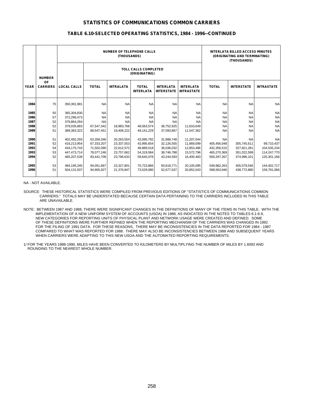|             |                       |                    |              | <b>NUMBER OF TELEPHONE CALLS</b><br>(THOUSANDS) | <b>INTERLATA BILLED ACCESS MINUTES</b><br>(ORIGINATING AND TERMINATING)<br>(THOUSANDS) |                                       |                                       |              |                   |                   |
|-------------|-----------------------|--------------------|--------------|-------------------------------------------------|----------------------------------------------------------------------------------------|---------------------------------------|---------------------------------------|--------------|-------------------|-------------------|
|             | <b>NUMBER</b>         |                    |              |                                                 | <b>TOLL CALLS COMPLETED</b><br>(ORIGINATING)                                           |                                       |                                       |              |                   |                   |
| <b>YEAR</b> | OF<br><b>CARRIERS</b> | <b>LOCAL CALLS</b> | <b>TOTAL</b> | <b>INTRALATA</b>                                | <b>TOTAL</b><br><b>INTERLATA</b>                                                       | <b>INTERLATA</b><br><b>INTERSTATE</b> | <b>INTERLATA</b><br><b>INTRASTATE</b> | <b>TOTAL</b> | <b>INTERSTATE</b> | <b>INTRASTATE</b> |
| 1984        | 75                    | 350,391,981        | <b>NA</b>    | <b>NA</b>                                       | <b>NA</b>                                                                              | <b>NA</b>                             | <b>NA</b>                             | <b>NA</b>    | <b>NA</b>         | <b>NA</b>         |
| 1985        | 55                    | 365,304,830        | <b>NA</b>    | <b>NA</b>                                       | <b>NA</b>                                                                              | <b>NA</b>                             | <b>NA</b>                             | <b>NA</b>    | <b>NA</b>         | <b>NA</b>         |
| 1986        | 57                    | 372,296,473        | <b>NA</b>    | <b>NA</b>                                       | <b>NA</b>                                                                              | <b>NA</b>                             | <b>NA</b>                             | <b>NA</b>    | <b>NA</b>         | <b>NA</b>         |
| 1987        | 52                    | 379,864,264        | <b>NA</b>    | <b>NA</b>                                       | <b>NA</b>                                                                              | <b>NA</b>                             | <b>NA</b>                             | <b>NA</b>    | <b>NA</b>         | <b>NA</b>         |
| 1988        | 52                    | 379,035,883        | 67,547,342   | 18,983,768                                      | 48,563,574                                                                             | 36,752,925                            | 11,810,649                            | <b>NA</b>    | <b>NA</b>         | <b>NA</b>         |
| 1989        | 51                    | 389,383,322        | 68,547,451   | 19,406,222                                      | 49,141,229                                                                             | 37,593,867                            | 11,547,362                            | <b>NA</b>    | <b>NA</b>         | <b>NA</b>         |
| 1990        | 51                    | 402.492.293        | 63,359,346   | 20,263,554                                      | 43,095,792                                                                             | 31.888.748                            | 11,207,044                            | <b>NA</b>    | <b>NA</b>         | <b>NA</b>         |
| 1991        | 52                    | 416,213,954        | 67,333,207   | 23,337,553                                      | 43,995,654                                                                             | 32,126,555                            | 11,869,099                            | 405,456,048  | 305,745,611       | 99,710,437        |
| 1992        | 54                    | 434, 175, 743      | 71,502,090   | 22,612,572                                      | 48,889,518                                                                             | 36,036,032                            | 12,853,486                            | 432,356,515  | 327,821,281       | 104,535,234       |
| 1993        | 53                    | 447,473,714        | 78,077,246   | 23,757,662                                      | 54,319,584                                                                             | 38,746,788                            | 15,572,796                            | 465,270,369  | 351,022,599       | 114,247,770       |
| 1994        | 52                    | 465,207,539        | 83,441,709   | 23,796,633                                      | 59,645,076                                                                             | 43.244.593                            | 16,400,483                            | 500,297,267  | 374,996,101       | 125,301,166       |
|             |                       |                    |              |                                                 |                                                                                        |                                       |                                       |              |                   |                   |
| 1995        | 53                    | 484,195,345        | 94,051,667   | 23,327,801                                      | 70,723,866                                                                             | 50.618.771                            | 20,105,095                            | 549,982,263  | 405,579,546       | 144,402,717       |
| 1996        | 51                    | 504.131.507        | 94.905.927   | 21.376.847                                      | 73.529.080                                                                             | 52.677.037                            | 20.852.043                            | 598.563.946  | 438.772.880       | 159,791,066       |
|             |                       |                    |              |                                                 |                                                                                        |                                       |                                       |              |                   |                   |

#### **TABLE 6.10-SELECTED OPERATING STATISTICS, 1984 - 1996--CONTINUED**

NA - NOT AVAILABLE.

SOURCE: THESE HISTORICAL STATISTICS WERE COMPILED FROM PREVIOUS EDITIONS OF "STATISTICS OF COMMUNICATIONS COMMON CARRIERS." TOTALS MAY BE UNDERSTATED BECAUSE CERTAIN DATA PERTAINING TO THE CARRIERS INCLUDED IN THIS TABLE ARE UNAVAILABLE.

- NOTE: BETWEEN 1987 AND 1988, THERE WERE SIGNIFICANT CHANGES IN THE DEFINITIONS OF MANY OF THE ITEMS IN THIS TABLE. WITH THE IMPLEMENTATION OF A NEW UNIFORM SYSTEM OF ACCOUNTS (USOA) IN 1988, AS INDICATED IN THE NOTES TO TABLES 6.1-6.9, NEW CATEGORIES FOR REPORTING UNITS OF PHYSICAL PLANT AND NETWORK USAGE WERE CREATED AND DEFINED. SOME OF THESE DEFINITIONS WERE FURTHER REFINED WHEN THE REPORTING MECHANISM OF THE CARRIERS WAS CHANGED IN 1992 FOR THE FILING OF 1991 DATA. FOR THESE REASONS, THERE MAY BE INCONSISTENCIES IN THE DATA REPORTED FOR 1984 - 1987 COMPARED TO WHAT WAS REPORTED FOR 1988. THERE MAY ALSO BE INCONSISTENCIES BETWEEN 1988 AND SUBSEQUENT YEARS WHEN CARRIERS WERE ADAPTING TO THIS NEW USOA AND THE AUTOMATED REPORTING REQUIREMENTS.
- 1/ FOR THE YEARS 1988-1990, MILES HAVE BEEN CONVERTED TO KILOMETERS BY MULTIPLYING THE NUMBER OF MILES BY 1.6093 AND ROUNDING TO THE NEAREST WHOLE NUMBER.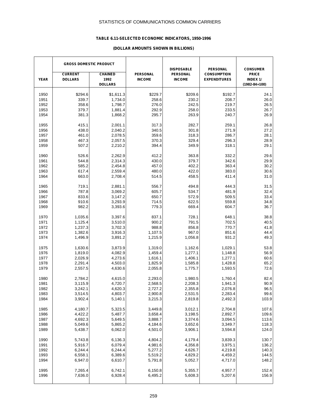# **TABLE 6.11-SELECTED ECONOMIC INDICATORS, 1950-1996**

# **(DOLLAR AMOUNTS SHOWN IN BILLIONS)**

|             | <b>GROSS DOMESTIC PRODUCT</b> |                |                 | <b>DISPOSABLE</b> | <b>PERSONAL</b>     | <b>CONSUMER</b>     |
|-------------|-------------------------------|----------------|-----------------|-------------------|---------------------|---------------------|
|             | <b>CURRENT</b>                | <b>CHAINED</b> | <b>PERSONAL</b> | <b>PERSONAL</b>   | <b>CONSUMPTION</b>  | <b>PRICE</b>        |
| <b>YEAR</b> | <b>DOLLARS</b>                | 1992           | <b>INCOME</b>   | <b>INCOME</b>     | <b>EXPENDITURES</b> | INDEX 1/            |
|             |                               | <b>DOLLARS</b> |                 |                   |                     | $(1982 - 84 = 100)$ |
| 1950        | \$294.6                       | \$1,611.3      | \$229.7         | \$209.6           | \$192.7             | 24.1                |
| 1951        | 339.7                         | 1,734.0        | 258.6           | 230.2             | 208.7               | 26.0                |
| 1952        | 358.6                         | 1,798.7        | 276.0           | 242.5             | 219.7               | 26.5                |
|             | 379.7                         |                |                 |                   |                     |                     |
| 1953        |                               | 1,881.4        | 292.9           | 258.0             | 233.5               | 26.7                |
| 1954        | 381.3                         | 1,868.2        | 295.7           | 263.9             | 240.7               | 26.9                |
| 1955        | 415.1                         | 2,001.1        | 317.3           | 282.7             | 259.1               | 26.8                |
| 1956        | 438.0                         | 2,040.2        | 340.5           | 301.8             | 271.9               | 27.2                |
| 1957        | 461.0                         | 2,078.5        | 359.6           | 318.3             | 286.7               | 28.1                |
| 1958        | 467.3                         | 2,057.5        | 370.3           | 329.4             | 296.3               | 28.9                |
| 1959        | 507.2                         | 2,210.2        | 394.4           | 349.9             | 318.1               | 29.1                |
|             |                               |                |                 |                   |                     |                     |
| 1960        | 526.6                         | 2,262.9        | 412.2           | 363.8             | 332.2               | 29.6                |
| 1961        | 544.8                         | 2,314.3        | 430.0           | 379.7             | 342.6               | 29.9                |
| 1962        | 585.2                         | 2,454.8        | 457.0           | 402.2             | 363.4               | 30.2                |
| 1963        | 617.4                         | 2,559.4        | 480.0           | 422.0             | 383.0               | 30.6                |
| 1964        | 663.0                         | 2,708.4        | 514.5           | 458.5             | 411.4               | 31.0                |
| 1965        | 719.1                         | 2,881.1        | 556.7           | 494.8             | 444.3               | 31.5                |
| 1966        | 787.8                         | 3,069.2        | 605.7           | 534.7             | 481.9               | 32.4                |
| 1967        | 833.6                         | 3,147.2        | 650.7           | 572.9             | 509.5               | 33.4                |
| 1968        | 910.6                         | 3,293.9        | 714.5           | 622.5             | 559.8               | 34.8                |
| 1969        | 982.2                         | 3,393.6        | 779.3           | 669.4             | 604.7               | 36.7                |
|             |                               |                |                 |                   |                     |                     |
| 1970        | 1,035.6                       | 3,397.6        | 837.1           | 728.1             | 648.1               | 38.8                |
| 1971        | 1,125.4                       | 3,510.0        | 900.2           | 791.5             | 702.5               | 40.5                |
| 1972        | 1,237.3                       | 3,702.3        | 988.8           | 856.8             | 770.7               | 41.8                |
| 1973        | 1,382.6                       | 3,916.3        | 1,107.5         | 967.0             | 851.6               | 44.4                |
| 1974        | 1,496.9                       | 3,891.2        | 1,215.9         | 1,056.8           | 931.2               | 49.3                |
| 1975        | 1,630.6                       | 3,873.9        | 1,319.0         | 1,162.6           | 1,029.1             | 53.8                |
| 1976        | 1,819.0                       | 4,082.9        | 1,459.4         | 1,277.1           | 1,148.8             | 56.9                |
| 1977        | 2,026.9                       | 4,273.6        | 1,616.1         | 1,406.1           | 1,277.1             | 60.6                |
| 1978        | 2,291.4                       | 4,503.0        | 1,825.9         | 1,585.8           | 1,428.8             | 65.2                |
| 1979        | 2,557.5                       | 4,630.6        | 2,055.8         | 1,775.7           | 1,593.5             | 72.6                |
|             |                               |                |                 |                   |                     |                     |
| 1980        | 2,784.2                       | 4,615.0        | 2,293.0         | 1,980.5           | 1,760.4             | 82.4                |
| 1981        | 3,115.9                       | 4,720.7        | 2,568.5         | 2,208.3           | 1,941.3             | 90.9                |
| 1982        | 3,242.1                       | 4,620.3        | 2,727.2         | 2,355.8           | 2,076.8             | 96.5                |
| 1983        | 3,514.5                       | 4,803.7        | 2,900.8         | 2,531.5           | 2,283.4             | 99.6                |
| 1984        | 3,902.4                       | 5,140.1        | 3,215.3         | 2,819.8           | 2,492.3             | 103.9               |
|             |                               |                |                 |                   |                     |                     |
| 1985        | 4,180.7                       | 5,323.5        | 3,449.8         | 3,012.1           | 2,704.8             | 107.6               |
| 1986        | 4,422.2                       | 5,487.7        | 3,658.4         | 3,198.5           | 2,892.7             | 109.6               |
| 1987        | 4,692.3                       | 5,649.5        | 3,888.7         | 3,374.6           | 3,094.5             | 113.6               |
| 1988        | 5,049.6                       | 5,865.2        | 4,184.6         | 3,652.6           | 3,349.7             | 118.3               |
| 1989        | 5,438.7                       | 6,062.0        | 4,501.0         | 3,906.1           | 3,594.8             | 124.0               |
| 1990        | 5,743.8                       | 6,136.3        | 4,804.2         | 4,179.4           | 3,839.3             | 130.7               |
| 1991        | 5,916.7                       | 6,079.4        | 4,981.6         | 4,356.8           | 3,975.1             | 136.2               |
| 1992        | 6,244.4                       | 6,244.4        | 5,277.2         | 4,626.7           | 4,219.8             | 140.3               |
| 1993        | 6,558.1                       | 6,389.6        | 5,519.2         | 4,829.2           | 4,459.2             | 144.5               |
| 1994        | 6,947.0                       | 6,610.7        | 5,791.8         | 5,052.7           | 4,717.0             | 148.2               |
|             |                               |                |                 |                   |                     |                     |
| 1995        | 7,265.4                       | 6,742.1        | 6,150.8         | 5,355.7           | 4,957.7             | 152.4               |
| 1996        | 7,636.0                       | 6,928.4        | 6,495.2         | 5,608.3           | 5,207.6             | 156.9               |
|             |                               |                |                 |                   |                     |                     |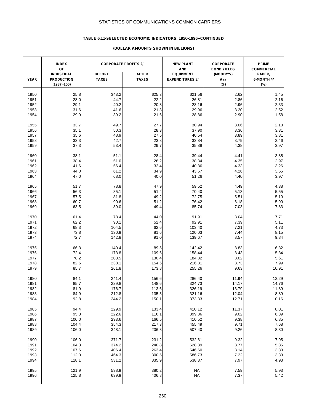# **TABLE 6.11-SELECTED ECONOMIC INDICATORS, 1950-1996--CONTINUED**

#### **(DOLLAR AMOUNTS SHOWN IN BILLIONS)**

|              | <b>INDEX</b><br>OF                                     | <b>CORPORATE PROFITS 2/</b>   |                              | <b>NEW PLANT</b><br><b>AND</b>             | <b>CORPORATE</b><br><b>BOND YIELDS</b> | <b>PRIME</b><br><b>COMMERCIAL</b> |
|--------------|--------------------------------------------------------|-------------------------------|------------------------------|--------------------------------------------|----------------------------------------|-----------------------------------|
| <b>YEAR</b>  | <b>INDUSTRIAL</b><br><b>PRODUCTION</b><br>$(1987=100)$ | <b>BEFORE</b><br><b>TAXES</b> | <b>AFTER</b><br><b>TAXES</b> | <b>EQUIPMENT</b><br><b>EXPENDITURES 3/</b> | (MOODY'S)<br>Aaa<br>$(\%)$             | PAPER,<br>6-MONTH 4/<br>(%)       |
|              |                                                        |                               |                              |                                            |                                        |                                   |
| 1950<br>1951 | 25.8<br>28.0                                           | \$43.2<br>44.7                | \$25.3<br>22.2               | \$21.56<br>26.81                           | 2.62<br>2.86                           | 1.45<br>2.16                      |
|              | 29.1                                                   | 40.2                          | 20.8                         | 28.16                                      | 2.96                                   |                                   |
| 1952         |                                                        |                               |                              |                                            |                                        | 2.33                              |
| 1953         | 31.6                                                   | 41.6                          | 21.3                         | 29.96                                      | 3.20                                   | 2.52                              |
| 1954         | 29.9                                                   | 39.2                          | 21.6                         | 28.86                                      | 2.90                                   | 1.58                              |
| 1955         | 33.7                                                   | 49.7                          | 27.7                         | 30.94                                      | 3.06                                   | 2.18                              |
| 1956         | 35.1                                                   | 50.3                          | 28.3                         | 37.90                                      | 3.36                                   | 3.31                              |
| 1957         | 35.6                                                   | 48.9                          | 27.5                         | 40.54                                      | 3.89                                   | 3.81                              |
| 1958         | 33.3                                                   | 42.7                          | 23.8                         | 33.84                                      | 3.79                                   | 2.46                              |
| 1959         | 37.3                                                   | 53.4                          | 29.7                         | 35.88                                      | 4.38                                   | 3.97                              |
| 1960         | 38.1                                                   | 51.1                          | 28.4                         | 39.44                                      | 4.41                                   | 3.85                              |
| 1961         | 38.4                                                   | 51.0                          | 28.2                         | 38.34                                      | 4.35                                   | 2.97                              |
| 1962         | 41.6                                                   | 56.4                          | 32.4                         | 40.86                                      | 4.33                                   | 3.26                              |
| 1963         | 44.0                                                   | 61.2                          | 34.9                         | 43.67                                      | 4.26                                   | 3.55                              |
| 1964         | 47.0                                                   | 68.0                          | 40.0                         | 51.26                                      | 4.40                                   | 3.97                              |
| 1965         | 51.7                                                   | 78.8                          | 47.9                         | 59.52                                      | 4.49                                   | 4.38                              |
| 1966         | 56.3                                                   | 85.1                          | 51.4                         | 70.40                                      | 5.13                                   | 5.55                              |
| 1967         | 57.5                                                   | 81.8                          | 49.2                         | 72.75                                      | 5.51                                   | 5.10                              |
| 1968         | 60.7                                                   | 90.6                          | 51.2                         | 76.42                                      | 6.18                                   | 5.90                              |
| 1969         | 63.5                                                   | 89.0                          | 49.4                         | 85.74                                      | 7.03                                   | 7.83                              |
|              | 61.4                                                   | 78.4                          | 44.0                         | 91.91                                      | 8.04                                   |                                   |
| 1970<br>1971 | 62.2                                                   | 90.1                          | 52.4                         | 92.91                                      | 7.39                                   | 7.71                              |
|              |                                                        |                               |                              |                                            |                                        | 5.11                              |
| 1972         | 68.3                                                   | 104.5                         | 62.6                         | 103.40                                     | 7.21                                   | 4.73                              |
| 1973<br>1974 | 73.8<br>72.7                                           | 130.9<br>142.8                | 81.6<br>91.0                 | 120.03<br>139.67                           | 7.44<br>8.57                           | 8.15<br>9.84                      |
|              |                                                        |                               |                              |                                            |                                        |                                   |
| 1975         | 66.3                                                   | 140.4                         | 89.5                         | 142.42                                     | 8.83                                   | 6.32                              |
| 1976         | 72.4                                                   | 173.8                         | 109.6                        | 158.44                                     | 8.43                                   | 5.34                              |
| 1977         | 78.2                                                   | 203.5                         | 130.4                        | 184.82                                     | 8.02                                   | 5.61                              |
| 1978         | 82.6                                                   | 238.1                         | 154.6                        | 216.81                                     | 8.73                                   | 7.99                              |
| 1979         | 85.7                                                   | 261.8                         | 173.8                        | 255.26                                     | 9.63                                   | 10.91                             |
| 1980         | 84.1                                                   | 241.4                         | 156.6                        | 286.40                                     | 11.94                                  | 12.29                             |
| 1981         | 85.7                                                   | 229.8                         | 148.6                        | 324.73                                     | 14.17                                  | 14.76                             |
| 1982         | 81.9                                                   | 176.7                         | 113.6                        | 326.19                                     | 13.79                                  | 11.89                             |
| 1983         | 84.9                                                   | 212.8                         | 135.5                        | 321.16                                     | 12.04                                  | 8.89                              |
| 1984         | 92.8                                                   | 244.2                         | 150.1                        | 373.83                                     | 12.71                                  | 10.16                             |
| 1985         | 94.4                                                   | 229.9                         | 133.4                        | 410.12                                     | 11.37                                  | 8.01                              |
| 1986         | 95.3                                                   | 222.6                         | 116.1                        | 399.36                                     | 9.02                                   | 6.39                              |
| 1987         | 100.0                                                  | 293.6                         | 166.5                        | 410.52                                     | 9.38                                   | 6.85                              |
| 1988         | 104.4                                                  | 354.3                         | 217.3                        | 455.49                                     | 9.71                                   | 7.68                              |
| 1989         | 106.0                                                  | 348.1                         | 206.8                        | 507.40                                     | 9.26                                   | 8.80                              |
| 1990         | 106.0                                                  | 371.7                         | 231.2                        | 532.61                                     | 9.32                                   | 7.95                              |
| 1991         | 104.3                                                  | 374.2                         | 240.8                        | 528.39                                     | 8.77                                   | 5.85                              |
| 1992         | 107.6                                                  | 406.4                         | 263.4                        | 546.60                                     | 8.14                                   | 3.80                              |
| 1993         | 112.0                                                  | 464.3                         | 300.5                        | 586.73                                     | 7.22                                   | 3.30                              |
| 1994         | 118.1                                                  | 531.2                         | 335.9                        | 638.37                                     | 7.97                                   | 4.93                              |
|              |                                                        |                               |                              |                                            |                                        |                                   |
| 1995         | 121.9                                                  | 598.9                         | 380.2                        | <b>NA</b>                                  | 7.59                                   | 5.93                              |
| 1996         | 125.8                                                  | 639.9                         | 406.8                        | <b>NA</b>                                  | 7.37                                   | 5.42                              |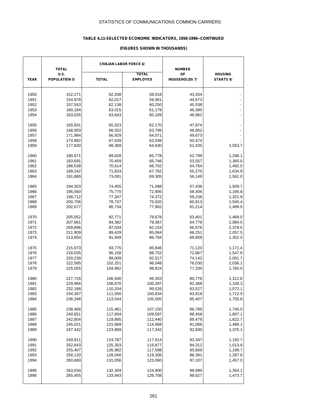# **TABLE 6.11-SELECTED ECONOMIC INDICATORS, 1950-1996--CONTINUED**

#### **(FIGURES SHOWN IN THOUSANDS)**

|              | <b>CIVILIAN LABOR FORCE 6/</b><br><b>TOTAL</b> |              |                  | <b>NUMBER</b>        |                    |
|--------------|------------------------------------------------|--------------|------------------|----------------------|--------------------|
|              | U.S.                                           |              | <b>TOTAL</b>     | OF                   | <b>HOUSING</b>     |
| <b>YEAR</b>  | <b>POPULATION 5/</b>                           | <b>TOTAL</b> | <b>EMPLOYED</b>  | <b>HOUSEHOLDS 7/</b> | STARTS 8/          |
|              |                                                |              |                  |                      |                    |
| 1950         | 152,271                                        | 62,208       | 58,918           | 43,554               |                    |
| 1951         | 154,878                                        | 62,017       | 59,961           | 44,673               |                    |
| 1952         | 157,553                                        | 62,138       | 60,250           | 45,538               |                    |
| 1953         | 160,184                                        | 63,015       | 61,179           | 46,385               |                    |
| 1954         | 163,026                                        | 63,643       | 60,109           | 46,962               |                    |
| 1955         | 165,931                                        | 65,023       | 62,170           | 47,874               |                    |
| 1956         | 168,903                                        | 66,552       | 63,799           | 48,902               |                    |
| 1957         | 171,984                                        | 66,929       | 64,071           | 49,673               |                    |
|              |                                                |              |                  |                      |                    |
| 1958         | 174,882                                        | 67,639       | 63,036           | 50,474               |                    |
| 1959         | 177,830                                        | 68,369       | 64,630           | 51,435               | 1,553.7            |
| 1960         | 180,671                                        | 69,628       | 65,778           | 52,799               | 1,296.1            |
| 1961         | 183,691                                        | 70,459       | 65,746           | 53,557               | 1,365.0            |
| 1962         | 186,538                                        | 70,614       | 66,702           | 54,764               | 1,492.5            |
| 1963         | 189,242                                        | 71,833       | 67,762           | 55,270               | 1,634.9            |
| 1964         | 191,889                                        | 73,091       | 69,305           | 56,149               | 1,561.0            |
| 1965         | 194,303                                        | 74,455       | 71,088           | 57,436               | 1,509.7            |
| 1966         |                                                |              |                  |                      |                    |
|              | 196,560                                        | 75,770       | 72,895           | 58,406               | 1,195.8            |
| 1967         | 198,712                                        | 77,347       | 74,372           | 59,236               | 1,321.9            |
| 1968         | 200,706                                        | 78,737       | 75,920           | 60,813               | 1,545.4            |
| 1969         | 202,677                                        | 80,734       | 77,902           | 62,214               | 1,499.5            |
| 1970         | 205,052                                        | 82,771       | 78,678           | 63,401               | 1,469.0            |
| 1971         | 207,661                                        | 84,382       | 79,367           | 64,778               | 2,084.5            |
| 1972         | 209,896                                        | 87,034       | 82,153           | 66,676               | 2,378.5            |
| 1973         | 211,909                                        | 89,429       | 85,064           | 68,251               | 2,057.5            |
| 1974         | 213,854                                        | 91,949       | 86,794           | 69,859               | 1,352.5            |
| 1975         | 215,973                                        | 93,775       | 85,846           | 71,120               | 1,171.4            |
| 1976         | 218,035                                        | 96,158       | 88,752           | 72,867               | 1,547.6            |
| 1977         |                                                |              |                  |                      |                    |
|              | 220,239                                        | 99,009       | 92,017           | 74,142               | 2,001.7            |
| 1978<br>1979 | 222,585                                        | 102,251      | 96,048<br>98,824 | 76,030<br>77,330     | 2,036.1<br>1,760.0 |
|              | 225,055                                        | 104,962      |                  |                      |                    |
| 1980         | 227,726                                        | 106,940      | 99,303           | 80,776               | 1,312.6            |
| 1981         | 229,966                                        | 108,670      | 100,397          | 82,368               | 1,100.3            |
| 1982         | 232,188                                        | 110,204      | 99,526           | 83,527               | 1,072.1            |
| 1983         | 234,307                                        | 111,550      | 100,834          | 83,918               | 1,712.5            |
| 1984         | 236,348                                        | 113,544      | 105,005          | 85,407               | 1,755.8            |
| 1985         | 238,466                                        | 115,461      | 107,150          | 86,789               | 1,745.0            |
| 1986         | 240,651                                        | 117,834      | 109,597          | 88,458               | 1,807.1            |
| 1987         | 242,804                                        | 119,865      | 112,440          | 89,479               | 1,622.7            |
|              |                                                |              |                  |                      | 1,488.1            |
| 1988         | 245,021                                        | 121,669      | 114,968          | 91,066               |                    |
| 1989         | 247,342                                        | 123,869      | 117,342          | 92,830               | 1,376.1            |
| 1990         | 249,911                                        | 124,787      | 117,914          | 93,347               | 1,192.7            |
| 1991         | 252,643                                        | 125,303      | 116,877          | 94,312               | 1,013.9            |
| 1992         | 255,407                                        | 126,982      | 117,598          | 95,669               | 1,199.7            |
| 1993         | 258,120                                        | 128,040      | 119,306          | 96,391               | 1,287.6            |
| 1994         | 260,660                                        | 131,056      | 123,060          | 97,107               | 1,457.0            |
| 1995         | 263,034                                        | 132,304      | 124,900          | 98,990               | 1,354.1            |
| 1996         | 265,455                                        | 133,943      | 126,708          | 99,627               | 1,473.7            |
|              |                                                |              |                  |                      |                    |